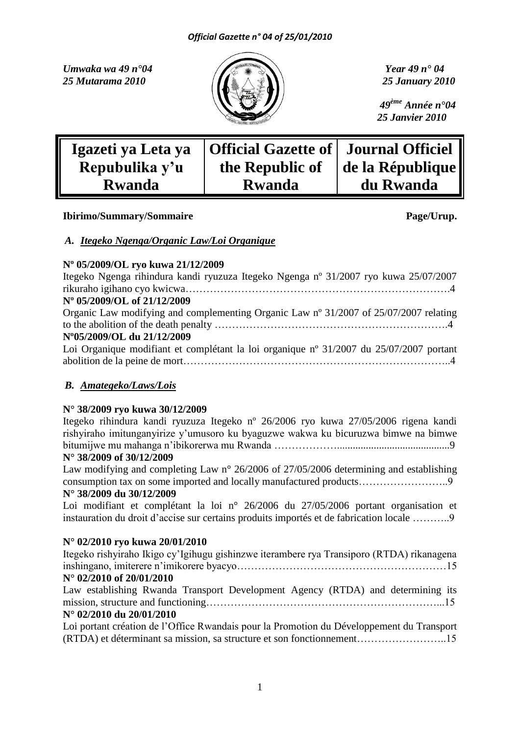*Umwaka wa 49 n°04 Year 49 n° 04 25 Mutarama 2010 25 January 2010*



 *49ème Année n°04 25 Janvier 2010*

| Igazeti ya Leta ya | Official Gazette of   Journal Officiel |                  |
|--------------------|----------------------------------------|------------------|
| Repubulika y'u     | the Republic of                        | de la République |
| <b>Rwanda</b>      | <b>Rwanda</b>                          | du Rwanda        |

### **Ibirimo/Summary/Sommaire Page/Urup.**

### *A. Itegeko Ngenga/Organic Law/Loi Organique*

### **Nº 05/2009/OL ryo kuwa 21/12/2009**

| Itegeko Ngenga rihindura kandi ryuzuza Itegeko Ngenga n° 31/2007 ryo kuwa 25/07/2007    |
|-----------------------------------------------------------------------------------------|
|                                                                                         |
| N° 05/2009/OL of 21/12/2009                                                             |
| Organic Law modifying and complementing Organic Law n° 31/2007 of 25/07/2007 relating   |
|                                                                                         |
| N°05/2009/OL du 21/12/2009                                                              |
| Loi Organique modifiant et complétant la loi organique nº 31/2007 du 25/07/2007 portant |
|                                                                                         |

# *B. Amategeko/Laws/Lois*

# **N° 38/2009 ryo kuwa 30/12/2009**

Itegeko rihindura kandi ryuzuza Itegeko nº 26/2006 ryo kuwa 27/05/2006 rigena kandi rishyiraho imitunganyirize y'umusoro ku byaguzwe wakwa ku bicuruzwa bimwe na bimwe bitumijwe mu mahanga n'ibikorerwa mu Rwanda …………………………………………………………9

# **N° 38/2009 of 30/12/2009**

Law modifying and completing Law n° 26/2006 of 27/05/2006 determining and establishing consumption tax on some imported and locally manufactured products……………………..9 **N° 38/2009 du 30/12/2009**

Loi modifiant et complétant la loi n° 26/2006 du 27/05/2006 portant organisation et instauration du droit d'accise sur certains produits importés et de fabrication locale ………..9

# **N° 02/2010 ryo kuwa 20/01/2010**

| Itegeko rishyiraho Ikigo cy'Igihugu gishinzwe iterambere rya Transiporo (RTDA) rikanagena |
|-------------------------------------------------------------------------------------------|
|                                                                                           |
| $N^{\circ}$ 02/2010 of 20/01/2010                                                         |
| Law establishing Rwanda Transport Development Agency (RTDA) and determining its           |
|                                                                                           |
| N° 02/2010 du 20/01/2010                                                                  |
| Loi portant création de l'Office Rwandais pour la Promotion du Développement du Transport |

(RTDA) et déterminant sa mission, sa structure et son fonctionnement……………………..15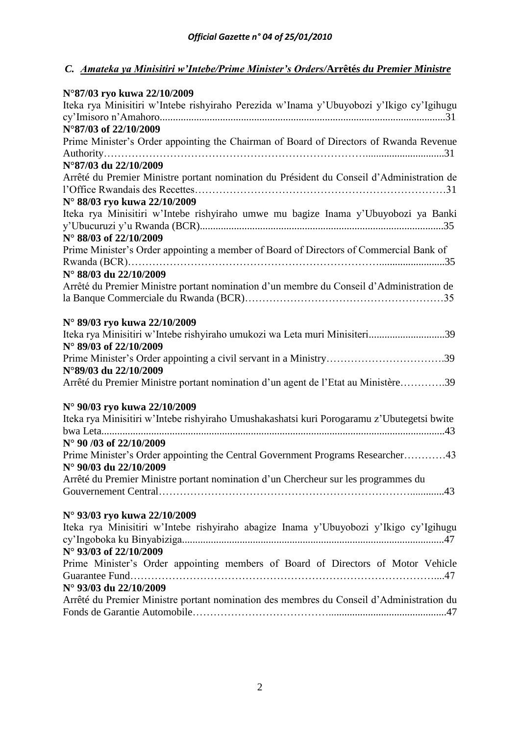# *C. Amateka ya Minisitiri w'Intebe/Prime Minister's Orders/***Arrêté***s du Premier Ministre*

| N°87/03 ryo kuwa 22/10/2009                                                                |
|--------------------------------------------------------------------------------------------|
| Iteka rya Minisitiri w'Intebe rishyiraho Perezida w'Inama y'Ubuyobozi y'Ikigo cy'Igihugu   |
|                                                                                            |
| N°87/03 of 22/10/2009                                                                      |
| Prime Minister's Order appointing the Chairman of Board of Directors of Rwanda Revenue     |
|                                                                                            |
| N°87/03 du 22/10/2009                                                                      |
| Arrêté du Premier Ministre portant nomination du Président du Conseil d'Administration de  |
| N° 88/03 ryo kuwa 22/10/2009                                                               |
| Iteka rya Minisitiri w'Intebe rishyiraho umwe mu bagize Inama y'Ubuyobozi ya Banki         |
|                                                                                            |
| N° 88/03 of 22/10/2009                                                                     |
| Prime Minister's Order appointing a member of Board of Directors of Commercial Bank of     |
|                                                                                            |
| N° 88/03 du 22/10/2009                                                                     |
| Arrêté du Premier Ministre portant nomination d'un membre du Conseil d'Administration de   |
|                                                                                            |
|                                                                                            |
| N° 89/03 ryo kuwa 22/10/2009                                                               |
| Iteka rya Minisitiri w'Intebe rishyiraho umukozi wa Leta muri Minisiteri39                 |
| N° 89/03 of 22/10/2009                                                                     |
| Prime Minister's Order appointing a civil servant in a Ministry39                          |
| N°89/03 du 22/10/2009                                                                      |
| Arrêté du Premier Ministre portant nomination d'un agent de l'Etat au Ministère39          |
|                                                                                            |
| N° 90/03 ryo kuwa 22/10/2009                                                               |
| Iteka rya Minisitiri w'Intebe rishyiraho Umushakashatsi kuri Porogaramu z'Ubutegetsi bwite |
|                                                                                            |
| $N^{\circ}$ 90 /03 of 22/10/2009                                                           |
| Prime Minister's Order appointing the Central Government Programs Researcher43             |
| N° 90/03 du 22/10/2009                                                                     |
| Arrêté du Premier Ministre portant nomination d'un Chercheur sur les programmes du         |
|                                                                                            |
| N° 93/03 ryo kuwa 22/10/2009                                                               |
| Iteka rya Minisitiri w'Intebe rishyiraho abagize Inama y'Ubuyobozi y'Ikigo cy'Igihugu      |
|                                                                                            |
| N° 93/03 of 22/10/2009                                                                     |
| Prime Minister's Order appointing members of Board of Directors of Motor Vehicle           |
|                                                                                            |
| N° 93/03 du 22/10/2009                                                                     |
| Arrêté du Premier Ministre portant nomination des membres du Conseil d'Administration du   |
|                                                                                            |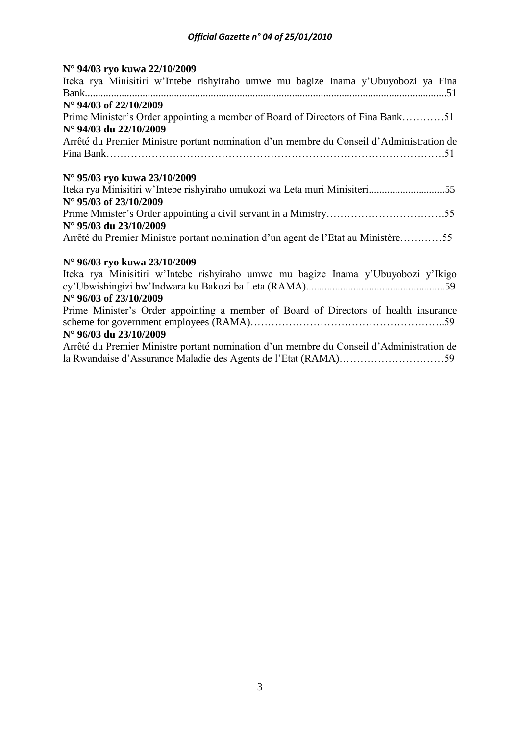# **N° 94/03 ryo kuwa 22/10/2009**

# **N° 96/03 ryo kuwa 23/10/2009**

| Iteka rya Minisitiri w'Intebe rishyiraho umwe mu bagize Inama y'Ubuyobozi y'Ikigo        |
|------------------------------------------------------------------------------------------|
|                                                                                          |
| $N^{\circ}$ 96/03 of 23/10/2009                                                          |
| Prime Minister's Order appointing a member of Board of Directors of health insurance     |
|                                                                                          |
| N° 96/03 du 23/10/2009                                                                   |
| Arrêté du Premier Ministre portant nomination d'un membre du Conseil d'Administration de |
|                                                                                          |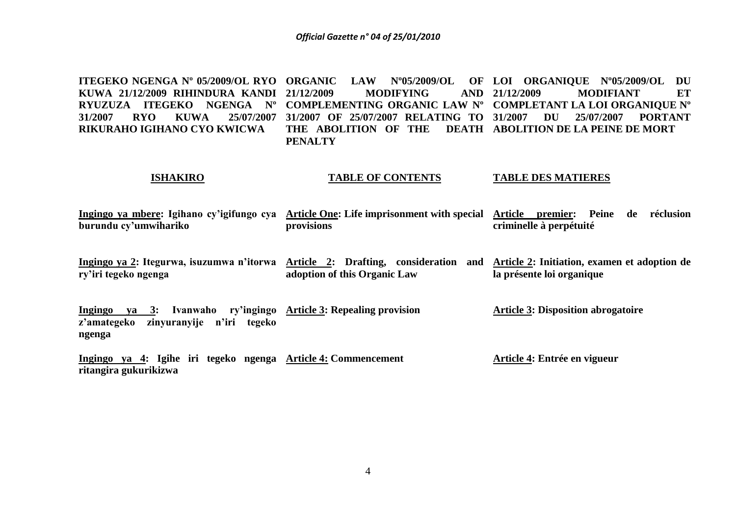**ITEGEKO NGENGA Nº 05/2009/OL RYO ORGANIC LAW Nº05/2009/OL OF LOI ORGANIQUE Nº05/2009/OL DU KUWA 21/12/2009 RIHINDURA KANDI RYUZUZA ITEGEKO NGENGA Nº COMPLEMENTING ORGANIC LAW Nº COMPLETANT LA LOI ORGANIQUE Nº 31/2007 RYO KUWA 25/07/2007 31/2007 OF 25/07/2007 RELATING TO RIKURAHO IGIHANO CYO KWICWA 21/12/2009 MODIFYING AND THE ABOLITION OF THE PENALTY 21/12/2009 MODIFIANT ET 31/2007 DU 25/07/2007 PORTANT DEATH ABOLITION DE LA PEINE DE MORT** 

### **ISHAKIRO**

### **TABLE OF CONTENTS**

### **TABLE DES MATIERES**

- **Ingingo ya mbere: Igihano cy'igifungo cya Article One: Life imprisonment with special Article premier: Peine de réclusion burundu cy'umwihariko provisions criminelle à perpétuité**
- **Ingingo ya 2: Itegurwa, isuzumwa n'itorwa Article 2: Drafting, consideration and Article 2: Initiation, examen et adoption de ry'iri tegeko ngenga adoption of this Organic Law la présente loi organique**

**Ingingo ya 3: Ivanwaho ry'ingingo Article 3: Repealing provision z'amategeko zinyuranyije n'iri tegeko ngenga Article 3: Disposition abrogatoire**

**Ingingo ya 4: Igihe iri tegeko ngenga Article 4: Commencement ritangira gukurikizwa Article 4: Entrée en vigueur**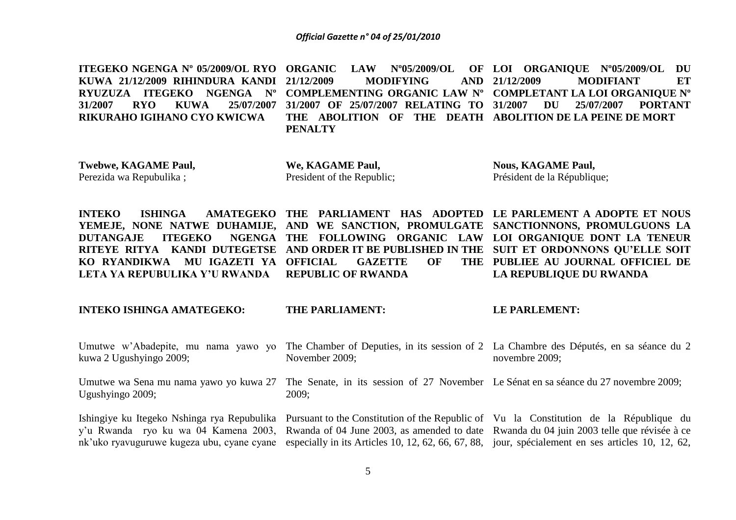**ITEGEKO NGENGA Nº 05/2009/OL RYO ORGANIC LAW Nº05/2009/OL OF LOI ORGANIQUE Nº05/2009/OL DU KUWA 21/12/2009 RIHINDURA KANDI RYUZUZA ITEGEKO NGENGA Nº COMPLEMENTING ORGANIC LAW Nº COMPLETANT LA LOI ORGANIQUE Nº 31/2007 RYO KUWA 25/07/2007 31/2007 OF 25/07/2007 RELATING TO RIKURAHO IGIHANO CYO KWICWA 21/12/2009 MODIFYING AND THE ABOLITION OF THE DEATH ABOLITION DE LA PEINE DE MORT PENALTY 21/12/2009 MODIFIANT ET 31/2007 DU 25/07/2007 PORTANT** 

**Twebwe, KAGAME Paul,**  Perezida wa Repubulika ;

**We, KAGAME Paul,**  President of the Republic;

**Nous, KAGAME Paul,**  Président de la République;

**INTEKO** ISHINGA AMATEGEKO THE PARLIAMENT HAS ADOPTED LE-PARLEMENT A ADOPTE ET NOUS **YEMEJE, NONE NATWE DUHAMIJE, AND WE SANCTION, PROMULGATE SANCTIONNONS, PROMULGUONS LA DUTANGAJE ITEGEKO RITEYE RITYA KANDI DUTEGETSE AND ORDER IT BE PUBLISHED IN THE SUIT ET ORDONNONS QU'ELLE SOIT KO RYANDIKWA MU IGAZETI YA LETA YA REPUBULIKA Y'U RWANDA THE FOLLOWING ORGANIC LAW LOI ORGANIQUE DONT LA TENEUR**  GAZETTE OF **REPUBLIC OF RWANDA PUBLIEE AU JOURNAL OFFICIEL DE LA REPUBLIQUE DU RWANDA**

### **INTEKO ISHINGA AMATEGEKO:**

### **THE PARLIAMENT:**

**LE PARLEMENT:**

| Umutwe w'Abadepite, mu nama yawo yo<br>kuwa 2 Ugushyingo 2009; | The Chamber of Deputies, in its session of 2 La Chambre des Députés, en sa séance du 2<br>November 2009;                                                                                                                                                                                                                                                                                                            | novembre 2009; |
|----------------------------------------------------------------|---------------------------------------------------------------------------------------------------------------------------------------------------------------------------------------------------------------------------------------------------------------------------------------------------------------------------------------------------------------------------------------------------------------------|----------------|
| Ugushyingo 2009;                                               | Umutwe wa Sena mu nama yawo yo kuwa 27 The Senate, in its session of 27 November Le Sénat en sa séance du 27 novembre 2009;<br>2009:                                                                                                                                                                                                                                                                                |                |
|                                                                | Ishingiye ku Itegeko Nshinga rya Repubulika Pursuant to the Constitution of the Republic of Vu la Constitution de la République du<br>y'u Rwanda ryo ku wa 04 Kamena 2003, Rwanda of 04 June 2003, as amended to date Rwanda du 04 juin 2003 telle que révisée à ce<br>nk'uko ryavuguruwe kugeza ubu, cyane cyane especially in its Articles 10, 12, 62, 66, 67, 88, jour, spécialement en ses articles 10, 12, 62, |                |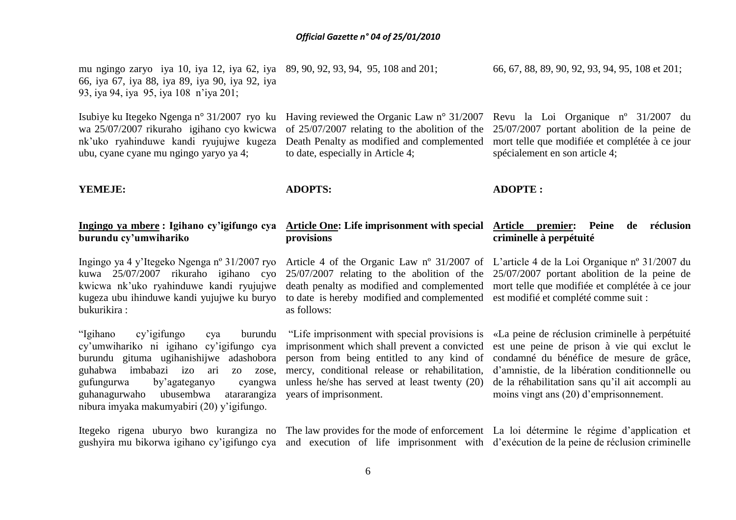mu ngingo zaryo iya 10, iya 12, iya 62, iya 89, 90, 92, 93, 94, 95, 108 and 201; 66, iya 67, iya 88, iya 89, iya 90, iya 92, iya 93, iya 94, iya 95, iya 108 n'iya 201;

Isubiye ku Itegeko Ngenga n° 31/2007 ryo ku wa 25/07/2007 rikuraho igihano cyo kwicwa nk'uko ryahinduwe kandi ryujujwe kugeza ubu, cyane cyane mu ngingo yaryo ya 4;

### **YEMEJE:**

### **Ingingo ya mbere : Igihano cy'igifungo cya burundu cy'umwihariko**

Ingingo ya 4 y'Itegeko Ngenga nº 31/2007 ryo kuwa 25/07/2007 rikuraho igihano cyo kwicwa nk'uko ryahinduwe kandi ryujujwe kugeza ubu ihinduwe kandi yujujwe ku buryo to date is hereby modified and complemented est modifié et complété comme suit : bukurikira :

"Igihano cy'igifungo cya burundu cy'umwihariko ni igihano cy'igifungo cya burundu gituma ugihanishijwe adashobora guhabwa imbabazi izo ari zo zose, gufungurwa by'agateganyo cyangwa guhanagurwaho ubusembwa nibura imyaka makumyabiri (20) y'igifungo.

Having reviewed the Organic Law n° 31/2007 of 25/07/2007 relating to the abolition of the Death Penalty as modified and complemented to date, especially in Article 4;

### **ADOPTS:**

### **ADOPTE :**

### **Article One: Life imprisonment with special provisions Article premier: Peine de réclusion criminelle à perpétuité**

Article 4 of the Organic Law nº 31/2007 of L'article 4 de la Loi Organique nº 31/2007 du as follows:

"Life imprisonment with special provisions is imprisonment which shall prevent a convicted person from being entitled to any kind of mercy, conditional release or rehabilitation, unless he/she has served at least twenty (20) atarangiza years of imprisonment.

gushyira mu bikorwa igihano cy'igifungo cya and execution of life imprisonment with d'exécution de la peine de réclusion criminelle

Itegeko rigena uburyo bwo kurangiza no The law provides for the mode of enforcement La loi détermine le régime d'application et

moins vingt ans (20) d'emprisonnement.

25/07/2007 relating to the abolition of the 25/07/2007 portant abolition de la peine de death penalty as modified and complemented mort telle que modifiée et complétée à ce jour

> «La peine de réclusion criminelle à perpétuité est une peine de prison à vie qui exclut le condamné du bénéfice de mesure de grâce, d'amnistie, de la libération conditionnelle ou de la réhabilitation sans qu'il ait accompli au

66, 67, 88, 89, 90, 92, 93, 94, 95, 108 et 201;

Revu la Loi Organique nº 31/2007 du 25/07/2007 portant abolition de la peine de mort telle que modifiée et complétée à ce jour

spécialement en son article 4;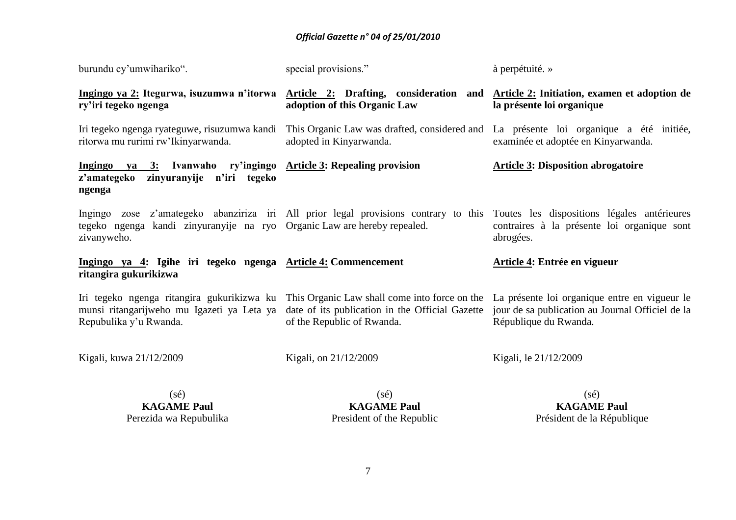| burundu cy'umwihariko".                                                                                                | special provisions."                                                                                                                                                      | à perpétuité. »                                                                                                                                            |  |
|------------------------------------------------------------------------------------------------------------------------|---------------------------------------------------------------------------------------------------------------------------------------------------------------------------|------------------------------------------------------------------------------------------------------------------------------------------------------------|--|
| ry'iri tegeko ngenga                                                                                                   | adoption of this Organic Law                                                                                                                                              | Ingingo ya 2: Itegurwa, isuzumwa n'itorwa Article 2: Drafting, consideration and Article 2: Initiation, examen et adoption de<br>la présente loi organique |  |
| ritorwa mu rurimi rw'Ikinyarwanda.                                                                                     | Iri tegeko ngenga ryateguwe, risuzumwa kandi This Organic Law was drafted, considered and La présente loi organique a été initiée,<br>adopted in Kinyarwanda.             | examinée et adoptée en Kinyarwanda.                                                                                                                        |  |
| Ingingo ya 3: Ivanwaho ry'ingingo Article 3: Repealing provision<br>z'amategeko<br>zinyuranyije n'iri tegeko<br>ngenga |                                                                                                                                                                           | <b>Article 3: Disposition abrogatoire</b>                                                                                                                  |  |
| tegeko ngenga kandi zinyuranyije na ryo Organic Law are hereby repealed.<br>zivanyweho.                                | Ingingo zose z'amategeko abanziriza iri All prior legal provisions contrary to this Toutes les dispositions légales antérieures                                           | contraires à la présente loi organique sont<br>abrogées.                                                                                                   |  |
| Ingingo ya 4: Igihe iri tegeko ngenga Article 4: Commencement<br>ritangira gukurikizwa                                 |                                                                                                                                                                           | Article 4: Entrée en vigueur                                                                                                                               |  |
| munsi ritangarijweho mu Igazeti ya Leta ya<br>Repubulika y'u Rwanda.                                                   | Iri tegeko ngenga ritangira gukurikizwa ku This Organic Law shall come into force on the<br>date of its publication in the Official Gazette<br>of the Republic of Rwanda. | La présente loi organique entre en vigueur le<br>jour de sa publication au Journal Officiel de la<br>République du Rwanda.                                 |  |
| Kigali, kuwa 21/12/2009                                                                                                | Kigali, on 21/12/2009                                                                                                                                                     | Kigali, le 21/12/2009                                                                                                                                      |  |
| $(s\acute{e})$<br><b>KAGAME Paul</b><br>Perezida wa Repubulika                                                         | $(s\acute{e})$<br><b>KAGAME Paul</b><br>President of the Republic                                                                                                         | $(s\acute{e})$<br><b>KAGAME Paul</b><br>Président de la République                                                                                         |  |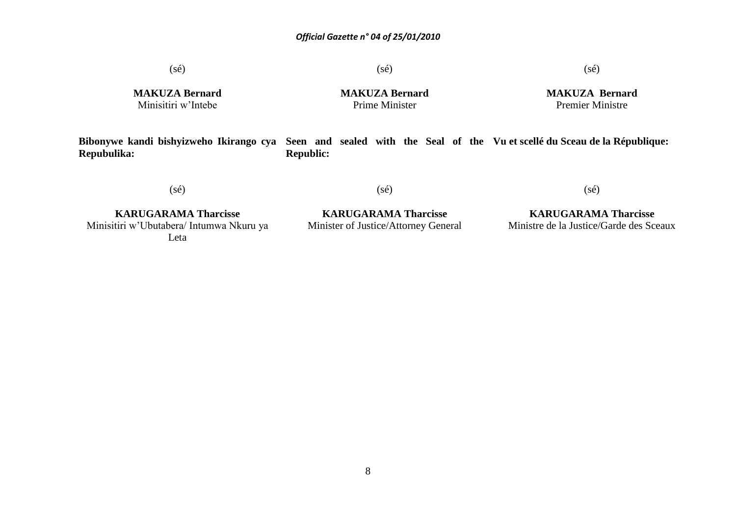$(s\acute{e})$ 

 $(s\acute{e})$ 

### (sé)

**MAKUZA Bernard** Minisitiri w'Intebe

**MAKUZA Bernard** Prime Minister

**MAKUZA Bernard** Premier Ministre

**Bibonywe kandi bishyizweho Ikirango cya Seen and sealed with the Seal of the Vu et scellé du Sceau de la République: Repubulika: Republic:**

(sé)

(sé)

(sé)

**KARUGARAMA Tharcisse** Minisitiri w'Ubutabera/ Intumwa Nkuru ya Leta

**KARUGARAMA Tharcisse** Minister of Justice/Attorney General

**KARUGARAMA Tharcisse** Ministre de la Justice/Garde des Sceaux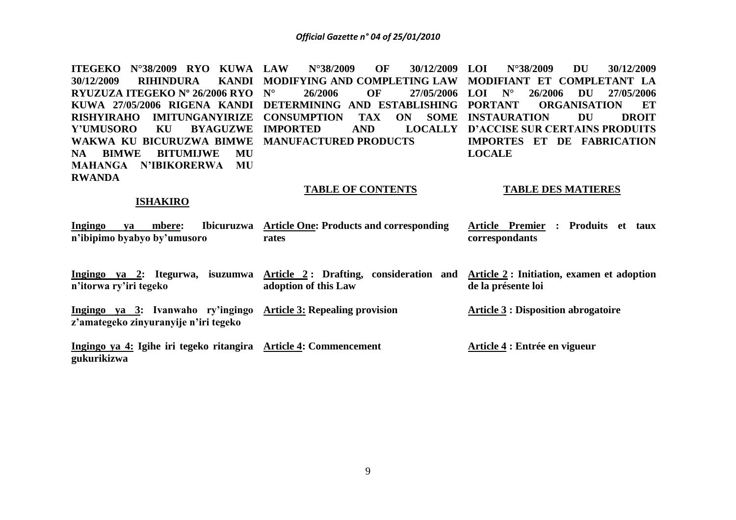**ITEGEKO N°38/2009 RYO KUWA LAW N°38/2009 OF 30/12/2009 30/12/2009 RIHINDURA RYUZUZA ITEGEKO Nº 26/2006 RYO KUWA 27/05/2006 RIGENA KANDI DETERMINING AND ESTABLISHING RISHYIRAHO IMITUNGANYIRIZE CONSUMPTION TAX ON SOME INSTAURATION DU DROIT Y'UMUSORO KU WAKWA KU BICURUZWA BIMWE MANUFACTURED PRODUCTS NA BIMWE BITUMIJWE MU MAHANGA N'IBIKORERWA MU RWANDA MODIFYING AND COMPLETING LAW MODIFIANT ET COMPLETANT LA**  26/2006 OF 27/05/2006 LOI N° **IMPORTED AND LOI N°38/2009 DU 30/12/2009 LOI N° 26/2006 DU 27/05/2006 PORGANISATION ET** LOCALLY D'ACCISE SUR CERTAINS PRODUITS **IMPORTES ET DE FABRICATION LOCALE** 

### **TABLE OF CONTENTS TABLE DES MATIERES**

### **ISHAKIRO**

| <b>Ingingo</b><br><b>Ibicuruzwa</b><br>mbere:<br>va<br>n'ibipimo byabyo by'umusoro | <b>Article One: Products and corresponding</b><br>rates        | <b>Article Premier</b><br>: Produits<br>taux<br>-et<br>correspondants |
|------------------------------------------------------------------------------------|----------------------------------------------------------------|-----------------------------------------------------------------------|
| ya 2: Itegurwa,<br>isuzumwa<br>Ingingo<br>n'itorwa ry'iri tegeko                   | Article 2: Drafting, consideration and<br>adoption of this Law | Article 2 : Initiation, examen et adoption<br>de la présente loi      |
| Ingingo ya 3: Ivanwaho ry'ingingo<br>z'amategeko zinyuranyije n'iri tegeko         | <b>Article 3: Repealing provision</b>                          | <b>Article 3 : Disposition abrogatoire</b>                            |
| Ingingo ya 4: Igihe iri tegeko ritangira Article 4: Commencement<br>gukurikizwa    |                                                                | Article 4 : Entrée en vigueur                                         |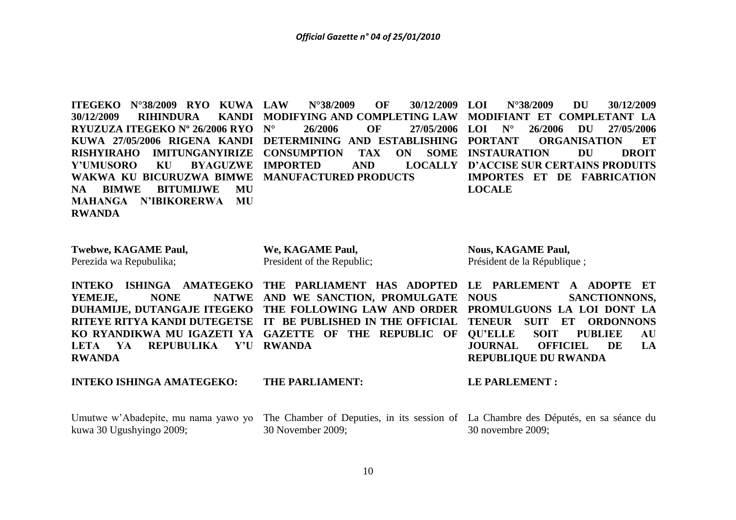**ITEGEKO N°38/2009 RYO KUWA 30/12/2009 RIHINDURA RYUZUZA ITEGEKO Nº 26/2006 RYO KUWA 27/05/2006 RIGENA KANDI DETERMINING AND ESTABLISHING RISHYIRAHO IMITUNGANYIRIZE Y'UMUSORO KU BYAGUZWE WAKWA KU BICURUZWA BIMWE MANUFACTURED PRODUCTS NA BIMWE BITUMIJWE MU MAHANGA N'IBIKORERWA MU RWANDA LAW N°38/2009 OF 30/12/2009**  KANDI MODIFYING AND COMPLETING LAW **N° 26/2006 OF 27/05/2006 LOI N° 26/2006 DU 27/05/2006 CONSUMPTION TAX ON SOME INSTAURATION DU DROIT IMPORTED AND LOCALLY D'ACCISE SUR CERTAINS PRODUITS LOI N°38/2009 DU 30/12/2009 MODIFIANT ET COMPLETANT LA PORGANISATION ET IMPORTES ET DE FABRICATION LOCALE**

| <b>Twebwe, KAGAME Paul,</b> | We, KAGAME Paul,           | <b>Nous, KAGAME Paul,</b>   |
|-----------------------------|----------------------------|-----------------------------|
| Perezida wa Repubulika;     | President of the Republic; | Président de la République; |
|                             |                            |                             |

**INTEKO ISHINGA AMATEGEKO THE PARLIAMENT HAS ADOPTED LE PARLEMENT A ADOPTE ET** YEMEJE, NONE NATWE AND WE SANCTION, PROMULGATE **DUHAMIJE, DUTANGAJE ITEGEKO THE FOLLOWING LAW AND ORDER PROMULGUONS LA LOI DONT LA RITEYE RITYA KANDI DUTEGETSE IT BE PUBLISHED IN THE OFFICIAL TENEUR SUIT ET ORDONNONS KO RYANDIKWA MU IGAZETI YA GAZETTE OF THE REPUBLIC OF QU'ELLE SOIT PUBLIEE AU LETA YA REPUBULIKA Y'U RWANDA RWANDA SANCTIONNONS. JOURNAL OFFICIEL DE LA REPUBLIQUE DU RWANDA**

**INTEKO ISHINGA AMATEGEKO: THE PARLIAMENT: LE PARLEMENT :** 

Umutwe w'Abadepite, mu nama yawo yo The Chamber of Deputies, in its session of La Chambre des Députés, en sa séance du kuwa 30 Ugushyingo 2009; 30 November 2009; 30 novembre 2009;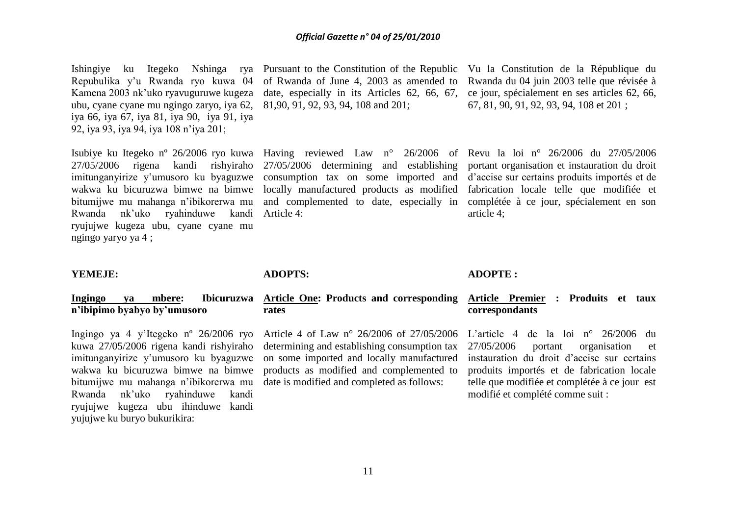Repubulika y'u Rwanda ryo kuwa 04 Kamena 2003 nk'uko ryavuguruwe kugeza ubu, cyane cyane mu ngingo zaryo, iya 62, iya 66, iya 67, iya 81, iya 90, iya 91, iya 92, iya 93, iya 94, iya 108 n'iya 201;

27/05/2006 rigena kandi rishyiraho Rwanda nk'uko ryahinduwe kandi Article 4: ryujujwe kugeza ubu, cyane cyane mu ngingo yaryo ya 4 ;

Ishingiye ku Itegeko Nshinga rya Pursuant to the Constitution of the Republic Vu la Constitution de la République du of Rwanda of June 4, 2003 as amended to date, especially in its Articles 62, 66, 67, 81,90, 91, 92, 93, 94, 108 and 201;

imitunganyirize y'umusoro ku byaguzwe consumption tax on some imported and d'accise sur certains produits importés et de wakwa ku bicuruzwa bimwe na bimwe locally manufactured products as modified fabrication locale telle que modifiée et bitumijwe mu mahanga n'ibikorerwa mu and complemented to date, especially in complétée à ce jour, spécialement en son 27/05/2006 determining and establishing portant organisation et instauration du droit

Rwanda du 04 juin 2003 telle que révisée à ce jour, spécialement en ses articles 62, 66, 67, 81, 90, 91, 92, 93, 94, 108 et 201 ;

Isubiye ku Itegeko nº 26/2006 ryo kuwa Having reviewed Law n° 26/2006 of Revu la loi n° 26/2006 du 27/05/2006 article 4;

### **YEMEJE:**

### **Ingingo ya mbere: Ibicuruzwa n'ibipimo byabyo by'umusoro**

Ingingo ya 4 y'Itegeko nº 26/2006 ryo kuwa 27/05/2006 rigena kandi rishyiraho imitunganyirize y'umusoro ku byaguzwe wakwa ku bicuruzwa bimwe na bimwe bitumijwe mu mahanga n'ibikorerwa mu Rwanda nk'uko ryahinduwe kandi ryujujwe kugeza ubu ihinduwe kandi yujujwe ku buryo bukurikira:

### **ADOPTS:**

### **Article One: Products and corresponding rates**

Article 4 of Law n° 26/2006 of 27/05/2006 determining and establishing consumption tax on some imported and locally manufactured products as modified and complemented to date is modified and completed as follows:

### **ADOPTE :**

### **Article Premier : Produits et taux correspondants**

L'article 4 de la loi n° 26/2006 du 27/05/2006 portant organisation et instauration du droit d'accise sur certains produits importés et de fabrication locale telle que modifiée et complétée à ce jour est modifié et complété comme suit :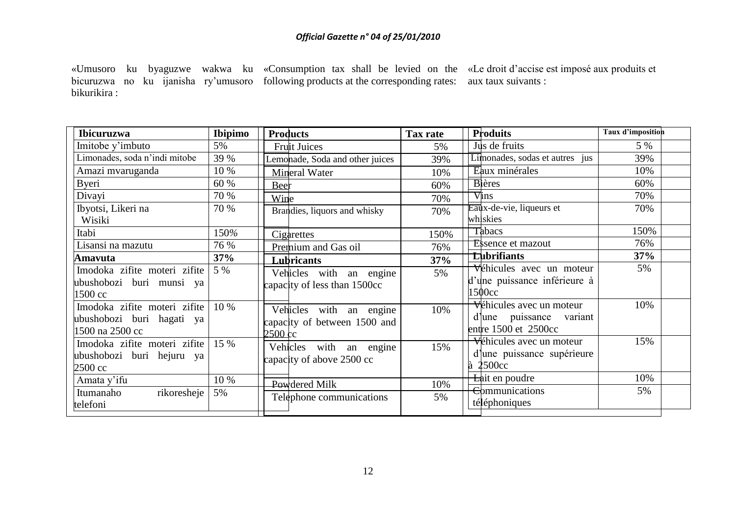«Umusoro ku byaguzwe wakwa ku «Consumption tax shall be levied on the «Le droit d'accise est imposé aux produits et bicuruzwa no ku ijanisha ry'umusoro following products at the corresponding rates: aux taux suivants : bikurikira :

| <b>Ibicuruzwa</b>             | <b>Ibipimo</b> | <b>Products</b>                 | Tax rate | <b>Produits</b>                | Taux d'imposition |
|-------------------------------|----------------|---------------------------------|----------|--------------------------------|-------------------|
| Imitobe y'imbuto              | 5%             | <b>Fruit Juices</b>             | 5%       | Jus de fruits                  | 5 %               |
| Limonades, soda n'indi mitobe | 39 %           | Lemonade, Soda and other juices | 39%      | Limonades, sodas et autres jus | 39%               |
| Amazi mvaruganda              | 10 %           | Mineral Water                   | 10%      | Eaux minérales                 | 10%               |
| Byeri                         | 60 %           | Beer                            | 60%      | <b>Bi</b> ères                 | 60%               |
| Divayi                        | 70 %           | Wine                            | 70%      | <b>Vins</b>                    | 70%               |
| Ibyotsi, Likeri na            | 70 %           | Brandies, liquors and whisky    | 70%      | Eaux-de-vie, liqueurs et       | 70%               |
| Wisiki                        |                |                                 |          | whiskies                       |                   |
| Itabi                         | 150%           | Cigarettes                      | 150%     | <b>T</b> abacs                 | 150%              |
| Lisansi na mazutu             | 76 %           | Premium and Gas oil             | 76%      | <b>Essence et mazout</b>       | 76%               |
| Amavuta                       | 37%            | Lubricants                      | 37%      | <b>Lubrifiants</b>             | 37%               |
| Imodoka zifite moteri zifite  | 5 %            | Vehicles with an engine         | 5%       | Véhicules avec un moteur       | 5%                |
| ubushobozi buri munsi ya      |                | capacity of less than 1500cc    |          | d'une puissance inférieure à   |                   |
| 1500 cc                       |                |                                 |          | 1500cc                         |                   |
| Imodoka zifite moteri zifite  | 10 %           | Vehicles with an engine         | 10%      | Véhicules avec un moteur       | 10%               |
| ubushobozi buri hagati ya     |                | capacity of between 1500 and    |          | d quissance variant            |                   |
| 1500 na 2500 cc               |                | $2500 \text{ cc}$               |          | entre $1500$ et $2500cc$       |                   |
| Imodoka zifite moteri zifite  | 15 %           | Vehicles with an engine         | 15%      | Véhicules avec un moteur       | 15%               |
| ubushobozi buri hejuru ya     |                | capacity of above 2500 cc       |          | d'une puissance supérieure     |                   |
| 2500 cc                       |                |                                 |          | à 2500cc                       |                   |
| Amata y'ifu                   | 10 %           | Powdered Milk                   | 10%      | Lait en poudre                 | 10%               |
| rikoresheje<br>Itumanaho      | 5%             | Telephone communications        | 5%       | <b>Communications</b>          | 5%                |
| telefoni                      |                |                                 |          | téléphoniques                  |                   |
|                               |                |                                 |          |                                |                   |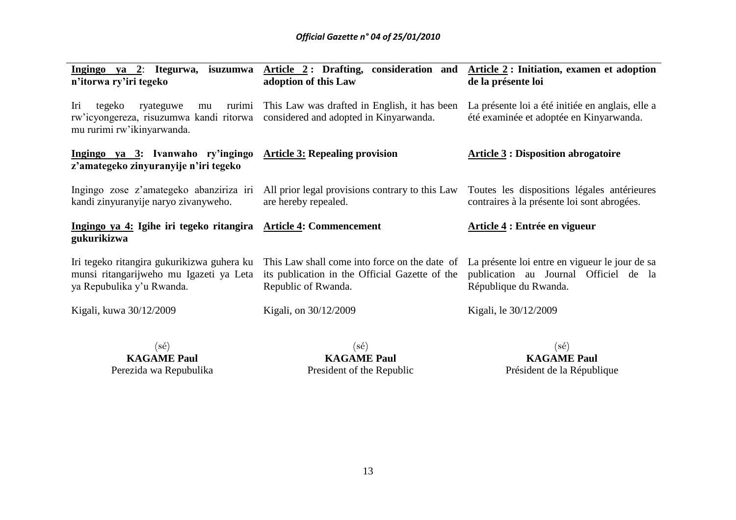| Ingingo ya $2$ :<br>Itegurwa,<br>isuzumwa<br>n'itorwa ry'iri tegeko                                                 | Article 2: Drafting, consideration and<br>adoption of this Law                                                         | Article 2: Initiation, examen et adoption<br>de la présente loi                                                  |  |
|---------------------------------------------------------------------------------------------------------------------|------------------------------------------------------------------------------------------------------------------------|------------------------------------------------------------------------------------------------------------------|--|
| rurimi<br>Iri<br>tegeko<br>ryateguwe<br>mu<br>rw'icyongereza, risuzumwa kandi ritorwa<br>mu rurimi rw'ikinyarwanda. | This Law was drafted in English, it has been<br>considered and adopted in Kinyarwanda.                                 | La présente loi a été initiée en anglais, elle a<br>été examinée et adoptée en Kinyarwanda.                      |  |
| Ingingo ya 3: Ivanwaho ry'ingingo<br>z'amategeko zinyuranyije n'iri tegeko                                          | <b>Article 3: Repealing provision</b>                                                                                  | <b>Article 3: Disposition abrogatoire</b>                                                                        |  |
| Ingingo zose z'amategeko abanziriza iri<br>kandi zinyuranyije naryo zivanyweho.                                     | All prior legal provisions contrary to this Law<br>are hereby repealed.                                                | Toutes les dispositions légales antérieures<br>contraires à la présente loi sont abrogées.                       |  |
| Ingingo ya 4: Igihe iri tegeko ritangira<br>gukurikizwa                                                             | <b>Article 4: Commencement</b>                                                                                         | Article 4 : Entrée en vigueur                                                                                    |  |
| Iri tegeko ritangira gukurikizwa guhera ku<br>munsi ritangarijweho mu Igazeti ya Leta<br>ya Repubulika y'u Rwanda.  | This Law shall come into force on the date of<br>its publication in the Official Gazette of the<br>Republic of Rwanda. | La présente loi entre en vigueur le jour de sa<br>publication au Journal Officiel de la<br>République du Rwanda. |  |
| Kigali, kuwa 30/12/2009                                                                                             | Kigali, on 30/12/2009                                                                                                  | Kigali, le 30/12/2009                                                                                            |  |
| $(\mathrm{s}\acute{\mathrm{e}})$                                                                                    | $(s\acute{e})$                                                                                                         | $(\mathrm{s}\acute{\mathrm{e}})$                                                                                 |  |

**KAGAME Paul** Perezida wa Repubulika

**KAGAME Paul** President of the Republic

**KAGAME Paul** Président de la République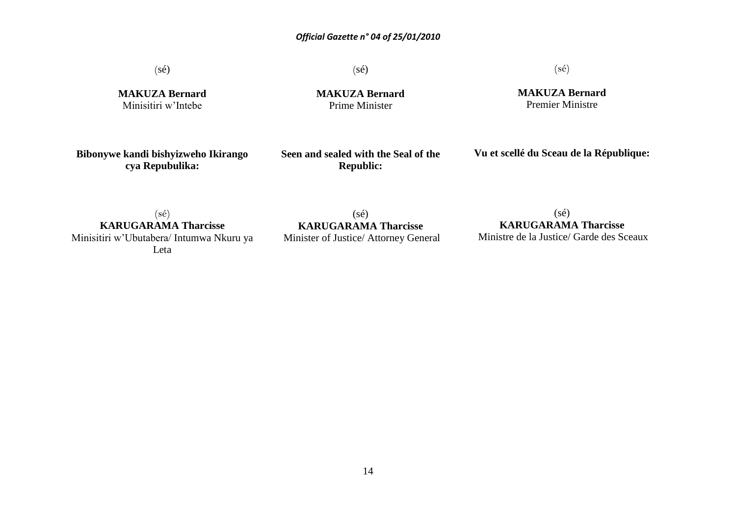(sé)

**MAKUZA Bernard** Minisitiri w'Intebe

(sé) **MAKUZA Bernard**

Prime Minister

(sé)

**MAKUZA Bernard** Premier Ministre

**Bibonywe kandi bishyizweho Ikirango cya Repubulika:**

**Seen and sealed with the Seal of the Republic:**

**Vu et scellé du Sceau de la République:**

(sé) **KARUGARAMA Tharcisse** Minisitiri w'Ubutabera/ Intumwa Nkuru ya Leta

(sé) **KARUGARAMA Tharcisse** Minister of Justice/ Attorney General

 $(s\acute{e})$ **KARUGARAMA Tharcisse** Ministre de la Justice/ Garde des Sceaux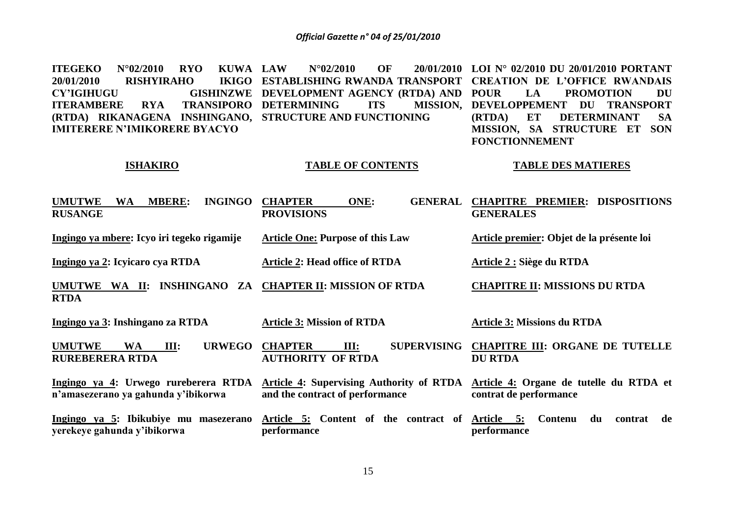**ITEGEKO** N°02/2010 RYO KUWA LAW **20/01/2010 RISHYIRAHO CY'IGIHUGU GISHINZWE DEVELOPMENT AGENCY (RTDA) AND ITERAMBERE RYA (RTDA) RIKANAGENA INSHINGANO, STRUCTURE AND FUNCTIONING IMITERERE N'IMIKORERE BYACYO LAU N°02/2010 OF ESTABLISHING RWANDA TRANSPORT CREATION DE L'OFFICE RWANDAIS TRANSIPORO DETERMINING ITS LOI N° 02/2010 DU 20/01/2010 PORTANT**  LA PROMOTION DU **MISSION, DEVELOPPEMENT DU TRANSPORT (RTDA) ET DETERMINANT SA MISSION, SA STRUCTURE ET SON FONCTIONNEMENT**

### **ISHAKIRO**

# **TABLE OF CONTENTS**

### **TABLE DES MATIERES**

| <b>INGINGO</b><br><b>UMUTWE</b><br><b>WA</b><br><b>MBERE:</b><br><b>RUSANGE</b> | <b>CHAPTER</b><br>ONE:<br><b>GENERAL</b><br><b>PROVISIONS</b>               | <b>CHAPITRE PREMIER: DISPOSITIONS</b><br><b>GENERALES</b>         |
|---------------------------------------------------------------------------------|-----------------------------------------------------------------------------|-------------------------------------------------------------------|
| Ingingo ya mbere: Icyo iri tegeko rigamije                                      | <b>Article One: Purpose of this Law</b>                                     | Article premier: Objet de la présente loi                         |
| Ingingo ya 2: Icyicaro cya RTDA                                                 | <b>Article 2: Head office of RTDA</b>                                       | Article 2 : Siège du RTDA                                         |
| WA II: INSHINGANO<br><b>UMUTWE</b><br>ZA<br><b>RTDA</b>                         | <b>CHAPTER II: MISSION OF RTDA</b>                                          | <b>CHAPITRE II: MISSIONS DU RTDA</b>                              |
| <u>Ingingo ya 3</u> : Inshingano za RTDA                                        | <b>Article 3: Mission of RTDA</b>                                           | <b>Article 3: Missions du RTDA</b>                                |
| <b>UMUTWE</b><br><b>URWEGO</b><br><b>WA</b><br>Ш:<br><b>RUREBERERA RTDA</b>     | <b>SUPERVISING</b><br><b>CHAPTER</b><br>III:<br><b>AUTHORITY OF RTDA</b>    | <b>CHAPITRE III: ORGANE DE TUTELLE</b><br><b>DU RTDA</b>          |
| Ingingo ya 4: Urwego rureberera RTDA<br>n'amasezerano ya gahunda y'ibikorwa     | Article 4: Supervising Authority of RTDA<br>and the contract of performance | Article 4: Organe de tutelle du RTDA et<br>contrat de performance |
| Ingingo ya 5: Ibikubiye mu masezerano<br>yerekeye gahunda y'ibikorwa            | Article 5: Content of the contract of Article 5:<br>performance             | Contenu<br>de<br>du<br>contrat<br>performance                     |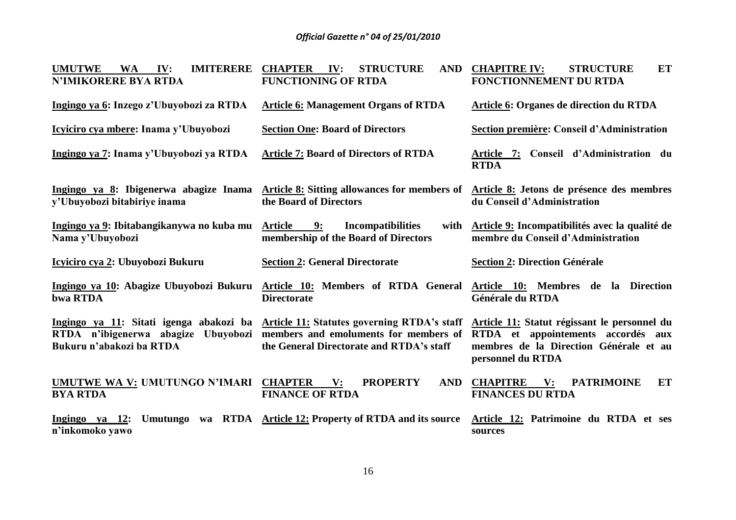| <b>UMUTWE</b><br><b>IMITERERE</b><br><b>WA</b><br>IV:<br><b>N'IMIKORERE BYA RTDA</b> | <b>STRUCTURE</b><br><b>CHAPTER</b><br>IV:<br><b>AND</b><br><b>FUNCTIONING OF RTDA</b>                                                                                    | <b>ET</b><br><b>CHAPITRE IV:</b><br><b>STRUCTURE</b><br>FONCTIONNEMENT DU RTDA                                                                    |
|--------------------------------------------------------------------------------------|--------------------------------------------------------------------------------------------------------------------------------------------------------------------------|---------------------------------------------------------------------------------------------------------------------------------------------------|
| Ingingo ya 6: Inzego z'Ubuyobozi za RTDA                                             | <b>Article 6: Management Organs of RTDA</b>                                                                                                                              | <b>Article 6: Organes de direction du RTDA</b>                                                                                                    |
| Icyiciro cya mbere: Inama y'Ubuyobozi                                                | <b>Section One: Board of Directors</b>                                                                                                                                   | Section première: Conseil d'Administration                                                                                                        |
| Ingingo ya 7: Inama y'Ubuyobozi ya RTDA                                              | <b>Article 7: Board of Directors of RTDA</b>                                                                                                                             | Article 7: Conseil d'Administration du<br><b>RTDA</b>                                                                                             |
| Ingingo ya 8: Ibigenerwa abagize Inama<br>y'Ubuyobozi bitabiriye inama               | <b>Article 8:</b> Sitting allowances for members of<br>the Board of Directors                                                                                            | Article 8: Jetons de présence des membres<br>du Conseil d'Administration                                                                          |
| Ingingo ya 9: Ibitabangikanywa no kuba mu<br>Nama y'Ubuyobozi                        | <b>Article</b><br><b>Incompatibilities</b><br>9:<br>with<br>membership of the Board of Directors                                                                         | Article 9: Incompatibilités avec la qualité de<br>membre du Conseil d'Administration                                                              |
| Icyiciro cya 2: Ubuyobozi Bukuru                                                     | <b>Section 2: General Directorate</b>                                                                                                                                    | <b>Section 2: Direction Générale</b>                                                                                                              |
| Ingingo ya 10: Abagize Ubuyobozi Bukuru<br>bwa RTDA                                  | Article 10: Members of RTDA General<br><b>Directorate</b>                                                                                                                | Article 10: Membres de la Direction<br>Générale du RTDA                                                                                           |
| RTDA n'ibigenerwa abagize Ubuyobozi<br>Bukuru n'abakozi ba RTDA                      | Ingingo ya 11: Sitati igenga abakozi ba Article 11: Statutes governing RTDA's staff<br>members and emoluments for members of<br>the General Directorate and RTDA's staff | Article 11: Statut régissant le personnel du<br>RTDA et appointements accordés aux<br>membres de la Direction Générale et au<br>personnel du RTDA |
| UMUTWE WA V: UMUTUNGO N'IMARI CHAPTER<br><b>BYA RTDA</b>                             | $\mathbf{V}$ :<br><b>PROPERTY</b><br><b>AND</b><br><b>FINANCE OF RTDA</b>                                                                                                | <b>PATRIMOINE</b><br><b>ET</b><br><b>CHAPITRE</b><br>$\mathbf{V}$ :<br><b>FINANCES DU RTDA</b>                                                    |
| Ingingo ya 12:<br>n'inkomoko yawo                                                    | Umutungo wa RTDA Article 12: Property of RTDA and its source                                                                                                             | Article 12: Patrimoine du RTDA et ses<br>sources                                                                                                  |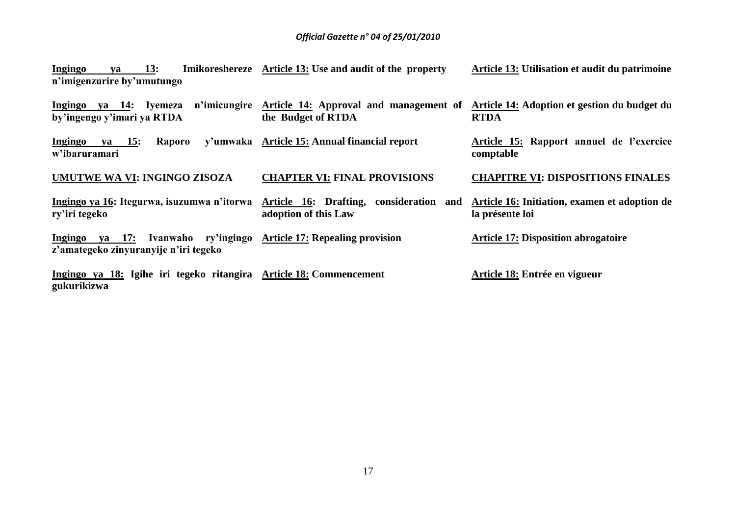| Ingingo ya 13:             |  | Imikoreshereze Article 13: Use and audit of the property | Article 13: Utilisation et audit du patrimoine |
|----------------------------|--|----------------------------------------------------------|------------------------------------------------|
| n'imigenzurire by'umutungo |  |                                                          |                                                |

Ingingo ya 14: Iyemeza n'imicungire <u>Article 14:</u> Approval and management of <u>Article 14:</u> Adoptionet gestion du budget du **by'ingengo y'imari ya RTDA the Budget of RTDA RTDA**

**Ingingo ya 15: Raporo w'ibaruramari Article 15: Annual financial report Article 15: Rapport annuel de l'exercice comptable**

**UMUTWE WA VI: INGINGO ZISOZA CHAPTER VI: FINAL PROVISIONS CHAPITRE VI: DISPOSITIONS FINALES**

**Ingingo ya 16: Itegurwa, isuzumwa n'itorwa Article 16: Drafting, consideration and ry'iri tegeko adoption of this Law Article 16: Initiation, examen et adoption de la présente loi**

**Ingingo ya 17: Ivanwaho ry'ingingo Article 17: Repealing provision z'amategeko zinyuranyije n'iri tegeko**

**Ingingo ya 18: Igihe iri tegeko ritangira Article 18: Commencement gukurikizwa** 

**Article 17: Disposition abrogatoire** 

**Article 18: Entrée en vigueur**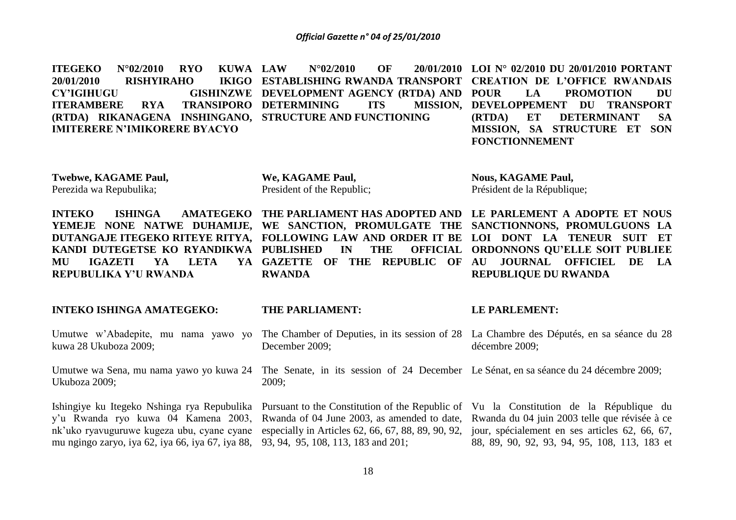**ITEGEKO** N°02/2010 RYO KUWA LAW 20/01/2010 **RISHYIRAHO CY'IGIHUGU ITERAMBERE RYA (RTDA) RIKANAGENA INSHINGANO, STRUCTURE AND FUNCTIONING IMITERERE N'IMIKORERE BYACYO LAW N°02/2010 OF 20/01/2010 LOI N° 02/2010 DU 20/01/2010 PORTANT ESTABLISHING RWANDA TRANSPORT CREATION DE L'OFFICE RWANDAIS GISHINZWE DEVELOPMENT AGENCY (RTDA) AND POUR TRANSIPORO DETERMINING ITS** LA PROMOTION DU **MISSION, DEVELOPPEMENT DU TRANSPORT (RTDA) ET DETERMINANT SA MISSION, SA STRUCTURE ET SON FONCTIONNEMENT**

**Twebwe, KAGAME Paul,** Perezida wa Repubulika;

**We, KAGAME Paul,**  President of the Republic; **Nous, KAGAME Paul,**  Président de la République;

**INTEKO ISHINGA AMATEGEKO THE PARLIAMENT HAS ADOPTED AND LE PARLEMENT A ADOPTE ET NOUS YEMEJE NONE NATWE DUHAMIJE, WE SANCTION, PROMULGATE THE SANCTIONNONS, PROMULGUONS LA DUTANGAJE ITEGEKO RITEYE RITYA, FOLLOWING LAW AND ORDER IT BE LOI DONT LA TENEUR SUIT ET KANDI DUTEGETSE KO RYANDIKWA PUBLISHED IN THE OFFICIAL MU IGAZETI YA LETA YA REPUBULIKA Y'U RWANDA** YA GAZETTE OF THE REPUBLIC OF AU **RWANDA ORDONNONS QU'ELLE SOIT PUBLIEE AU JOURNAL OFFICIEL DE LA REPUBLIQUE DU RWANDA**

### **INTEKO ISHINGA AMATEGEKO:**

Umutwe w'Abadepite, mu nama yawo yo kuwa 28 Ukuboza 2009;

Umutwe wa Sena, mu nama yawo yo kuwa 24 Ukuboza 2009;

y'u Rwanda ryo kuwa 04 Kamena 2003, nk'uko ryavuguruwe kugeza ubu, cyane cyane especially in Articles 62, 66, 67, 88, 89, 90, 92, jour, spécialement en ses articles 62, 66, 67, mu ngingo zaryo, iya 62, iya 66, iya 67, iya 88, 93, 94, 95, 108, 113, 183 and 201;

### **THE PARLIAMENT:**

The Chamber of Deputies, in its session of 28 La Chambre des Députés, en sa séance du 28 December 2009; décembre 2009;

The Senate, in its session of 24 December Le Sénat, en sa séance du 24 décembre 2009; 2009;

Rwanda of 04 June 2003, as amended to date,

# **LE PARLEMENT:**

Ishingiye ku Itegeko Nshinga rya Repubulika Pursuant to the Constitution of the Republic of Vu la Constitution de la République du Rwanda du 04 juin 2003 telle que révisée à ce 88, 89, 90, 92, 93, 94, 95, 108, 113, 183 et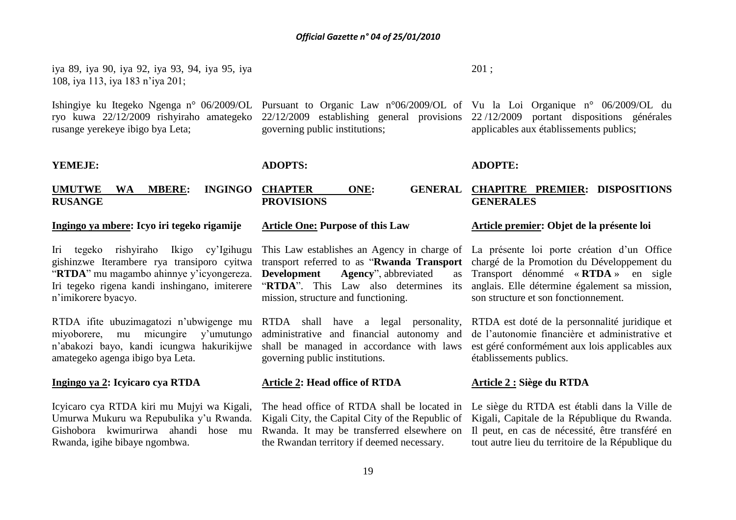iya 89, iya 90, iya 92, iya 93, 94, iya 95, iya 108, iya 113, iya 183 n'iya 201;

Ishingiye ku Itegeko Ngenga n° 06/2009/OL Pursuant to Organic Law n°06/2009/OL of Vu la Loi Organique n° 06/2009/OL du ryo kuwa 22/12/2009 rishyiraho amategeko rusange yerekeye ibigo bya Leta;

### **YEMEJE:**

**RUSANGE**

governing public institutions;

### **ADOPTS:**

# **PROVISIONS**

### **Ingingo ya mbere: Icyo iri tegeko rigamije**

**UMUTWE WA MBERE: INGINGO** 

Iri tegeko rishyiraho Ikigo cy'Igihugu gishinzwe Iterambere rya transiporo cyitwa "**RTDA**" mu magambo ahinnye y'icyongereza. Iri tegeko rigena kandi inshingano, imiterere n'imikorere byacyo.

RTDA ifite ubuzimagatozi n'ubwigenge mu miyoborere, mu micungire y'umutungo n'abakozi bayo, kandi icungwa hakurikijwe amategeko agenga ibigo bya Leta.

### **Ingingo ya 2: Icyicaro cya RTDA**

Icyicaro cya RTDA kiri mu Mujyi wa Kigali, Umurwa Mukuru wa Repubulika y'u Rwanda. Gishobora kwimurirwa ahandi hose mu Rwanda, igihe bibaye ngombwa.

# **Article One: Purpose of this Law**

**Development Agency**", abbreviated "**RTDA**". This Law also determines its mission, structure and functioning.

RTDA shall have a legal personality, administrative and financial autonomy and shall be managed in accordance with laws governing public institutions.

### **Article 2: Head office of RTDA**

The head office of RTDA shall be located in Kigali City, the Capital City of the Republic of Rwanda. It may be transferred elsewhere on the Rwandan territory if deemed necessary.

### 201 ;

22/12/2009 establishing general provisions 22 /12/2009 portant dispositions générales applicables aux établissements publics;

### **ADOPTE:**

### **CHAPTER ONE: GENERAL CHAPITRE PREMIER: DISPOSITIONS GENERALES**

### **Article premier: Objet de la présente loi**

This Law establishes an Agency in charge of La présente loi porte création d'un Office transport referred to as "**Rwanda Transport**  chargé de la Promotion du Développement du Transport dénommé « **RTDA** » en sigle anglais. Elle détermine également sa mission, son structure et son fonctionnement.

> RTDA est doté de la personnalité juridique et de l'autonomie financière et administrative et est géré conformément aux lois applicables aux établissements publics.

### **Article 2 : Siège du RTDA**

Le siège du RTDA est établi dans la Ville de Kigali, Capitale de la République du Rwanda. Il peut, en cas de nécessité, être transféré en tout autre lieu du territoire de la République du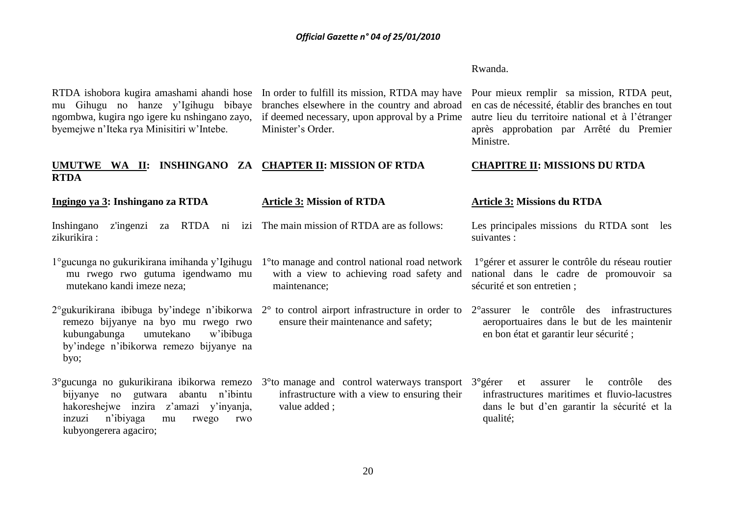### Rwanda.

RTDA ishobora kugira amashami ahandi hose In order to fulfill its mission, RTDA may have mu Gihugu no hanze y'Igihugu bibaye ngombwa, kugira ngo igere ku nshingano zayo, byemejwe n'Iteka rya Minisitiri w'Intebe.

branches elsewhere in the country and abroad if deemed necessary, upon approval by a Prime Minister's Order.

Pour mieux remplir sa mission, RTDA peut, en cas de nécessité, établir des branches en tout autre lieu du territoire national et à l'étranger après approbation par Arrêté du Premier Ministre.

### **UMUTWE WA II: INSHINGANO ZA CHAPTER II: MISSION OF RTDA RTDA CHAPITRE II: MISSIONS DU RTDA**

### **Ingingo ya 3: Inshingano za RTDA** Inshingano z'ingenzi za RTDA ni izi The main mission of RTDA are as follows: zikurikira : 1°gucunga no gukurikirana imihanda y'Igihugu 1°to manage and control national road network mu rwego rwo gutuma igendwamo mu mutekano kandi imeze neza; 2°gukurikirana ibibuga by'indege n'ibikorwa 2° to control airport infrastructure in order to 2°assurer le contrôle des infrastructures remezo bijyanye na byo mu rwego rwo kubungabunga umutekano w'ibibuga by'indege n'ibikorwa remezo bijyanye na byo; 3°gucunga no gukurikirana ibikorwa remezo 3°to manage and control waterways transport 3**°**gérer et assurer le contrôle des bijyanye no gutwara abantu n'ibintu hakoreshejwe inzira z'amazi y'inyanja, inzuzi n'ibiyaga mu rwego rwo kubyongerera agaciro; **Article 3: Mission of RTDA** with a view to achieving road safety and maintenance; ensure their maintenance and safety; infrastructure with a view to ensuring their value added ; **Article 3: Missions du RTDA** Les principales missions du RTDA sont les suivantes : 1°gérer et assurer le contrôle du réseau routier national dans le cadre de promouvoir sa sécurité et son entretien ; aeroportuaires dans le but de les maintenir en bon état et garantir leur sécurité ; infrastructures maritimes et fluvio-lacustres dans le but d'en garantir la sécurité et la qualité;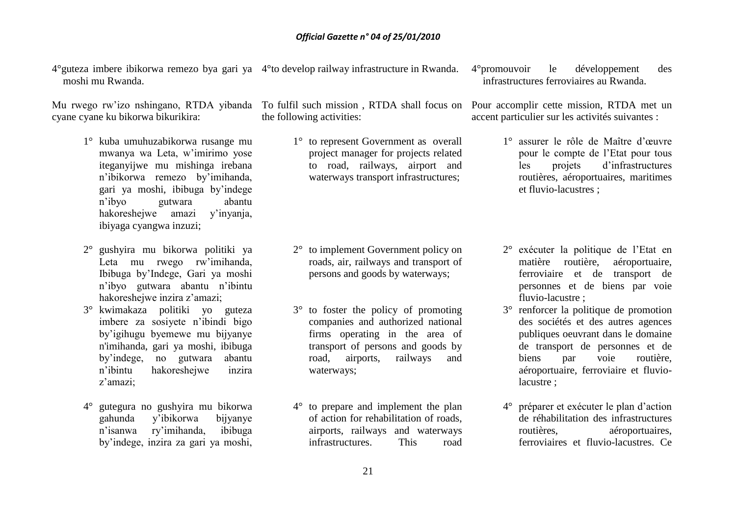4°guteza imbere ibikorwa remezo bya gari ya 4°to develop railway infrastructure in Rwanda. moshi mu Rwanda.

cyane cyane ku bikorwa bikurikira:

- 1° kuba umuhuzabikorwa rusange mu mwanya wa Leta, w'imirimo yose iteganyijwe mu mishinga irebana n'ibikorwa remezo by'imihanda, gari ya moshi, ibibuga by'indege n'ibyo gutwara abantu hakoreshejwe amazi y'inyanja, ibiyaga cyangwa inzuzi;
- 2° gushyira mu bikorwa politiki ya Leta mu rwego rw'imihanda, Ibibuga by'Indege, Gari ya moshi n'ibyo gutwara abantu n'ibintu hakoreshejwe inzira z'amazi;
- 3° kwimakaza politiki yo guteza imbere za sosiyete n'ibindi bigo by'igihugu byemewe mu bijyanye n'imihanda, gari ya moshi, ibibuga by'indege, no gutwara abantu n'ibintu hakoreshejwe inzira z'amazi;
- 4° gutegura no gushyira mu bikorwa gahunda y'ibikorwa bijyanye n'isanwa ry'imihanda, ibibuga by'indege, inzira za gari ya moshi,

the following activities:

1° to represent Government as overall project manager for projects related to road, railways, airport and waterways transport infrastructures;

- 2° to implement Government policy on roads, air, railways and transport of persons and goods by waterways;
- 3° to foster the policy of promoting companies and authorized national firms operating in the area of transport of persons and goods by road, airports, railways and waterways;
- 4° to prepare and implement the plan of action for rehabilitation of roads, airports, railways and waterways infrastructures. This road

4°promouvoir le développement des infrastructures ferroviaires au Rwanda.

Mu rwego rw'izo nshingano, RTDA yibanda To fulfil such mission , RTDA shall focus on Pour accomplir cette mission, RTDA met un accent particulier sur les activités suivantes :

- 1° assurer le rôle de Maître d'œuvre pour le compte de l'Etat pour tous les projets d'infrastructures routières, aéroportuaires, maritimes et fluvio-lacustres ;
- 2° exécuter la politique de l'Etat en matière routière, aéroportuaire, ferroviaire et de transport de personnes et de biens par voie fluvio-lacustre ;
- 3° renforcer la politique de promotion des sociétés et des autres agences publiques oeuvrant dans le domaine de transport de personnes et de biens par voie routière, aéroportuaire, ferroviaire et fluviolacustre ;
- 4° préparer et exécuter le plan d'action de réhabilitation des infrastructures routières, aéroportuaires, ferroviaires et fluvio-lacustres. Ce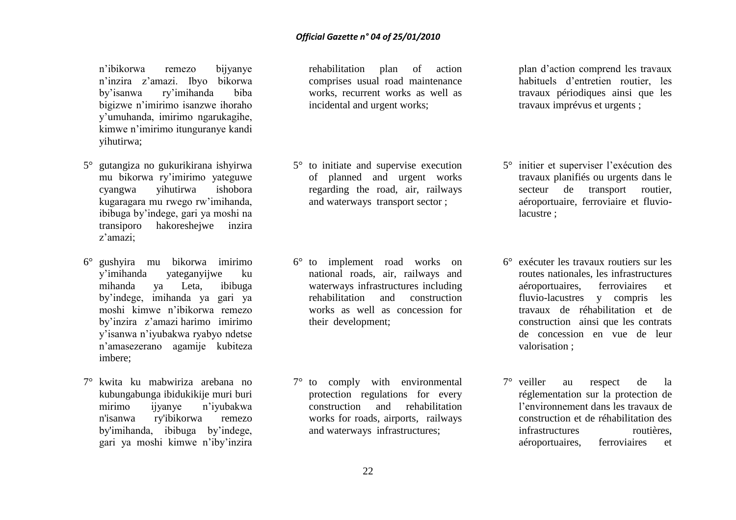n'ibikorwa remezo bijyanye n'inzira z'amazi. Ibyo bikorwa by'isanwa ry'imihanda biba bigizwe n'imirimo isanzwe ihoraho y'umuhanda, imirimo ngarukagihe, kimwe n'imirimo itunguranye kandi yihutirwa;

- 5° gutangiza no gukurikirana ishyirwa mu bikorwa ry'imirimo yateguwe cyangwa yihutirwa ishobora kugaragara mu rwego rw'imihanda, ibibuga by'indege, gari ya moshi na transiporo hakoreshejwe inzira z'amazi;
- 6° gushyira mu bikorwa imirimo y'imihanda yateganyijwe ku mihanda ya Leta, ibibuga by'indege, imihanda ya gari ya moshi kimwe n'ibikorwa remezo by'inzira z'amazi harimo imirimo y'isanwa n'iyubakwa ryabyo ndetse n'amasezerano agamije kubiteza imbere;
- 7° kwita ku mabwiriza arebana no kubungabunga ibidukikije muri buri mirimo ijyanye n'iyubakwa n'isanwa ry'ibikorwa remezo by'imihanda, ibibuga by'indege, gari ya moshi kimwe n'iby'inzira

rehabilitation plan of action comprises usual road maintenance works, recurrent works as well as incidental and urgent works;

- 5° to initiate and supervise execution of planned and urgent works regarding the road, air, railways and waterways transport sector ;
- 6° to implement road works on national roads, air, railways and waterways infrastructures including rehabilitation and construction works as well as concession for their development;
- 7° to comply with environmental protection regulations for every construction and rehabilitation works for roads, airports, railways and waterways infrastructures;

plan d'action comprend les travaux habituels d'entretien routier, les travaux périodiques ainsi que les travaux imprévus et urgents ;

- 5° initier et superviser l'exécution des travaux planifiés ou urgents dans le secteur de transport routier, aéroportuaire, ferroviaire et fluviolacustre ;
- 6° exécuter les travaux routiers sur les routes nationales, les infrastructures aéroportuaires, ferroviaires et fluvio-lacustres y compris les travaux de réhabilitation et de construction ainsi que les contrats de concession en vue de leur valorisation ;
- 7° veiller au respect de la réglementation sur la protection de l'environnement dans les travaux de construction et de réhabilitation des infrastructures routières, aéroportuaires, ferroviaires et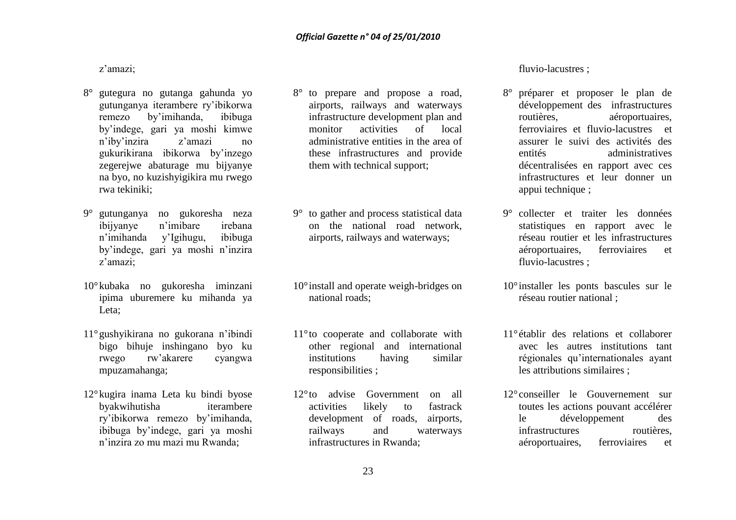z'amazi;

- 8° gutegura no gutanga gahunda yo gutunganya iterambere ry'ibikorwa remezo by'imihanda, ibibuga by'indege, gari ya moshi kimwe n'iby'inzira z'amazi no gukurikirana ibikorwa by'inzego zegerejwe abaturage mu bijyanye na byo, no kuzishyigikira mu rwego rwa tekiniki;
- 9° gutunganya no gukoresha neza ibijyanye n'imibare irebana n'imihanda y'Igihugu, ibibuga by'indege, gari ya moshi n'inzira z'amazi;
- 10°kubaka no gukoresha iminzani ipima uburemere ku mihanda ya Leta;
- 11°gushyikirana no gukorana n'ibindi bigo bihuje inshingano byo ku rwego rw'akarere cyangwa mpuzamahanga;
- 12°kugira inama Leta ku bindi byose byakwihutisha iterambere ry'ibikorwa remezo by'imihanda, ibibuga by'indege, gari ya moshi n'inzira zo mu mazi mu Rwanda;
- 8° to prepare and propose a road, airports, railways and waterways infrastructure development plan and monitor activities of local administrative entities in the area of these infrastructures and provide them with technical support;
- 9° to gather and process statistical data on the national road network, airports, railways and waterways;
- 10°install and operate weigh-bridges on national roads;
- 11°to cooperate and collaborate with other regional and international institutions having similar responsibilities ;
- 12°to advise Government on all activities likely to fastrack development of roads, airports, railways and waterways infrastructures in Rwanda;

fluvio-lacustres ;

- 8° préparer et proposer le plan de développement des infrastructures routières, aéroportuaires, ferroviaires et fluvio-lacustres et assurer le suivi des activités des entités administratives décentralisées en rapport avec ces infrastructures et leur donner un appui technique ;
- 9° collecter et traiter les données statistiques en rapport avec le réseau routier et les infrastructures aéroportuaires, ferroviaires et fluvio-lacustres ;
- 10° installer les ponts bascules sur le réseau routier national ;
- 11°établir des relations et collaborer avec les autres institutions tant régionales qu'internationales ayant les attributions similaires ;
- 12°conseiller le Gouvernement sur toutes les actions pouvant accélérer le développement des infrastructures routières, aéroportuaires, ferroviaires et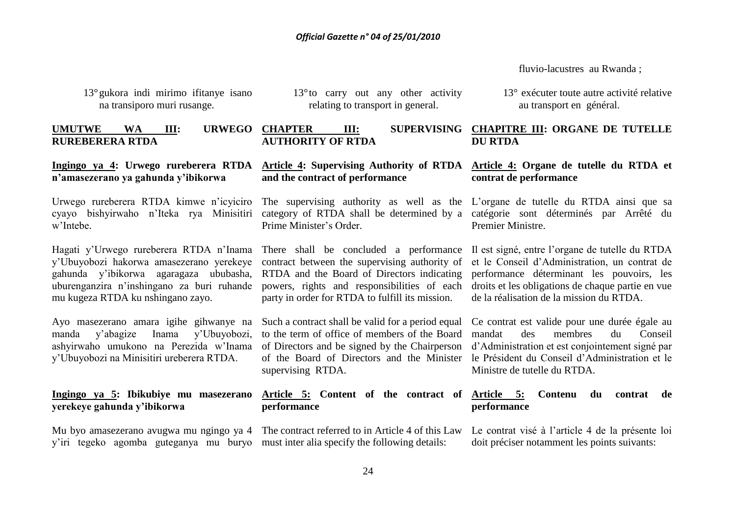fluvio-lacustres au Rwanda ;

13°gukora indi mirimo ifitanye isano na transiporo muri rusange.

13°to carry out any other activity relating to transport in general.

**UMUTWE WA III: URWEGO RUREBERERA RTDA**

### **Ingingo ya 4: Urwego rureberera RTDA n'amasezerano ya gahunda y'ibikorwa**

Urwego rureberera RTDA kimwe n'icyiciro w'Intebe.

Hagati y'Urwego rureberera RTDA n'Inama y'Ubuyobozi hakorwa amasezerano yerekeye gahunda y'ibikorwa agaragaza ububasha, uburenganzira n'inshingano za buri ruhande mu kugeza RTDA ku nshingano zayo.

Ayo masezerano amara igihe gihwanye na manda y'abagize Inama y'Ubuyobozi, ashyirwaho umukono na Perezida w'Inama y'Ubuyobozi na Minisitiri ureberera RTDA.

### **Ingingo ya 5: Ibikubiye mu masezerano yerekeye gahunda y'ibikorwa**

Mu byo amasezerano avugwa mu ngingo ya 4 The contract referred to in Article 4 of this Law y'iri tegeko agomba guteganya mu buryo must inter alia specify the following details:

**AUTHORITY OF RTDA** 

**and the contract of performance**

Prime Minister's Order.

There shall be concluded a performance contract between the supervising authority of RTDA and the Board of Directors indicating powers, rights and responsibilities of each party in order for RTDA to fulfill its mission.

Such a contract shall be valid for a period equal to the term of office of members of the Board of Directors and be signed by the Chairperson of the Board of Directors and the Minister supervising RTDA.

### **Article 5: Content of the contract of performance**

13° exécuter toute autre activité relative au transport en général.

**CHAPTER III: SUPERVISING CHAPITRE III: ORGANE DE TUTELLE DU RTDA**

### **Article 4: Supervising Authority of RTDA Article 4: Organe de tutelle du RTDA et contrat de performance**

cyayo bishyirwaho n'Iteka rya Minisitiri category of RTDA shall be determined by a catégorie sont déterminés par Arrêté du The supervising authority as well as the L'organe de tutelle du RTDA ainsi que sa Premier Ministre.

> Il est signé, entre l'organe de tutelle du RTDA et le Conseil d'Administration, un contrat de performance déterminant les pouvoirs, les droits et les obligations de chaque partie en vue de la réalisation de la mission du RTDA.

> Ce contrat est valide pour une durée égale au mandat des membres du Conseil d'Administration et est conjointement signé par le Président du Conseil d'Administration et le Ministre de tutelle du RTDA.

### **Article 5: Contenu du contrat de performance**

Le contrat visé à l'article 4 de la présente loi doit préciser notamment les points suivants: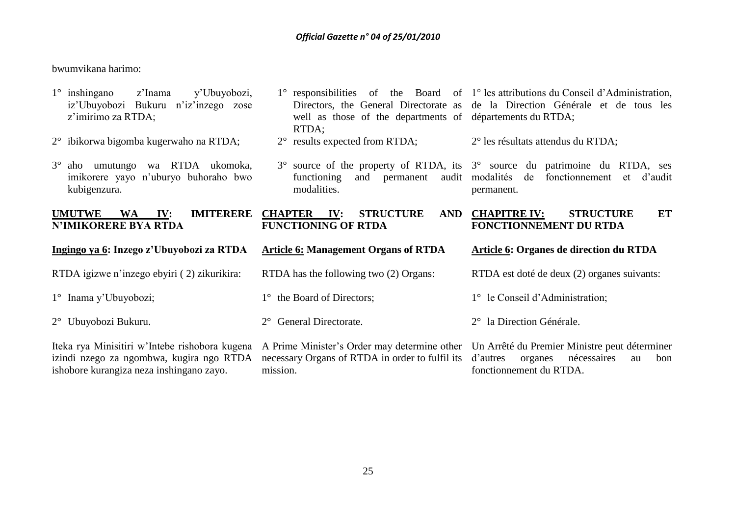bwumvikana harimo:

| $1^\circ$ inshing and<br>y'Ubuyobozi,<br>z'Inama<br>iz'Ubuyobozi Bukuru n'iz'inzego zose<br>z'imirimo za RTDA; | well as those of the departments of départements du RTDA;<br>RTDA;                 | 1° responsibilities of the Board of 1° les attributions du Conseil d'Administration,<br>Directors, the General Directorate as de la Direction Générale et de tous les |
|----------------------------------------------------------------------------------------------------------------|------------------------------------------------------------------------------------|-----------------------------------------------------------------------------------------------------------------------------------------------------------------------|
| 2° ibikorwa bigomba kugerwaho na RTDA;                                                                         | $2^{\circ}$ results expected from RTDA;                                            | 2° les résultats attendus du RTDA;                                                                                                                                    |
| $3^\circ$ aho<br>wa RTDA ukomoka,<br>umutungo<br>imikorere yayo n'uburyo buhoraho bwo<br>kubigenzura.          | functioning<br>and<br>permanent<br>modalities.                                     | 3° source of the property of RTDA, its 3° source du patrimoine du RTDA, ses<br>audit modalités de<br>fonctionnement<br>et d'audit<br>permanent.                       |
| <b>UMUTWE</b><br><b>IMITERERE</b><br>IV:<br><b>WA</b><br><b>N'IMIKORERE BYA RTDA</b>                           | <b>CHAPTER IV:</b><br><b>STRUCTURE</b><br><b>AND</b><br><b>FUNCTIONING OF RTDA</b> | <b>STRUCTURE</b><br><b>CHAPITRE IV:</b><br>ET<br>FONCTIONNEMENT DU RTDA                                                                                               |
| Ingingo ya 6: Inzego z'Ubuyobozi za RTDA                                                                       | <b>Article 6: Management Organs of RTDA</b>                                        | <b>Article 6: Organes de direction du RTDA</b>                                                                                                                        |
|                                                                                                                |                                                                                    |                                                                                                                                                                       |
| RTDA igizwe n'inzego ebyiri (2) zikurikira:                                                                    | RTDA has the following two (2) Organs:                                             | RTDA est doté de deux (2) organes suivants:                                                                                                                           |
| 1° Inama y'Ubuyobozi;                                                                                          | 1° the Board of Directors;                                                         | 1° le Conseil d'Administration;                                                                                                                                       |
| $2^{\circ}$ Ubuyobozi Bukuru.                                                                                  | General Directorate.<br>$2^{\circ}$                                                | 2° la Direction Générale.                                                                                                                                             |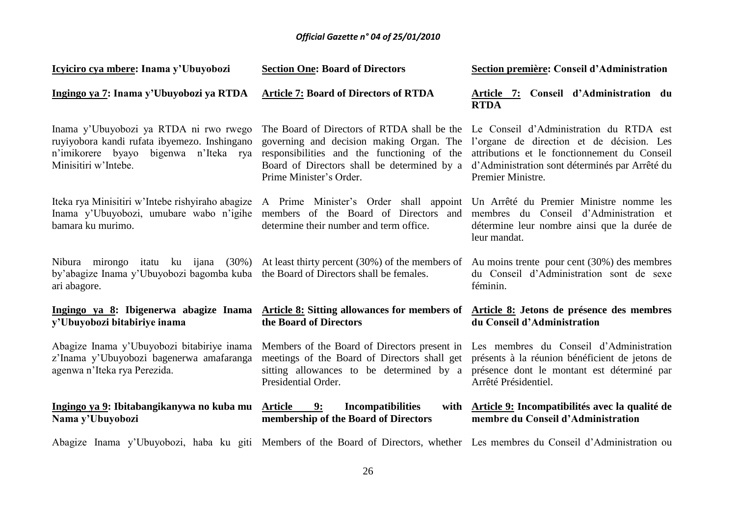| Icyiciro cya mbere: Inama y'Ubuyobozi                                                                                                                   | <b>Section One: Board of Directors</b>                                                                                                                                                                              | Section première: Conseil d'Administration                                                                                                                                                                                                              |
|---------------------------------------------------------------------------------------------------------------------------------------------------------|---------------------------------------------------------------------------------------------------------------------------------------------------------------------------------------------------------------------|---------------------------------------------------------------------------------------------------------------------------------------------------------------------------------------------------------------------------------------------------------|
| Ingingo ya 7: Inama y'Ubuyobozi ya RTDA                                                                                                                 | <b>Article 7: Board of Directors of RTDA</b>                                                                                                                                                                        | Article 7: Conseil d'Administration du<br><b>RTDA</b>                                                                                                                                                                                                   |
| Inama y'Ubuyobozi ya RTDA ni rwo rwego<br>ruyiyobora kandi rufata ibyemezo. Inshingano<br>n'imikorere byayo bigenwa n'Iteka rya<br>Minisitiri w'Intebe. | governing and decision making Organ. The<br>responsibilities and the functioning of the<br>Board of Directors shall be determined by a<br>Prime Minister's Order.                                                   | The Board of Directors of RTDA shall be the Le Conseil d'Administration du RTDA est<br>l'organe de direction et de décision. Les<br>attributions et le fonctionnement du Conseil<br>d'Administration sont déterminés par Arrêté du<br>Premier Ministre. |
| Inama y'Ubuyobozi, umubare wabo n'igihe<br>bamara ku murimo.                                                                                            | Iteka rya Minisitiri w'Intebe rishyiraho abagize A Prime Minister's Order shall appoint Un Arrêté du Premier Ministre nomme les<br>members of the Board of Directors and<br>determine their number and term office. | membres du Conseil d'Administration et<br>détermine leur nombre ainsi que la durée de<br>leur mandat.                                                                                                                                                   |
| by'abagize Inama y'Ubuyobozi bagomba kuba the Board of Directors shall be females.<br>ari abagore.                                                      | Nibura mirongo itatu ku ijana (30%) At least thirty percent (30%) of the members of                                                                                                                                 | Au moins trente pour cent $(30%)$ des membres<br>du Conseil d'Administration sont de sexe<br>féminin.                                                                                                                                                   |
| Ingingo ya 8: Ibigenerwa abagize Inama<br>y'Ubuyobozi bitabiriye inama                                                                                  | the Board of Directors                                                                                                                                                                                              | Article 8: Sitting allowances for members of Article 8: Jetons de présence des membres<br>du Conseil d'Administration                                                                                                                                   |
| Abagize Inama y'Ubuyobozi bitabiriye inama<br>z'Inama y'Ubuyobozi bagenerwa amafaranga<br>agenwa n'Iteka rya Perezida.                                  | meetings of the Board of Directors shall get<br>sitting allowances to be determined by a<br>Presidential Order.                                                                                                     | Members of the Board of Directors present in Les membres du Conseil d'Administration<br>présents à la réunion bénéficient de jetons de<br>présence dont le montant est déterminé par<br>Arrêté Présidentiel.                                            |
| Ingingo ya 9: Ibitabangikanywa no kuba mu<br>Nama y'Ubuyobozi                                                                                           | <b>Article</b><br>9:<br><b>Incompatibilities</b><br>membership of the Board of Directors                                                                                                                            | with Article 9: Incompatibilités avec la qualité de<br>membre du Conseil d'Administration                                                                                                                                                               |
|                                                                                                                                                         |                                                                                                                                                                                                                     | Abogiza Inama y'Ubuyobazi, baba lay aiti. Mambare af the Doerd af Directors, whether I as mambros du Cansail d'Administration au                                                                                                                        |

Abagize Inama y'Ubuyobozi, haba ku giti Members of the Board of Directors, whether Les membres du Conseil d'Administration ou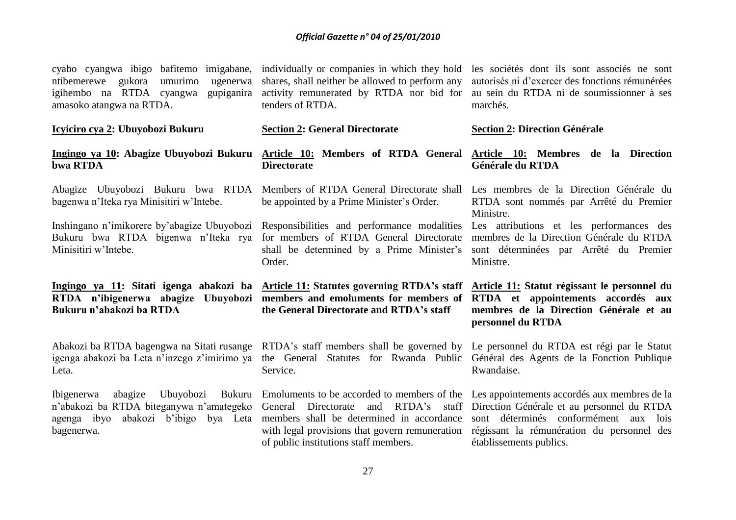| cyabo cyangwa ibigo bafitemo imigabane,<br>umurimo<br>ntibemerewe gukora<br>ugenerwa<br>igihembo na RTDA cyangwa<br>gupiganira<br>amasoko atangwa na RTDA. | individually or companies in which they hold<br>shares, shall neither be allowed to perform any<br>activity remunerated by RTDA nor bid for<br>tenders of RTDA.                        | les sociétés dont ils sont associés ne sont<br>autorisés ni d'exercer des fonctions rémunérées<br>au sein du RTDA ni de soumissionner à ses<br>marchés. |
|------------------------------------------------------------------------------------------------------------------------------------------------------------|----------------------------------------------------------------------------------------------------------------------------------------------------------------------------------------|---------------------------------------------------------------------------------------------------------------------------------------------------------|
| Icyiciro cya 2: Ubuyobozi Bukuru                                                                                                                           | <b>Section 2: General Directorate</b>                                                                                                                                                  | <b>Section 2: Direction Générale</b>                                                                                                                    |
| Ingingo ya 10: Abagize Ubuyobozi Bukuru<br>bwa RTDA                                                                                                        | Article 10: Members of RTDA General<br><b>Directorate</b>                                                                                                                              | Article 10: Membres de la Direction<br>Générale du RTDA                                                                                                 |
| bagenwa n'Iteka rya Minisitiri w'Intebe.                                                                                                                   | Abagize Ubuyobozi Bukuru bwa RTDA Members of RTDA General Directorate shall<br>be appointed by a Prime Minister's Order.                                                               | Les membres de la Direction Générale du<br>RTDA sont nommés par Arrêté du Premier<br>Ministre.                                                          |
| Inshingano n'imikorere by'abagize Ubuyobozi<br>Bukuru bwa RTDA bigenwa n'Iteka rya<br>Minisitiri w'Intebe.                                                 | Responsibilities and performance modalities<br>for members of RTDA General Directorate<br>shall be determined by a Prime Minister's<br>Order.                                          | Les attributions et les performances des<br>membres de la Direction Générale du RTDA<br>sont déterminées par Arrêté du Premier<br>Ministre.             |
|                                                                                                                                                            |                                                                                                                                                                                        |                                                                                                                                                         |
| RTDA n'ibigenerwa abagize Ubuyobozi<br>Bukuru n'abakozi ba RTDA                                                                                            | Ingingo ya 11: Sitati igenga abakozi ba Article 11: Statutes governing RTDA's staff<br>members and emoluments for members of<br>the General Directorate and RTDA's staff               | Article 11: Statut régissant le personnel du<br>RTDA et appointements accordés aux<br>membres de la Direction Générale et au<br>personnel du RTDA       |
| Abakozi ba RTDA bagengwa na Sitati rusange<br>igenga abakozi ba Leta n'inzego z'imirimo ya<br>Leta.                                                        | RTDA's staff members shall be governed by Le personnel du RTDA est régi par le Statut<br>the General Statutes for Rwanda Public Général des Agents de la Fonction Publique<br>Service. | Rwandaise.                                                                                                                                              |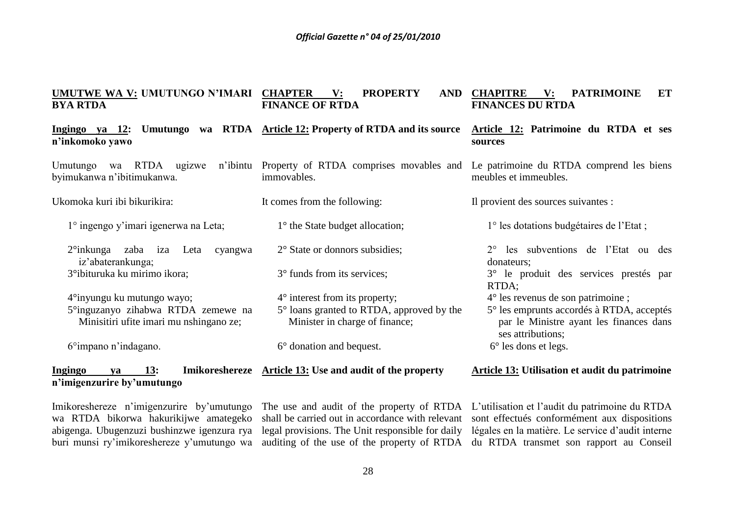### **UMUTWE WA V: UMUTUNGO N'IMARI CHAPTER V: PROPERTY AND BYA RTDA FINANCE OF RTDA CHAPITRE V: PATRIMOINE ET FINANCES DU RTDA**

It comes from the following:

1° the State budget allocation;

2° State or donnors subsidies;

3° funds from its services;

4° interest from its property;

6° donation and bequest.

**Ingingo ya 12: Umutungo wa RTDA Article 12: Property of RTDA and its source n'inkomoko yawo**

Umutungo wa RTDA ugizwe n'ibintu Property of RTDA comprises movables and byimukanwa n'ibitimukanwa. immovables.

Ukomoka kuri ibi bikurikira:

- 1° ingengo y'imari igenerwa na Leta;
- 2°inkunga zaba iza Leta cyangwa iz'abaterankunga; 3°ibituruka ku mirimo ikora;

4°inyungu ku mutungo wayo; 5°inguzanyo zihabwa RTDA zemewe na Minisitiri ufite imari mu nshingano ze;

6°impano n'indagano.

### **Ingingo ya 13: Imikoreshereze Article 13: Use and audit of the property n'imigenzurire by'umutungo Article 13: Utilisation et audit du patrimoine**

Minister in charge of finance;

5° loans granted to RTDA, approved by the

Imikoreshereze n'imigenzurire by'umutungo wa RTDA bikorwa hakurikijwe amategeko abigenga. Ubugenzuzi bushinzwe igenzura rya buri munsi ry'imikoreshereze y'umutungo wa

### **Article 12: Patrimoine du RTDA et ses sources**

Le patrimoine du RTDA comprend les biens meubles et immeubles.

Il provient des sources suivantes :

1° les dotations budgétaires de l'Etat ;

2° les subventions de l'Etat ou des donateurs; 3° le produit des services prestés par

RTDA;

4° les revenus de son patrimoine ;

5° les emprunts accordés à RTDA, acceptés par le Ministre ayant les finances dans ses attributions:

6° les dons et legs.

The use and audit of the property of RTDA L'utilisation et l'audit du patrimoine du RTDA shall be carried out in accordance with relevant sont effectués conformément aux dispositions legal provisions. The Unit responsible for daily légales en la matière. Le service d'audit interne auditing of the use of the property of RTDA du RTDA transmet son rapport au Conseil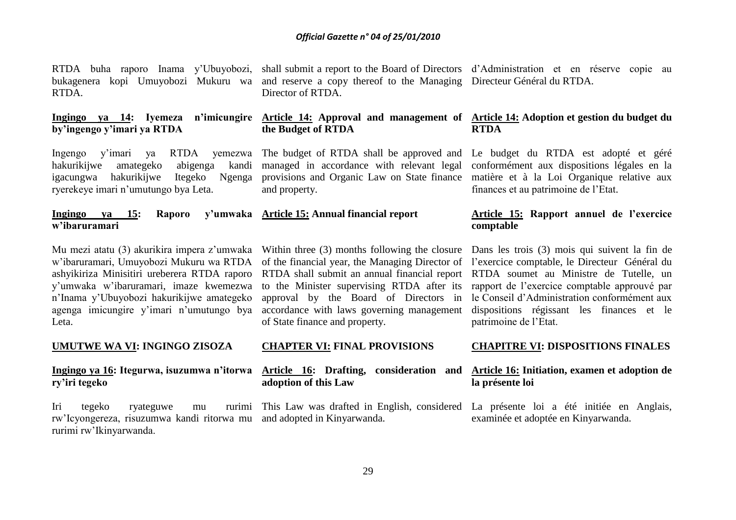RTDA buha raporo Inama y'Ubuyobozi, bukagenera kopi Umuyobozi Mukuru wa RTDA.

**by'ingengo y'imari ya RTDA**

Ingengo y'imari ya RTDA yemezwa The budget of RTDA shall be approved and Le budget du RTDA est adopté et géré igacungwa hakurikijwe Itegeko Ngenga ryerekeye imari n'umutungo bya Leta.

**Ingingo ya 15: Raporo w'ibaruramari Article 15: Annual financial report** 

w'ibaruramari, Umuyobozi Mukuru wa RTDA ashyikiriza Minisitiri ureberera RTDA raporo y'umwaka w'ibaruramari, imaze kwemezwa n'Inama y'Ubuyobozi hakurikijwe amategeko agenga imicungire y'imari n'umutungo bya Leta.

### **UMUTWE WA VI: INGINGO ZISOZA**

### **Ingingo ya 16: Itegurwa, isuzumwa n'itorwa ry'iri tegeko**

Iri tegeko ryateguwe mu rw'Icyongereza, risuzumwa kandi ritorwa mu and adopted in Kinyarwanda. rurimi rw'Ikinyarwanda.

shall submit a report to the Board of Directors d'Administration et en réserve copie au and reserve a copy thereof to the Managing Directeur Général du RTDA. Director of RTDA

### Ingingo ya 14: Iyemeza n'imicungire <u>Article 14:</u> Approval and management of <u>Article 14:</u> Adoptionet gestion du budget du **the Budget of RTDA RTDA**

hakurikijwe amategeko abigenga kandi managed in accordance with relevant legal conformément aux dispositions légales en la provisions and Organic Law on State finance matière et à la Loi Organique relative aux and property.

of the financial year, the Managing Director of l'exercice comptable, le Directeur Général du RTDA shall submit an annual financial report RTDA soumet au Ministre de Tutelle, un to the Minister supervising RTDA after its approval by the Board of Directors in accordance with laws governing management of State finance and property.

### **CHAPTER VI: FINAL PROVISIONS**

### **Article 16: Drafting, consideration and adoption of this Law**

finances et au patrimoine de l'Etat.

### **Article 15: Rapport annuel de l'exercice comptable**

Mu mezi atatu (3) akurikira impera z'umwaka Within three (3) months following the closure Dans les trois (3) mois qui suivent la fin de rapport de l'exercice comptable approuvé par le Conseil d'Administration conformément aux dispositions régissant les finances et le patrimoine de l'Etat.

### **CHAPITRE VI: DISPOSITIONS FINALES**

### **Article 16: Initiation, examen et adoption de la présente loi**

This Law was drafted in English, considered La présente loi a été initiée en Anglais, examinée et adoptée en Kinyarwanda.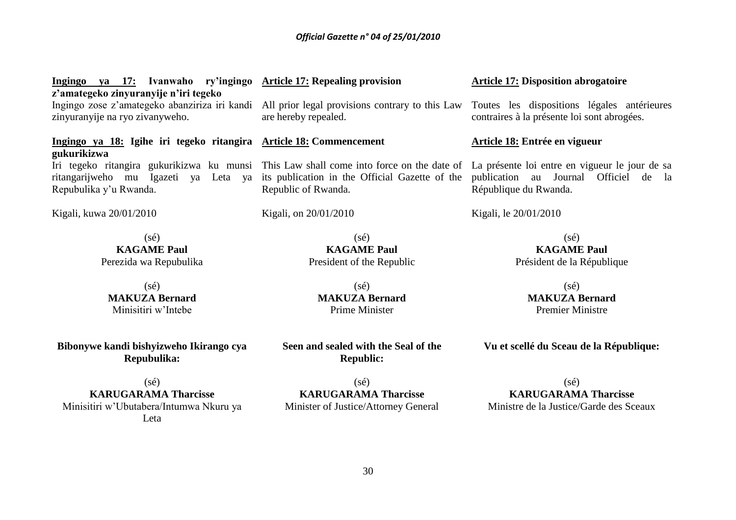| Ingingo ya 17: Ivanwaho ry'ingingo Article 17: Repealing provision<br>z'amategeko zinyuranyije n'iri tegeko |                                                                                                                                                                                                                                                                                     | <b>Article 17: Disposition abrogatoire</b>  |  |
|-------------------------------------------------------------------------------------------------------------|-------------------------------------------------------------------------------------------------------------------------------------------------------------------------------------------------------------------------------------------------------------------------------------|---------------------------------------------|--|
| zinyuranyije na ryo zivanyweho.                                                                             | Ingingo zose z'amategeko abanziriza iri kandi All prior legal provisions contrary to this Law Toutes les dispositions légales antérieure<br>are hereby repealed.                                                                                                                    | contraires à la présente loi sont abrogées. |  |
| Ingingo ya 18: Igihe iri tegeko ritangira Article 18: Commencement<br>gukurikizwa                           |                                                                                                                                                                                                                                                                                     | Article 18: Entrée en vigueur               |  |
| Repubulika y'u Rwanda.                                                                                      | Iri tegeko ritangira gukurikizwa ku munsi This Law shall come into force on the date of La présente loi entre en vigueur le jour de s<br>ritangarijweho mu Igazeti ya Leta ya its publication in the Official Gazette of the publication au Journal Officiel<br>Republic of Rwanda. | de l<br>République du Rwanda.               |  |
| Kigali, kuwa 20/01/2010                                                                                     | Kigali, on 20/01/2010                                                                                                                                                                                                                                                               | Kigali, le 20/01/2010                       |  |
| $(s\acute{e})$                                                                                              | $(s\acute{e})$                                                                                                                                                                                                                                                                      | $(s\acute{e})$                              |  |
| <b>KAGAME Paul</b>                                                                                          | <b>KAGAME Paul</b>                                                                                                                                                                                                                                                                  | <b>KAGAME Paul</b>                          |  |
| Perezida wa Repubulika                                                                                      | President of the Republic                                                                                                                                                                                                                                                           | Président de la République                  |  |
| $(s\acute{e})$                                                                                              | $(s\acute{e})$                                                                                                                                                                                                                                                                      | $(s\acute{e})$                              |  |
| <b>MAKUZA Bernard</b>                                                                                       | <b>MAKUZA Bernard</b>                                                                                                                                                                                                                                                               | <b>MAKUZA Bernard</b>                       |  |

Minisitiri w'Intebe

**Bibonywe kandi bishyizweho Ikirango cya Repubulika:**

(sé) **KARUGARAMA Tharcisse** Minisitiri w'Ubutabera/Intumwa Nkuru ya Leta

mard Prime Minister

**Seen and sealed with the Seal of the Republic:**

 $(s\acute{e})$ **KARUGARAMA Tharcisse** Minister of Justice/Attorney General **Vu et scellé du Sceau de la République:**

Premier Ministre

(sé) **KARUGARAMA Tharcisse** Ministre de la Justice/Garde des Sceaux

30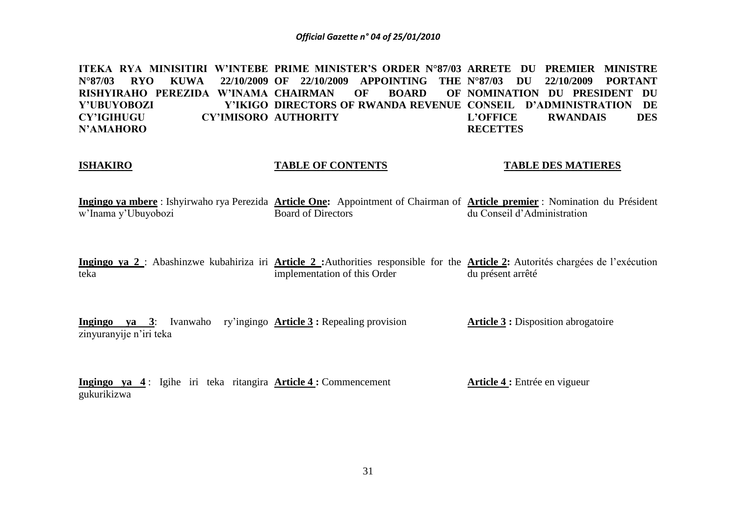ITEKA RYA MINISITIRI W'INTEBE PRIME MINISTER'S ORDER N°87/03 ARRETE DU PREMIER MINISTRE **N°87/03 RYO KUWA RISHYIRAHO PEREZIDA W'INAMA CHAIRMAN OF BOARD OF Y'UBUYOBOZI CY'IGIHUGU N'AMAHORO OF 22/10/2009 APPOINTING THE N°87/03 DU 22/10/2009 PORTANT DIRECTORS OF RWANDA REVENUE CONSEIL D'ADMINISTRATION DE CY'IMISORO AUTHORITY NOMINATION DU PRESIDENT DU L'OFFICE RWANDAIS DES RECETTES**

### **ISHAKIRO**

### **TABLE OF CONTENTS**

### **TABLE DES MATIERES**

**Ingingo ya mbere** : Ishyirwaho rya Perezida **Article One:** Appointment of Chairman of **Article premier** : Nomination du Président w'Inama y'Ubuyobozi Board of Directors du Conseil d'Administration

**Ingingo ya 2** : Abashinzwe kubahiriza iri **Article 2 :**Authorities responsible for the **Article 2:** Autorités chargées de l'exécution teka implementation of this Order du présent arrêté

**Ingingo ya 3**: Ivanwaho ry'ingingo **Article 3 :** Repealing provision zinyuranyije n'iri teka **Article 3 :** Disposition abrogatoire

**Ingingo ya 4** : Igihe iri teka ritangira **Article 4 :** Commencement gukurikizwa **Article 4 :** Entrée en vigueur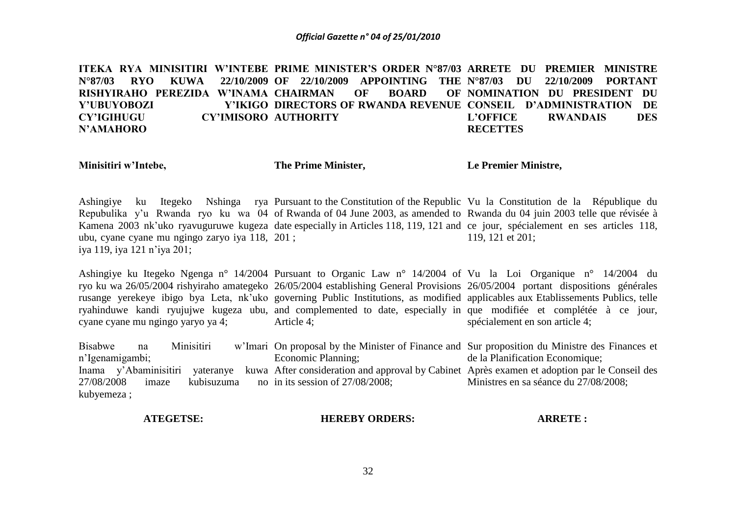ITEKA RYA MINISITIRI W'INTEBE PRIME MINISTER'S ORDER N°87/03 ARRETE DU PREMIER MINISTRE **N°87/03 RYO KUWA RISHYIRAHO PEREZIDA W'INAMA CHAIRMAN OF BOARD OF Y'UBUYOBOZI CY'IGIHUGU N'AMAHORO OF 22/10/2009 APPOINTING THE DIRECTORS OF RWANDA REVENUE CONSEIL D'ADMINISTRATION DE CY'IMISORO AUTHORITY N°87/03 DU 22/10/2009 PORTANT NOMINATION DU PRESIDENT DU L'OFFICE RWANDAIS DES RECETTES**

**Minisitiri w'Intebe,**

**The Prime Minister,**

**Le Premier Ministre,**

Ashingiye ku Itegeko Nshinga rya Pursuant to the Constitution of the Republic Vu la Constitution de la République du Repubulika y'u Rwanda ryo ku wa 04 of Rwanda of 04 June 2003, as amended to Rwanda du 04 juin 2003 telle que révisée à Kamena 2003 nk'uko ryavuguruwe kugeza date especially in Articles 118, 119, 121 and ce jour, spécialement en ses articles 118, ubu, cyane cyane mu ngingo zaryo iya 118, 201 ; iya 119, iya 121 n'iya 201; 119, 121 et 201;

Ashingiye ku Itegeko Ngenga n° 14/2004 Pursuant to Organic Law n° 14/2004 of Vu la Loi Organique n° 14/2004 du ryo ku wa 26/05/2004 rishyiraho amategeko 26/05/2004 establishing General Provisions 26/05/2004 portant dispositions générales rusange yerekeye ibigo bya Leta, nk'uko governing Public Institutions, as modified applicables aux Etablissements Publics, telle ryahinduwe kandi ryujujwe kugeza ubu, and complemented to date, especially in que modifiée et complétée à ce jour, cyane cyane mu ngingo yaryo ya 4; Article 4; spécialement en son article 4;

Bisabwe na Minisitiri w'Imari On proposal by the Minister of Finance and Sur proposition du Ministre des Finances et n'Igenamigambi; Inama y'Abaminisitiri yateranye kuwa After consideration and approval by Cabinet Après examen et adoption par le Conseil des  $27/08/2008$  imaze kubisuzuma kubyemeza ; Economic Planning; no in its session of  $27/08/2008$ ; de la Planification Economique; Ministres en sa séance du 27/08/2008;

### **ATEGETSE: HEREBY ORDERS: ARRETE :**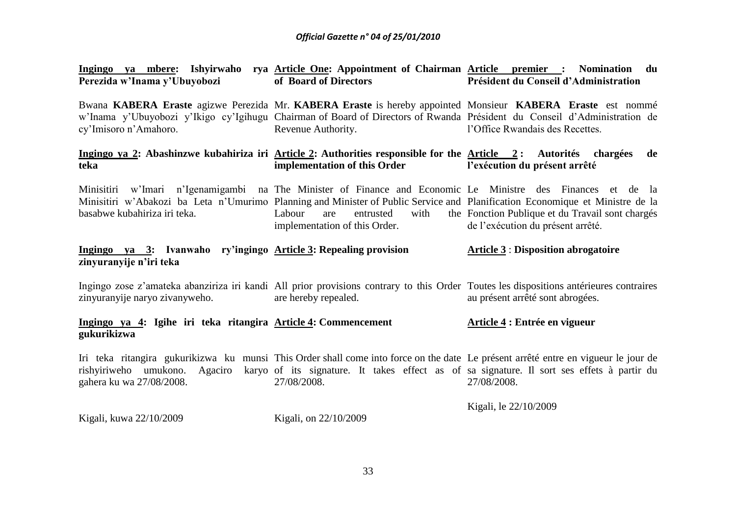| Ingingo ya mbere: Ishyirwaho rya Article One: Appointment of Chairman Article premier : Nomination<br>Perezida w'Inama y'Ubuyobozi       | of Board of Directors                                               | du<br>Président du Conseil d'Administration                                                                                                                                                                                                                                   |
|------------------------------------------------------------------------------------------------------------------------------------------|---------------------------------------------------------------------|-------------------------------------------------------------------------------------------------------------------------------------------------------------------------------------------------------------------------------------------------------------------------------|
| cy'Imisoro n'Amahoro.                                                                                                                    | Revenue Authority.                                                  | Bwana KABERA Eraste agizwe Perezida Mr. KABERA Eraste is hereby appointed Monsieur KABERA Eraste est nommé<br>w'Inama y'Ubuyobozi y'Ikigo cy'Igihugu Chairman of Board of Directors of Rwanda Président du Conseil d'Administration de<br>l'Office Rwandais des Recettes.     |
| Ingingo ya 2: Abashinzwe kubahiriza iri Article 2: Authorities responsible for the Article 2: Autorités chargées<br>teka                 | implementation of this Order                                        | de<br>l'exécution du présent arrêté                                                                                                                                                                                                                                           |
| Minisitiri w'Imari n'Igenamigambi na The Minister of Finance and Economic Le Ministre des Finances et de<br>basabwe kubahiriza iri teka. | Labour<br>with<br>are<br>entrusted<br>implementation of this Order. | - la<br>Minisitiri w'Abakozi ba Leta n'Umurimo Planning and Minister of Public Service and Planification Economique et Ministre de la<br>the Fonction Publique et du Travail sont chargés<br>de l'exécution du présent arrêté.                                                |
| Ingingo ya 3: Ivanwaho ry'ingingo Article 3: Repealing provision<br>zinyuranyije n'iri teka                                              |                                                                     | <b>Article 3: Disposition abrogatoire</b>                                                                                                                                                                                                                                     |
| zinyuranyije naryo zivanyweho.                                                                                                           | are hereby repealed.                                                | Ingingo zose z'amateka abanziriza iri kandi All prior provisions contrary to this Order Toutes les dispositions antérieures contraires<br>au présent arrêté sont abrogées.                                                                                                    |
| Ingingo ya 4: Igihe iri teka ritangira Article 4: Commencement<br>gukurikizwa                                                            |                                                                     | Article 4 : Entrée en vigueur                                                                                                                                                                                                                                                 |
| gahera ku wa 27/08/2008.                                                                                                                 | 27/08/2008.                                                         | Iri teka ritangira gukurikizwa ku munsi This Order shall come into force on the date Le présent arrêté entre en vigueur le jour de<br>rishyiriweho umukono. Agaciro karyo of its signature. It takes effect as of sa signature. Il sort ses effets à partir du<br>27/08/2008. |
| Kigali, kuwa 22/10/2009                                                                                                                  | Kigali, on 22/10/2009                                               | Kigali, le 22/10/2009                                                                                                                                                                                                                                                         |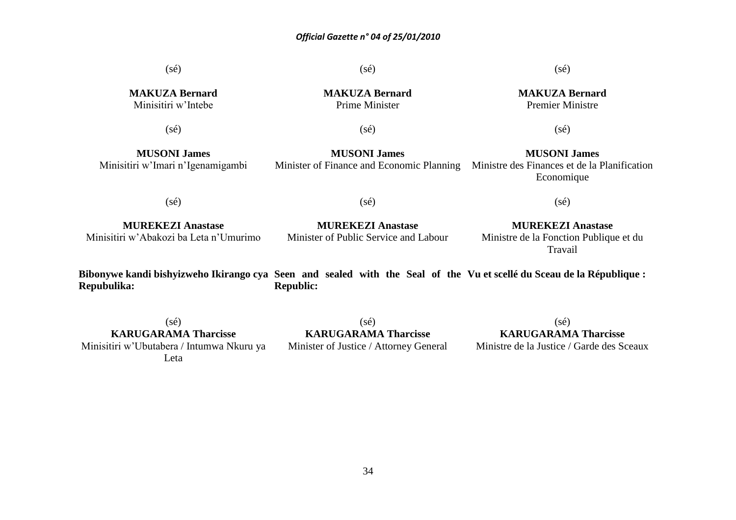$(sé)$ **MAKUZA Bernard** Minisitiri w'Intebe  $(s\acute{e})$ **MUSONI James** Minisitiri w'Imari n'Igenamigambi  $(sé)$ **MUREKEZI Anastase** Minisitiri w'Abakozi ba Leta n'Umurimo **Bibonywe kandi bishyizweho Ikirango cya Seen and sealed with the Seal of the Vu et scellé du Sceau de la République :** (sé) **MAKUZA Bernard** Prime Minister  $(s\acute{e})$ **MUSONI James** Minister of Finance and Economic Planning  $(s\acute{e})$ **MUREKEZI Anastase** Minister of Public Service and Labour  $(sé)$ **MAKUZA Bernard** Premier Ministre  $(sé)$ **MUSONI James** Ministre des Finances et de la Planification Economique  $(s\acute{e})$ **MUREKEZI Anastase** Ministre de la Fonction Publique et du Travail

**Repubulika: Republic:**

(sé) **KARUGARAMA Tharcisse** Minisitiri w'Ubutabera / Intumwa Nkuru ya Leta

(sé) **KARUGARAMA Tharcisse** Minister of Justice / Attorney General

34

 $(s\acute{e})$ **KARUGARAMA Tharcisse** Ministre de la Justice / Garde des Sceaux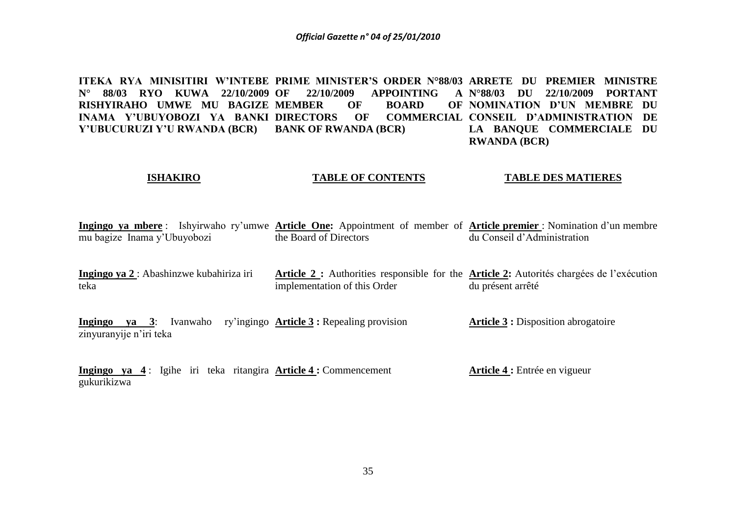ITEKA RYA MINISITIRI W'INTEBE PRIME MINISTER'S ORDER N°88/03 ARRETE DU PREMIER MINISTRE **N° 88/03 RYO KUWA 22/10/2009 RISHYIRAHO UMWE MU BAGIZE MEMBER OF BOARD OF INAMA Y'UBUYOBOZI YA BANKI DIRECTORS OF COMMERCIAL Y'UBUCURUZI Y'U RWANDA (BCR) OF 22/10/2009 APPOINTING A BANK OF RWANDA (BCR) N°88/03 DU 22/10/2009 PORTANT NOMINATION D'UN MEMBRE DU COMMERCIAL CONSEIL D'ADMINISTRATION DE LA BANQUE COMMERCIALE DU RWANDA (BCR)**

### **ISHAKIRO TABLE OF CONTENTS TABLE DES MATIERES**

**Ingingo ya mbere** : Ishyirwaho ry'umwe **Article One:** Appointment of member of **Article premier** : Nomination d'un membre mu bagize Inama y'Ubuyobozi the Board of Directors du Conseil d'Administration

**Ingingo ya 2** : Abashinzwe kubahiriza iri teka **Article 2 :** Authorities responsible for the **Article 2:** Autorités chargées de l'exécution implementation of this Order du présent arrêté

**Ingingo ya 3**: Ivanwaho ry'ingingo **Article 3 :** Repealing provision zinyuranyije n'iri teka **Article 3 :** Disposition abrogatoire

**Ingingo ya 4** : Igihe iri teka ritangira **Article 4 :** Commencement gukurikizwa **Article 4 :** Entrée en vigueur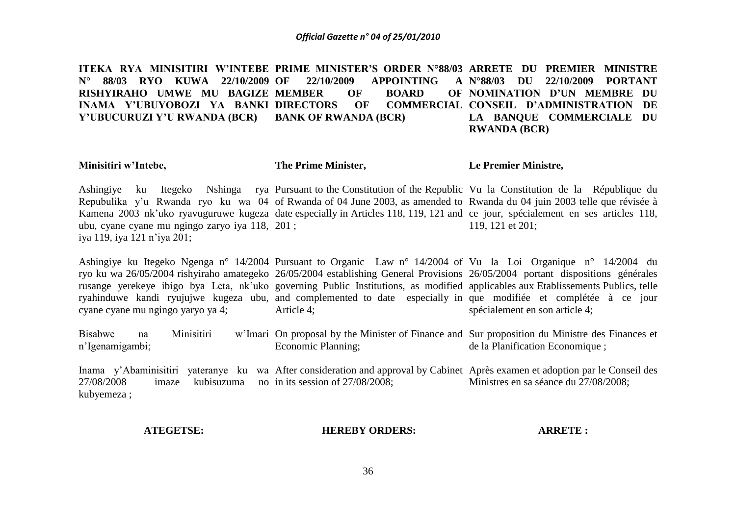ITEKA RYA MINISITIRI W'INTEBE PRIME MINISTER'S ORDER N°88/03 ARRETE DU PREMIER MINISTRE **N° 88/03 RYO KUWA 22/10/2009 RISHYIRAHO UMWE MU BAGIZE MEMBER OF BOARD OF INAMA Y'UBUYOBOZI YA BANKI Y'UBUCURUZI Y'U RWANDA (BCR) OF 22/10/2009 APPOINTING A DIRECTORS OF COMMERCIAL CONSEIL D'ADMINISTRATION DE BANK OF RWANDA (BCR) N°88/03 DU 22/10/2009 PORTANT NOMINATION D'UN MEMBRE DU LA BANQUE COMMERCIALE DU RWANDA (BCR)**

### **Minisitiri w'Intebe,**

**The Prime Minister,**

**Le Premier Ministre,**

Ashingiye ku Itegeko Nshinga rya Pursuant to the Constitution of the Republic Vu la Constitution de la République du Repubulika y'u Rwanda ryo ku wa 04 of Rwanda of 04 June 2003, as amended to Rwanda du 04 juin 2003 telle que révisée à Kamena 2003 nk'uko ryavuguruwe kugeza date especially in Articles 118, 119, 121 and ce jour, spécialement en ses articles 118, ubu, cyane cyane mu ngingo zaryo iya 118, 201 ; iya 119, iya 121 n'iya 201; 119, 121 et 201;

Ashingiye ku Itegeko Ngenga n° 14/2004 Pursuant to Organic Law n° 14/2004 of Vu la Loi Organique n° 14/2004 du ryo ku wa 26/05/2004 rishyiraho amategeko 26/05/2004 establishing General Provisions 26/05/2004 portant dispositions générales rusange yerekeye ibigo bya Leta, nk'uko governing Public Institutions, as modified applicables aux Etablissements Publics, telle ryahinduwe kandi ryujujwe kugeza ubu, and complemented to date especially in que modifiée et complétée à ce jour cyane cyane mu ngingo yaryo ya 4; Article 4; spécialement en son article 4;

Bisabwe na Minisitiri w'Imari On proposal by the Minister of Finance and Sur proposition du Ministre des Finances et n'Igenamigambi; Economic Planning; de la Planification Economique ;

Inama y'Abaminisitiri yateranye ku wa After consideration and approval by Cabinet Après examen et adoption par le Conseil des 27/08/2008 imaze kubisuzuma no in its session of 27/08/2008; kubyemeza ; Ministres en sa séance du 27/08/2008;

### **ATEGETSE:**

**HEREBY ORDERS:**

**ARRETE :**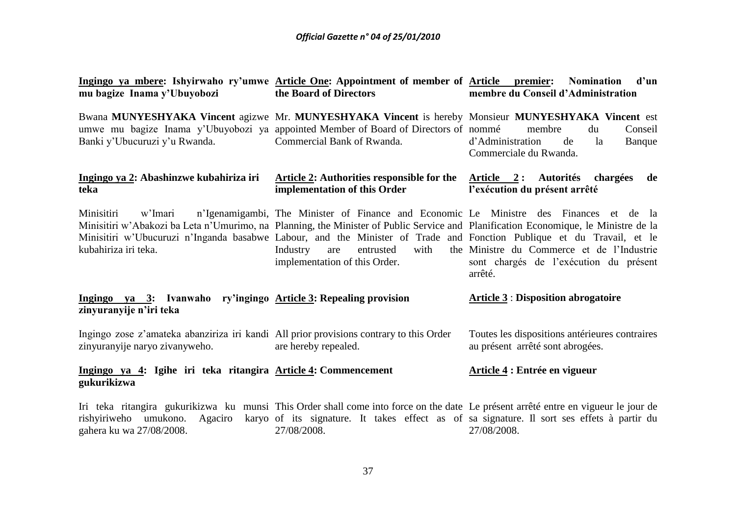| mu bagize Inama y'Ubuyobozi                                                                                                                                    | Ingingo ya mbere: Ishyirwaho ry'umwe Article One: Appointment of member of Article premier:<br>the Board of Directors                                                                                                                                                                                                                                                                                                           | d'un<br><b>Nomination</b><br>membre du Conseil d'Administration                                 |
|----------------------------------------------------------------------------------------------------------------------------------------------------------------|---------------------------------------------------------------------------------------------------------------------------------------------------------------------------------------------------------------------------------------------------------------------------------------------------------------------------------------------------------------------------------------------------------------------------------|-------------------------------------------------------------------------------------------------|
| Banki y'Ubucuruzi y'u Rwanda.                                                                                                                                  | Bwana MUNYESHYAKA Vincent agizwe Mr. MUNYESHYAKA Vincent is hereby Monsieur MUNYESHYAKA Vincent est<br>umwe mu bagize Inama y'Ubuyobozi ya appointed Member of Board of Directors of nommé<br>Commercial Bank of Rwanda.                                                                                                                                                                                                        | Conseil<br>membre<br>du<br>d'Administration<br>de<br>Banque<br>la<br>Commerciale du Rwanda.     |
| Ingingo ya 2: Abashinzwe kubahiriza iri<br>teka                                                                                                                | Article 2: Authorities responsible for the<br>implementation of this Order                                                                                                                                                                                                                                                                                                                                                      | Article 2: Autorités chargées<br>de<br>l'exécution du présent arrêté                            |
| Minisitiri<br>w'Imari<br>kubahiriza iri teka.                                                                                                                  | n'Igenamigambi, The Minister of Finance and Economic Le Ministre des Finances et de la<br>Minisitiri w'Abakozi ba Leta n'Umurimo, na Planning, the Minister of Public Service and Planification Economique, le Ministre de la<br>Minisitiri w'Ubucuruzi n'Inganda basabwe Labour, and the Minister of Trade and Fonction Publique et du Travail, et le<br>with<br>Industry<br>entrusted<br>are<br>implementation of this Order. | the Ministre du Commerce et de l'Industrie<br>sont chargés de l'exécution du présent<br>arrêté. |
| Ingingo ya 3: Ivanwaho ry'ingingo Article 3: Repealing provision<br>zinyuranyije n'iri teka                                                                    |                                                                                                                                                                                                                                                                                                                                                                                                                                 | <b>Article 3: Disposition abrogatoire</b>                                                       |
| Ingingo zose z'amateka abanziriza iri kandi All prior provisions contrary to this Order<br>zinyuranyije naryo zivanyweho.                                      | are hereby repealed.                                                                                                                                                                                                                                                                                                                                                                                                            | Toutes les dispositions antérieures contraires<br>au présent arrêté sont abrogées.              |
| Ingingo ya 4: Igihe iri teka ritangira Article 4: Commencement<br>gukurikizwa                                                                                  |                                                                                                                                                                                                                                                                                                                                                                                                                                 | Article 4 : Entrée en vigueur                                                                   |
| Iri teka ritangira gukurikizwa ku munsi This Order shall come into force on the date Le présent arrêté entre en vigueur le jour de<br>gahera ku wa 27/08/2008. | rishyiriweho umukono. Agaciro karyo of its signature. It takes effect as of sa signature. Il sort ses effets à partir du<br>27/08/2008.                                                                                                                                                                                                                                                                                         | 27/08/2008.                                                                                     |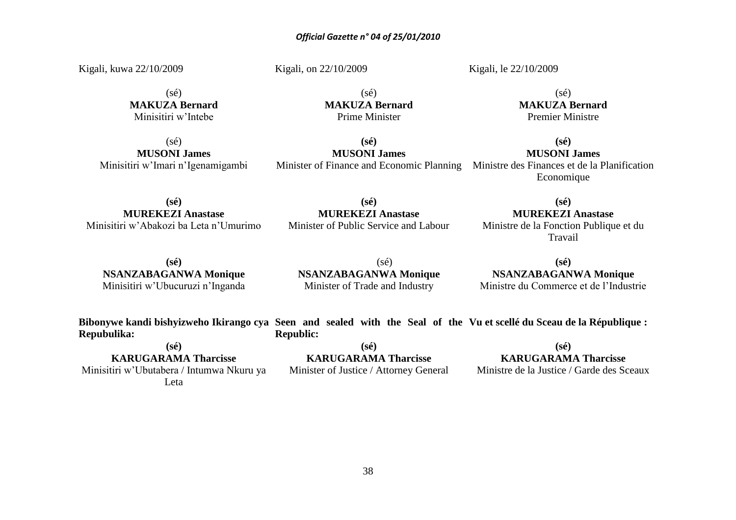Kigali, kuwa 22/10/2009

Kigali, on 22/10/2009

Kigali, le 22/10/2009

 $(s<sub>e</sub>)$ **MAKUZA Bernard** Minisitiri w'Intebe

 $(s\acute{e})$ **MUSONI James** Minisitiri w'Imari n'Igenamigambi

(sé) **MAKUZA Bernard** Prime Minister

**(sé) MUSONI James** Minister of Finance and Economic Planning Ministre des Finances et de la Planification

**(sé) MUSONI James** Economique

 $(sé)$ **MAKUZA Bernard** Premier Ministre

**(sé) MUREKEZI Anastase** Minisitiri w'Abakozi ba Leta n'Umurimo

### **(sé) MUREKEZI Anastase** Minister of Public Service and Labour

**(sé) MUREKEZI Anastase** Ministre de la Fonction Publique et du

Travail

**(sé) NSANZABAGANWA Monique** Minisitiri w'Ubucuruzi n'Inganda

(sé) **NSANZABAGANWA Monique** Minister of Trade and Industry

**(sé) NSANZABAGANWA Monique** Ministre du Commerce et de l'Industrie

**Bibonywe kandi bishyizweho Ikirango cya Seen and sealed with the Seal of the Vu et scellé du Sceau de la République : Repubulika: Republic:**

**(sé)**

**KARUGARAMA Tharcisse** Minisitiri w'Ubutabera / Intumwa Nkuru ya Leta

**(sé) KARUGARAMA Tharcisse** Minister of Justice / Attorney General

**(sé) KARUGARAMA Tharcisse**

Ministre de la Justice / Garde des Sceaux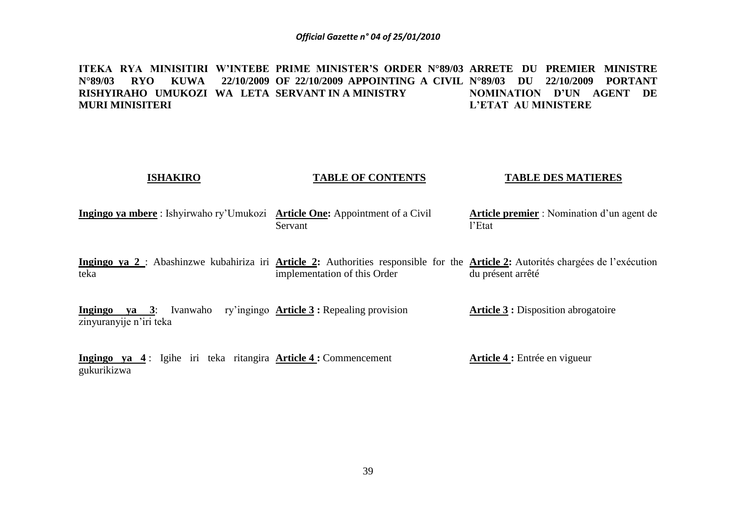ITEKA RYA MINISITIRI W'INTEBE PRIME MINISTER'S ORDER N°89/03 ARRETE DU PREMIER MINISTRE **N°89/03 RYO KUWA RISHYIRAHO UMUKOZI WA LETA SERVANT IN A MINISTRY MURI MINISITERI OF 22/10/2009 APPOINTING A CIVIL N°89/03 DU 22/10/2009 PORTANT NOMINATION D'UN AGENT DE L'ETAT AU MINISTERE**

### **ISHAKIRO TABLE OF CONTENTS TABLE DES MATIERES**

**Ingingo ya mbere**: Ishyirwaho ry'Umukozi **Article One:** Appointment of a Civil Servant **Article premier** : Nomination d'un agent de l'Etat

Ingingo ya 2 : Abashinzwe kubahiriza iri Article 2: Authorities responsible for the Article 2: Autorités chargées de l'exécution teka implementation of this Order du présent arrêté

**Ingingo ya 3**: Ivanwaho ry'ingingo **Article 3 :** Repealing provision zinyuranyije n'iri teka **Article 3 :** Disposition abrogatoire

**Ingingo ya 4** : Igihe iri teka ritangira **Article 4 :** Commencement gukurikizwa **Article 4 :** Entrée en vigueur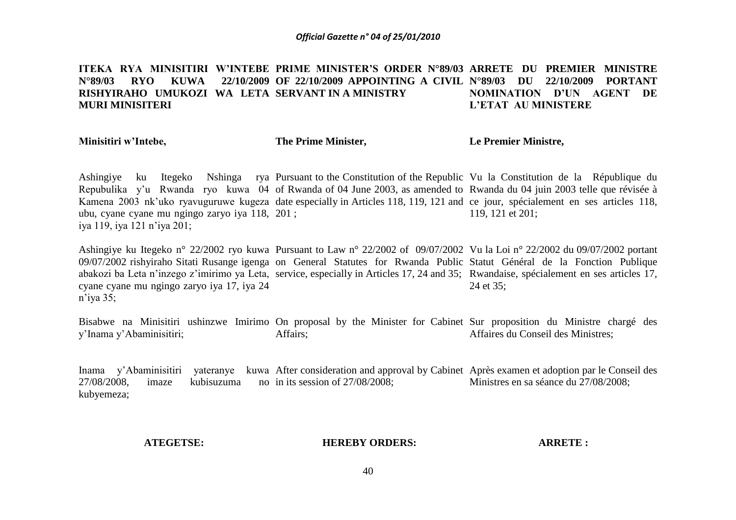### ITEKA RYA MINISITIRI W'INTEBE PRIME MINISTER'S ORDER N°89/03 ARRETE DU PREMIER MINISTRE **N°89/03 RYO KUWA 22/10/2009 RISHYIRAHO UMUKOZI WA LETA SERVANT IN A MINISTRY MURI MINISITERI OF 22/10/2009 APPOINTING A CIVIL N°89/03 DU 22/10/2009 PORTANT NOMINATION D'UN AGENT DE L'ETAT AU MINISTERE**

**Minisitiri w'Intebe,**

**The Prime Minister,**

**Le Premier Ministre,**

Ashingiye ku Itegeko Nshinga rya Pursuant to the Constitution of the Republic Vu la Constitution de la République du Repubulika y'u Rwanda ryo kuwa 04 of Rwanda of 04 June 2003, as amended to Rwanda du 04 juin 2003 telle que révisée à Kamena 2003 nk'uko ryavuguruwe kugeza date especially in Articles 118, 119, 121 and ce jour, spécialement en ses articles 118, ubu, cyane cyane mu ngingo zaryo iya 118, 201 ; iya 119, iya 121 n'iya 201; 119, 121 et 201;

Ashingiye ku Itegeko n° 22/2002 ryo kuwa Pursuant to Law n° 22/2002 of 09/07/2002 Vu la Loi n° 22/2002 du 09/07/2002 portant 09/07/2002 rishyiraho Sitati Rusange igenga on General Statutes for Rwanda Public Statut Général de la Fonction Publique abakozi ba Leta n'inzego z'imirimo ya Leta, service, especially in Articles 17, 24 and 35; Rwandaise, spécialement en ses articles 17, cyane cyane mu ngingo zaryo iya 17, iya 24 n'iya 35; 24 et 35;

Bisabwe na Minisitiri ushinzwe Imirimo On proposal by the Minister for Cabinet Sur proposition du Ministre chargé des y'Inama y'Abaminisitiri; Affairs; Affaires du Conseil des Ministres;

Inama y'Abaminisitiri yateranye kuwa After consideration and approval by Cabinet Après examen et adoption par le Conseil des  $27/08/2008$ , imaze kubisuzuma kubyemeza; no in its session of  $27/08/2008$ ; Ministres en sa séance du 27/08/2008;

### **ATEGETSE:**

### **HEREBY ORDERS:**

**ARRETE :**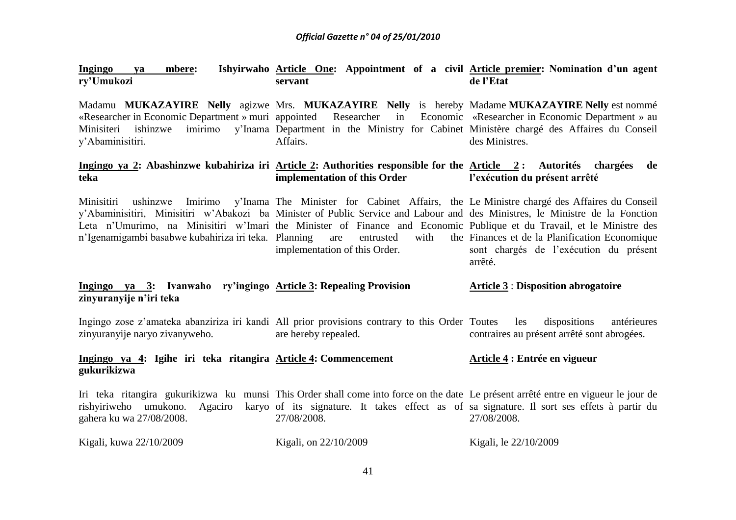| Ingingo<br>mbere:<br><b>va</b><br>ry'Umukozi                                                                                                                                                       | Ishyirwaho Article One: Appointment of a civil Article premier: Nomination d'un agent<br>servant                                                                                                                                                                                              | de l'Etat                                                                                                                                                              |
|----------------------------------------------------------------------------------------------------------------------------------------------------------------------------------------------------|-----------------------------------------------------------------------------------------------------------------------------------------------------------------------------------------------------------------------------------------------------------------------------------------------|------------------------------------------------------------------------------------------------------------------------------------------------------------------------|
| «Researcher in Economic Department » muri appointed<br>Minisiteri ishinzwe<br>y'Abaminisitiri.                                                                                                     | Researcher<br>in<br>imirimo y'Inama Department in the Ministry for Cabinet Ministère chargé des Affaires du Conseil<br>Affairs.                                                                                                                                                               | Madamu MUKAZAYIRE Nelly agizwe Mrs. MUKAZAYIRE Nelly is hereby Madame MUKAZAYIRE Nelly est nommé<br>Economic «Researcher in Economic Department » au<br>des Ministres. |
| teka                                                                                                                                                                                               | Ingingo ya 2: Abashinzwe kubahiriza iri Article 2: Authorities responsible for the Article 2: Autorités chargées<br>implementation of this Order                                                                                                                                              | de<br>l'exécution du présent arrêté                                                                                                                                    |
| Leta n'Umurimo, na Minisitiri w'Imari the Minister of Finance and Economic Publique et du Travail, et le Ministre des<br>n'Igenamigambi basabwe kubahiriza iri teka. Planning are entrusted        | Minisitiri ushinzwe Imirimo y'Inama The Minister for Cabinet Affairs, the Le-Ministre-chargé-des-Affaires-du-Conseil<br>y'Abaminisitiri, Minisitiri w'Abakozi ba Minister of Public Service and Labour and des Ministres, le Ministre de la Fonction<br>with<br>implementation of this Order. | the Finances et de la Planification Economique<br>sont chargés de l'exécution du présent<br>arrêté.                                                                    |
| Ingingo ya 3: Ivanwaho ry'ingingo Article 3: Repealing Provision<br>zinyuranyije n'iri teka                                                                                                        |                                                                                                                                                                                                                                                                                               | <b>Article 3: Disposition abrogatoire</b>                                                                                                                              |
| zinyuranyije naryo zivanyweho.                                                                                                                                                                     | Ingingo zose z'amateka abanziriza iri kandi All prior provisions contrary to this Order Toutes<br>are hereby repealed.                                                                                                                                                                        | dispositions<br>antérieures<br>les<br>contraires au présent arrêté sont abrogées.                                                                                      |
| Ingingo ya 4: Igihe iri teka ritangira Article 4: Commencement<br>gukurikizwa                                                                                                                      |                                                                                                                                                                                                                                                                                               | Article 4 : Entrée en vigueur                                                                                                                                          |
| Iri teka ritangira gukurikizwa ku munsi This Order shall come into force on the date Le présent arrêté entre en vigueur le jour de<br>Agaciro<br>rishyiriweho umukono.<br>gahera ku wa 27/08/2008. | karyo of its signature. It takes effect as of sa signature. Il sort ses effets à partir du<br>27/08/2008.                                                                                                                                                                                     | 27/08/2008.                                                                                                                                                            |
| Kigali, kuwa 22/10/2009                                                                                                                                                                            | Kigali, on 22/10/2009                                                                                                                                                                                                                                                                         | Kigali, le 22/10/2009                                                                                                                                                  |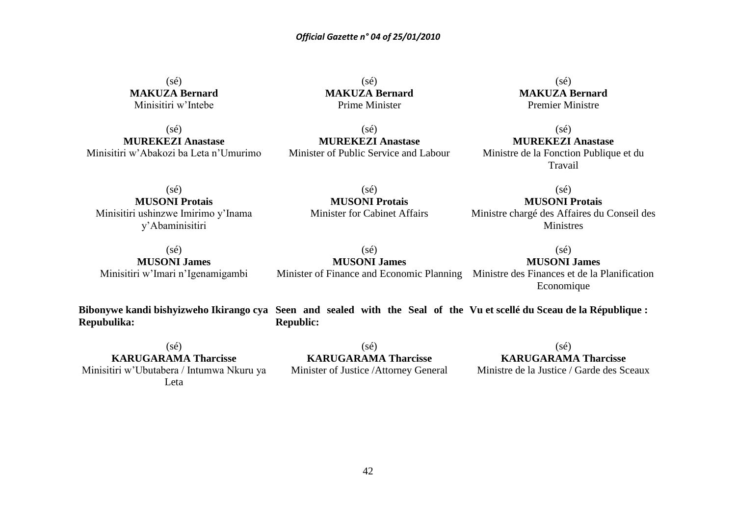(sé) **MAKUZA Bernard** Minisitiri w'Intebe

 $(sé)$ **MUREKEZI Anastase** Minisitiri w'Abakozi ba Leta n'Umurimo

 $(s<sub>é</sub>)$ **MAKUZA Bernard** Prime Minister

 $(s<sub>é</sub>)$ **MAKUZA Bernard** Premier Ministre

 $(s\acute{e})$ **MUREKEZI Anastase** Minister of Public Service and Labour

 $(sé)$ **MUREKEZI Anastase** Ministre de la Fonction Publique et du Travail

 $(sé)$ **MUSONI Protais** Minisitiri ushinzwe Imirimo y'Inama y'Abaminisitiri

 $(sé)$ **MUSONI Protais** Minister for Cabinet Affairs

 $(s<sub>é</sub>)$ **MUSONI Protais** Ministre chargé des Affaires du Conseil des Ministres

(sé) **MUSONI James** Minisitiri w'Imari n'Igenamigambi

(sé) **MUSONI James**

### $(s<sub>é</sub>)$ **MUSONI James**

Minister of Finance and Economic Planning Ministre des Finances et de la Planification Economique

**Repubulika:**

**Bibonywe kandi bishyizweho Ikirango cya Seen and sealed with the Seal of the Vu et scellé du Sceau de la République : Republic:**

 $(s\acute{e})$ **KARUGARAMA Tharcisse**

Minisitiri w'Ubutabera / Intumwa Nkuru ya Leta

(sé) **KARUGARAMA Tharcisse** Minister of Justice /Attorney General (sé)

### **KARUGARAMA Tharcisse**

Ministre de la Justice / Garde des Sceaux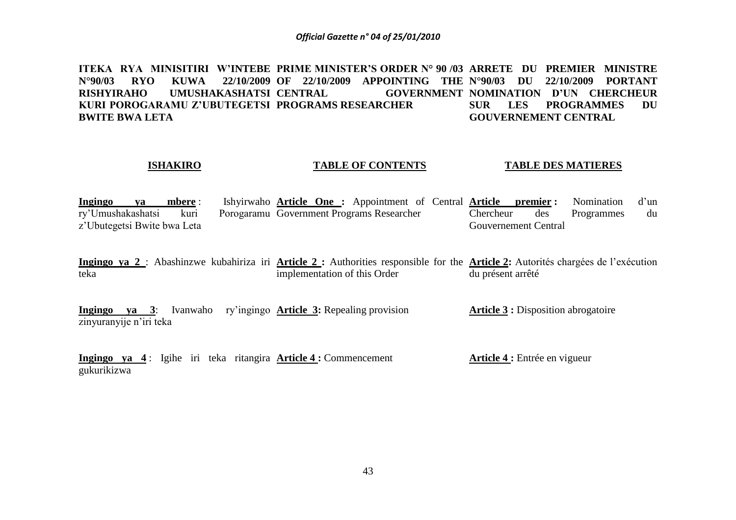**ITEKA RYA MINISITIRI W'INTEBE PRIME MINISTER'S ORDER N° 90 /03 ARRETE DU PREMIER MINISTRE N°90/03 RYO KUWA 22/10/2009 OF 22/10/2009 APPOINTING THE N°90/03 DU 22/10/2009 PORTANT RISHYIRAHO UMUSHAKASHATSI KURI POROGARAMU Z'UBUTEGETSI PROGRAMS RESEARCHER BWITE BWA LETA CENTRAL GOVERNMENT NOMINATION D'UN CHERCHEUR SUR LES PROGRAMMES DU GOUVERNEMENT CENTRAL** 

### **ISHAKIRO**

### **TABLE OF CONTENTS**

### **TABLE DES MATIERES**

| Ingingo<br>va               | mbere : | Ishyirwaho <b>Article One</b> : Appointment of Central <b>Article premier</b> : Nomination d'un |           |                      |            |    |
|-----------------------------|---------|-------------------------------------------------------------------------------------------------|-----------|----------------------|------------|----|
| ry'Umushakashatsi           | kuri    | Porogaramu Government Programs Researcher                                                       | Chercheur | des                  | Programmes | du |
| z'Ubutegetsi Bwite bwa Leta |         |                                                                                                 |           | Gouvernement Central |            |    |

Ingingo ya 2 : Abashinzwe kubahiriza iri Article 2 : Authorities responsible for the Article 2: Autorités chargées de l'exécution teka implementation of this Order du présent arrêté

**Ingingo ya 3**: Ivanwaho ry'ingingo **Article 3:** Repealing provision zinyuranyije n'iri teka **Article 3 :** Disposition abrogatoire

**Ingingo ya 4** : Igihe iri teka ritangira **Article 4 :** Commencement gukurikizwa **Article 4 :** Entrée en vigueur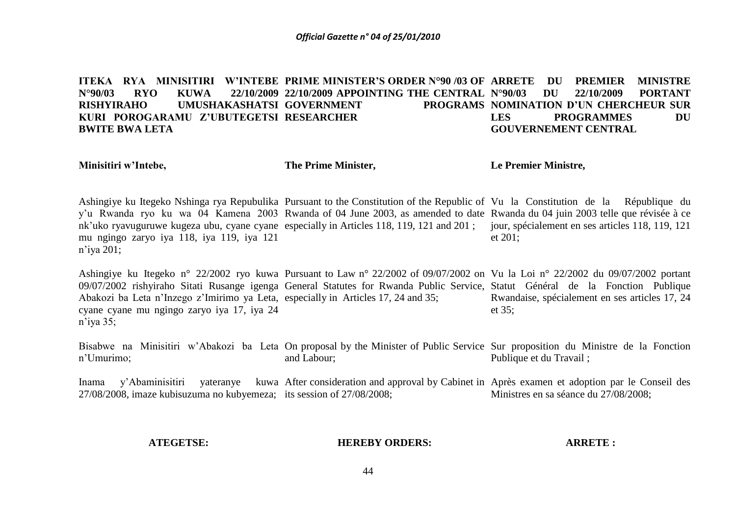ITEKA RYA MINISITIRI W'INTEBE PRIME MINISTER'S ORDER N°90 /03 OF ARRETE DU PREMIER MINISTRE **N°90/03 RYO KUWA 22/10/2009 22/10/2009 APPOINTING THE CENTRAL RISHYIRAHO UMUSHAKASHATSI GOVERNMENT PROGRAMS KURI POROGARAMU Z'UBUTEGETSI RESEARCHER BWITE BWA LETA N°90/03 DU 22/10/2009 PORTANT PROGRAMS NOMINATION D'UN CHERCHEUR SUR LES PROGRAMMES DU GOUVERNEMENT CENTRAL**

**Minisitiri w'Intebe,**

**The Prime Minister,**

**Le Premier Ministre,**

Ashingiye ku Itegeko Nshinga rya Repubulika Pursuant to the Constitution of the Republic of Vu la Constitution de la République du y'u Rwanda ryo ku wa 04 Kamena 2003 Rwanda of 04 June 2003, as amended to date Rwanda du 04 juin 2003 telle que révisée à ce nk'uko ryavuguruwe kugeza ubu, cyane cyane especially in Articles 118, 119, 121 and 201; jour, spécialement en ses articles 118, 119, 121 mu ngingo zaryo iya 118, iya 119, iya 121 n'iya 201; et 201;

Ashingiye ku Itegeko n° 22/2002 ryo kuwa Pursuant to Law n° 22/2002 of 09/07/2002 on Vu la Loi n° 22/2002 du 09/07/2002 portant 09/07/2002 rishyiraho Sitati Rusange igenga General Statutes for Rwanda Public Service, Statut Général de la Fonction Publique Abakozi ba Leta n'Inzego z'Imirimo ya Leta, especially in Articles 17, 24 and 35; cyane cyane mu ngingo zaryo iya 17, iya 24 n'iya 35; Rwandaise, spécialement en ses articles 17, 24 et 35;

Bisabwe na Minisitiri w'Abakozi ba Leta On proposal by the Minister of Public Service Sur proposition du Ministre de la Fonction n'Umurimo; and Labour; Publique et du Travail ;

Inama y'Abaminisitiri yateranye kuwa After consideration and approval by Cabinet in Après examen et adoption par le Conseil des 27/08/2008, imaze kubisuzuma no kubyemeza; its session of 27/08/2008; Ministres en sa séance du 27/08/2008;

### **ATEGETSE:**

### **HEREBY ORDERS:**

### **ARRETE :**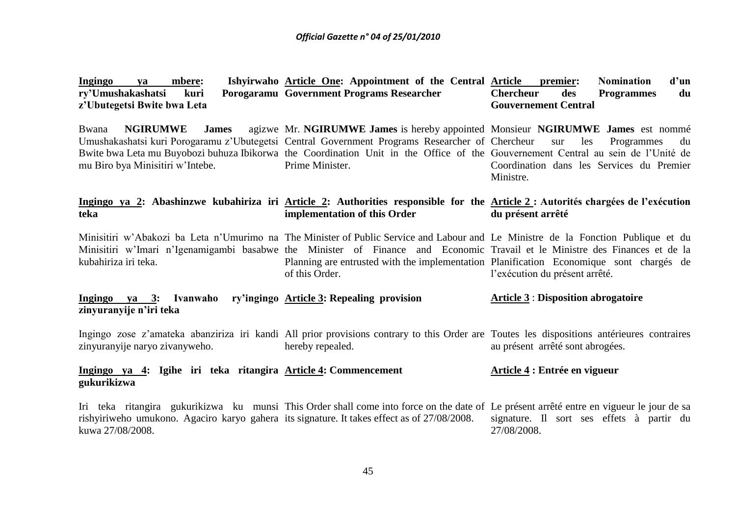| <b>Ingingo</b><br>mbere:<br>ya<br>ry'Umushakashatsi<br>kuri<br>z'Ubutegetsi Bwite bwa Leta                      | Ishyirwaho Article One: Appointment of the Central Article<br>Porogaramu Government Programs Researcher                                                                                                                                                                                                                                   | d'un<br>premier:<br><b>Nomination</b><br><b>Chercheur</b><br>des<br><b>Programmes</b><br>du<br><b>Gouvernement Central</b> |
|-----------------------------------------------------------------------------------------------------------------|-------------------------------------------------------------------------------------------------------------------------------------------------------------------------------------------------------------------------------------------------------------------------------------------------------------------------------------------|----------------------------------------------------------------------------------------------------------------------------|
| <b>NGIRUMWE</b><br><b>James</b><br>Bwana<br>mu Biro bya Minisitiri w'Intebe.                                    | agizwe Mr. NGIRUMWE James is hereby appointed Monsieur NGIRUMWE James est nommé<br>Umushakashatsi kuri Porogaramu z'Ubutegetsi Central Government Programs Researcher of Chercheur<br>Bwite bwa Leta mu Buyobozi buhuza Ibikorwa the Coordination Unit in the Office of the Gouvernement Central au sein de l'Unité de<br>Prime Minister. | les<br>Programmes<br>sur<br>du<br>Coordination dans les Services du Premier<br>Ministre.                                   |
| teka                                                                                                            | Ingingo ya 2: Abashinzwe kubahiriza iri Article 2: Authorities responsible for the Article 2: Autorités chargées de l'exécution<br>implementation of this Order                                                                                                                                                                           | du présent arrêté                                                                                                          |
| kubahiriza iri teka.                                                                                            | Minisitiri w'Abakozi ba Leta n'Umurimo na The Minister of Public Service and Labour and Le Ministre de la Fonction Publique et du<br>Minisitiri w'Imari n'Igenamigambi basabwe the Minister of Finance and Economic Travail et le Ministre des Finances et de la<br>of this Order.                                                        | Planning are entrusted with the implementation Planification Economique sont chargés de<br>l'exécution du présent arrêté.  |
| Ingingo ya 3: Ivanwaho<br>zinyuranyije n'iri teka                                                               | ry'ingingo Article 3: Repealing provision                                                                                                                                                                                                                                                                                                 | <b>Article 3 : Disposition abrogatoire</b>                                                                                 |
| zinyuranyije naryo zivanyweho.                                                                                  | Ingingo zose z'amateka abanziriza iri kandi All prior provisions contrary to this Order are Toutes les dispositions antérieures contraires<br>hereby repealed.                                                                                                                                                                            | au présent arrêté sont abrogées.                                                                                           |
| Ingingo ya 4: Igihe iri teka ritangira Article 4: Commencement<br>gukurikizwa                                   |                                                                                                                                                                                                                                                                                                                                           | Article 4 : Entrée en vigueur                                                                                              |
| rishyiriweho umukono. Agaciro karyo gahera its signature. It takes effect as of 27/08/2008.<br>kuwa 27/08/2008. | Iri teka ritangira gukurikizwa ku munsi This Order shall come into force on the date of Le présent arrêté entre en vigueur le jour de sa                                                                                                                                                                                                  | signature. Il sort ses effets à partir du<br>27/08/2008.                                                                   |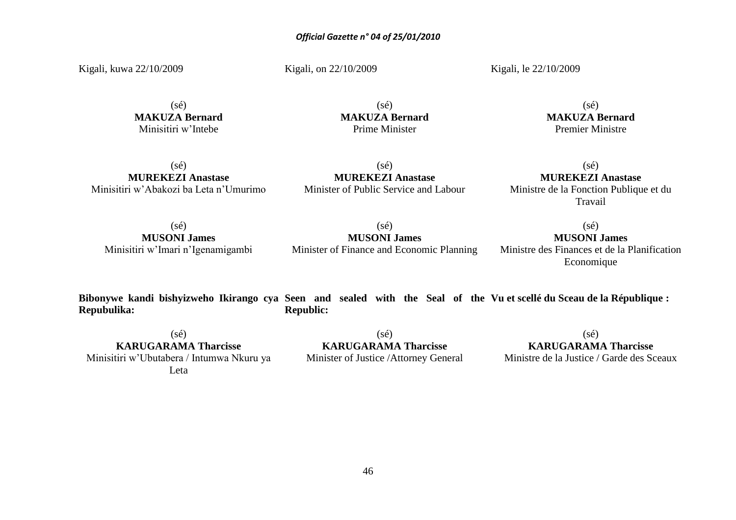Kigali, kuwa 22/10/2009

Kigali, on 22/10/2009

Kigali, le 22/10/2009

(sé) **MAKUZA Bernard** Minisitiri w'Intebe

(sé) **MAKUZA Bernard** Prime Minister

(sé) **MAKUZA Bernard** Premier Ministre

 $(s\acute{e})$ **MUREKEZI Anastase** Minisitiri w'Abakozi ba Leta n'Umurimo

(sé) **MUREKEZI Anastase** Minister of Public Service and Labour

# $(s\acute{e})$ **MUREKEZI Anastase**

Ministre de la Fonction Publique et du Travail

 $(s\acute{e})$ **MUSONI James** Minisitiri w'Imari n'Igenamigambi

(sé) **MUSONI James** Minister of Finance and Economic Planning

 $(s\acute{e})$ **MUSONI James** Ministre des Finances et de la Planification

Economique

**Bibonywe kandi bishyizweho Ikirango cya Seen and sealed with the Seal of the Vu et scellé du Sceau de la République : Repubulika: Republic:**

 $(sé)$ **KARUGARAMA Tharcisse** Minisitiri w'Ubutabera / Intumwa Nkuru ya Leta

(sé) **KARUGARAMA Tharcisse** Minister of Justice /Attorney General

 $(sé)$ **KARUGARAMA Tharcisse** Ministre de la Justice / Garde des Sceaux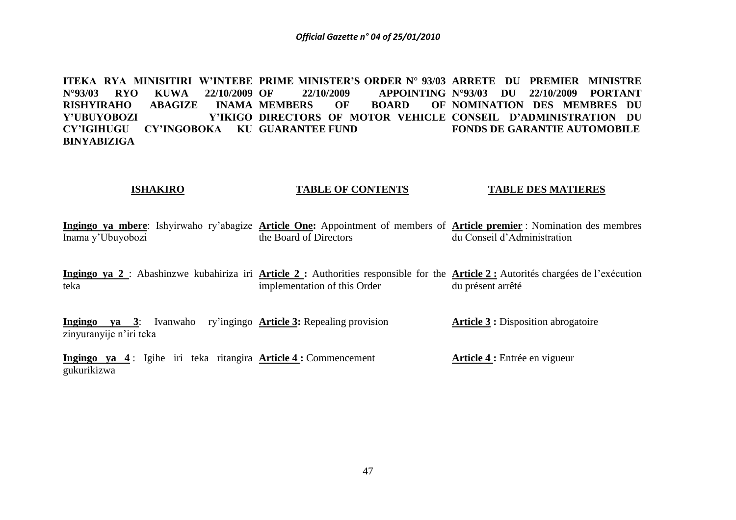**ITEKA RYA MINISITIRI W'INTEBE PRIME MINISTER'S ORDER N° 93/03 ARRETE DU PREMIER MINISTRE N°93/03 RYO KUWA 22/10/2009 RISHYIRAHO ABAGIZE Y'UBUYOBOZI CY'IGIHUGU CY'INGOBOKA KU GUARANTEE FUND BINYABIZIGA OF 22/10/2009 APPOINTING N°93/03 DU 22/10/2009 PORTANT INAMA MEMBERS OF BOARD DIRECTORS OF MOTOR VEHICLE CONSEIL D'ADMINISTRATION DU NOMINATION DES MEMBRES DU FONDS DE GARANTIE AUTOMOBILE**

### **ISHAKIRO TABLE OF CONTENTS TABLE DES MATIERES**

**Ingingo ya mbere**: Ishyirwaho ry'abagize **Article One:** Appointment of members of **Article premier** : Nomination des membres Inama y'Ubuyobozi the Board of Directors du Conseil d'Administration

Ingingo ya 2 : Abashinzwe kubahiriza iri **Article 2 :** Authorities responsible for the **Article 2 :** Autorités chargées de l'exécution teka implementation of this Order du présent arrêté

**Ingingo ya 3**: Ivanwaho ry'ingingo **Article 3:** Repealing provision zinyuranyije n'iri teka **Article 3 :** Disposition abrogatoire

**Ingingo ya 4** : Igihe iri teka ritangira **Article 4 :** Commencement gukurikizwa **Article 4 :** Entrée en vigueur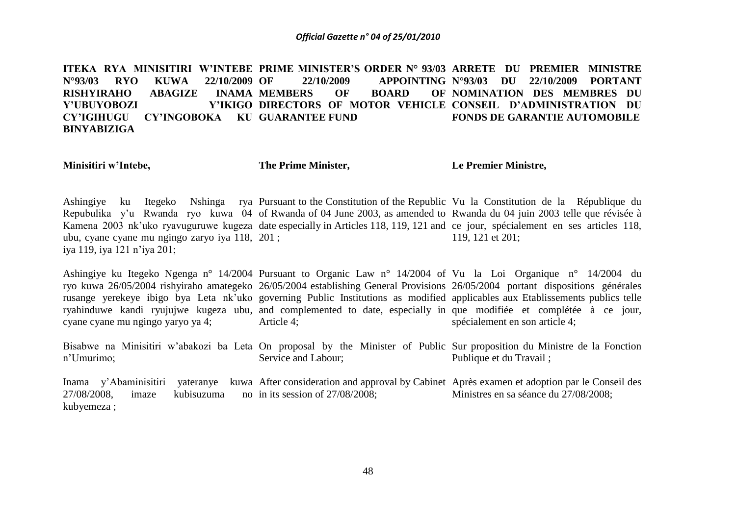**ITEKA RYA MINISITIRI W'INTEBE PRIME MINISTER'S ORDER N° 93/03 ARRETE DU PREMIER MINISTRE N°93/03 RYO KUWA 22/10/2009 RISHYIRAHO ABAGIZE Y'UBUYOBOZI CY'IGIHUGU CY'INGOBOKA KU GUARANTEE FUND BINYABIZIGA 22/10/2009 APPOINTING N°93/03 DU INAMA MEMBERS OF BOARD DIRECTORS OF MOTOR VEHICLE CONSEIL D'ADMINISTRATION DU N°93/03 DU 22/10/2009 PORTANT NOMINATION DES MEMBRES DU FONDS DE GARANTIE AUTOMOBILE**

**Minisitiri w'Intebe,**

**The Prime Minister,**

**Le Premier Ministre,**

Ashingiye ku Itegeko Nshinga rya Pursuant to the Constitution of the Republic Vu la Constitution de la République du Repubulika y'u Rwanda ryo kuwa 04 of Rwanda of 04 June 2003, as amended to Rwanda du 04 juin 2003 telle que révisée à Kamena 2003 nk'uko ryavuguruwe kugeza date especially in Articles 118, 119, 121 and ce jour, spécialement en ses articles 118, ubu, cyane cyane mu ngingo zaryo iya 118, 201 ; iya 119, iya 121 n'iya 201; 119, 121 et 201;

Ashingiye ku Itegeko Ngenga n° 14/2004 Pursuant to Organic Law n° 14/2004 of Vu la Loi Organique n° 14/2004 du ryo kuwa 26/05/2004 rishyiraho amategeko 26/05/2004 establishing General Provisions 26/05/2004 portant dispositions générales rusange yerekeye ibigo bya Leta nk'uko governing Public Institutions as modified applicables aux Etablissements publics telle ryahinduwe kandi ryujujwe kugeza ubu, and complemented to date, especially in que modifiée et complétée à ce jour, cyane cyane mu ngingo yaryo ya 4; Article 4; spécialement en son article 4;

Bisabwe na Minisitiri w'abakozi ba Leta On proposal by the Minister of Public Sur proposition du Ministre de la Fonction n'Umurimo; Service and Labour; Publique et du Travail ;

Inama y'Abaminisitiri yateranye kuwa After consideration and approval by Cabinet Après examen et adoption par le Conseil des 27/08/2008, imaze kubisuzuma no in its session of 27/08/2008; kubyemeza ; Ministres en sa séance du 27/08/2008;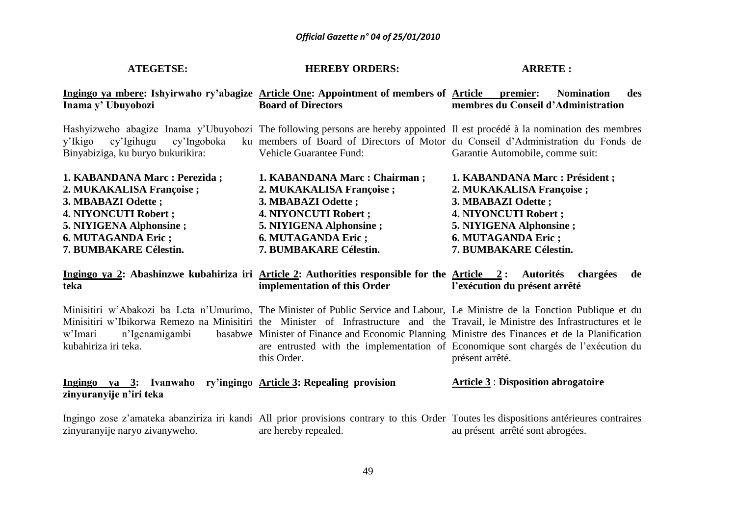| <b>ATEGETSE:</b>                                                                                                                                                                     | <b>HEREBY ORDERS:</b>                                                                                                                                                                | <b>ARRETE:</b>                                                                                                                                                                                                                                                                                                                              |
|--------------------------------------------------------------------------------------------------------------------------------------------------------------------------------------|--------------------------------------------------------------------------------------------------------------------------------------------------------------------------------------|---------------------------------------------------------------------------------------------------------------------------------------------------------------------------------------------------------------------------------------------------------------------------------------------------------------------------------------------|
| Ingingo ya mbere: Ishyirwaho ry'abagize Article One: Appointment of members of Article premier:<br>Inama y' Ubuyobozi                                                                | <b>Board of Directors</b>                                                                                                                                                            | <b>Nomination</b><br>des<br>membres du Conseil d'Administration                                                                                                                                                                                                                                                                             |
| cy'Ingoboka<br>y'Ikigo<br>cy'Igihugu<br>Binyabiziga, ku buryo bukurikira:                                                                                                            | <b>Vehicle Guarantee Fund:</b>                                                                                                                                                       | Hashyizweho abagize Inama y'Ubuyobozi The following persons are hereby appointed Il est procédé à la nomination des membres<br>ku members of Board of Directors of Motor du Conseil d'Administration du Fonds de<br>Garantie Automobile, comme suit:                                                                                        |
| 1. KABANDANA Marc : Perezida ;<br>2. MUKAKALISA Françoise ;<br>3. MBABAZI Odette;<br>4. NIYONCUTI Robert;<br>5. NIYIGENA Alphonsine;<br>6. MUTAGANDA Eric;<br>7. BUMBAKARE Célestin. | 1. KABANDANA Marc : Chairman;<br>2. MUKAKALISA Françoise ;<br>3. MBABAZI Odette ;<br>4. NIYONCUTI Robert;<br>5. NIYIGENA Alphonsine;<br>6. MUTAGANDA Eric;<br>7. BUMBAKARE Célestin. | 1. KABANDANA Marc : Président ;<br>2. MUKAKALISA Françoise ;<br>3. MBABAZI Odette ;<br>4. NIYONCUTI Robert;<br>5. NIYIGENA Alphonsine;<br>6. MUTAGANDA Eric;<br>7. BUMBAKARE Célestin.                                                                                                                                                      |
| Ingingo ya 2: Abashinzwe kubahiriza iri Article 2: Authorities responsible for the Article 2: Autorités chargées<br>teka                                                             | implementation of this Order                                                                                                                                                         | de<br>l'exécution du présent arrêté                                                                                                                                                                                                                                                                                                         |
| Minisitiri w'Abakozi ba Leta n'Umurimo, The Minister of Public Service and Labour, Le Ministre de la Fonction Publique et du<br>n'Igenamigambi<br>w'Imari<br>kubahiriza iri teka.    | this Order.                                                                                                                                                                          | Minisitiri w'Ibikorwa Remezo na Minisitiri the Minister of Infrastructure and the Travail, le Ministre des Infrastructures et le<br>basabwe Minister of Finance and Economic Planning Ministre des Finances et de la Planification<br>are entrusted with the implementation of Economique sont chargés de l'exécution du<br>présent arrêté. |
| Ingingo ya 3: Ivanwaho ry'ingingo Article 3: Repealing provision<br>zinyuranyije n'iri teka                                                                                          |                                                                                                                                                                                      | <b>Article 3: Disposition abrogatoire</b>                                                                                                                                                                                                                                                                                                   |
| zinyuranyije naryo zivanyweho.                                                                                                                                                       | are hereby repealed.                                                                                                                                                                 | Ingingo zose z'amateka abanziriza iri kandi All prior provisions contrary to this Order Toutes les dispositions antérieures contraires<br>au présent arrêté sont abrogées.                                                                                                                                                                  |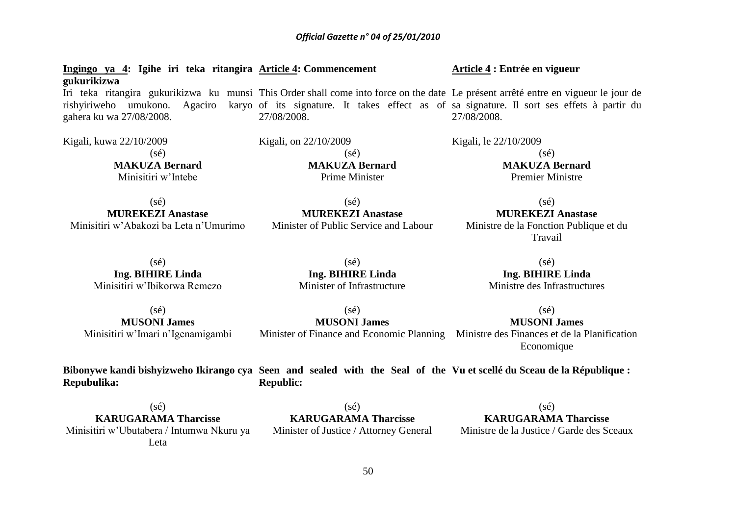**Ingingo ya 4: Igihe iri teka ritangira Article 4: Commencement gukurikizwa** Iri teka ritangira gukurikizwa ku munsi This Order shall come into force on the date Le présent arrêté entre en vigueur le jour de rishyiriweho umukono. Agaciro karyo of its signature. It takes effect as of sa signature. Il sort ses effets à partir du gahera ku wa 27/08/2008. 27/08/2008. **Article 4 : Entrée en vigueur** 27/08/2008.

> $(sé)$ **MUREKEZI Anastase** Minister of Public Service and Labour

> > $(s\acute{e})$

 $(sé)$ **MUSONI James**

Kigali, kuwa 22/10/2009  $(sé)$ **MAKUZA Bernard** Minisitiri w'Intebe

Kigali, on 22/10/2009 (sé) **MAKUZA Bernard** Prime Minister

 $(sé)$ **MUREKEZI Anastase** Minisitiri w'Abakozi ba Leta n'Umurimo

> (sé) **Ing. BIHIRE Linda** Minisitiri w'Ibikorwa Remezo

**Ing. BIHIRE Linda** Minister of Infrastructure

 $(sé)$ **MUSONI James** Minisitiri w'Imari n'Igenamigambi

**Bibonywe kandi bishyizweho Ikirango cya Seen and sealed with the Seal of the Vu et scellé du Sceau de la République : Repubulika: Republic:**

(sé) **KARUGARAMA Tharcisse** Minisitiri w'Ubutabera / Intumwa Nkuru ya Leta

 $(sé)$ **KARUGARAMA Tharcisse** Minister of Justice / Attorney General

 $(s\acute{e})$ **KARUGARAMA Tharcisse** Ministre de la Justice / Garde des Sceaux

 $(sé)$ **Ing. BIHIRE Linda** Ministre des Infrastructures

> $(sé)$ **MUSONI James**

> > Economique

**MUREKEZI Anastase** Ministre de la Fonction Publique et du Travail

 $(sé)$ 

Kigali, le 22/10/2009  $(sé)$ **MAKUZA Bernard** Premier Ministre

Minister of Finance and Economic Planning Ministre des Finances et de la Planification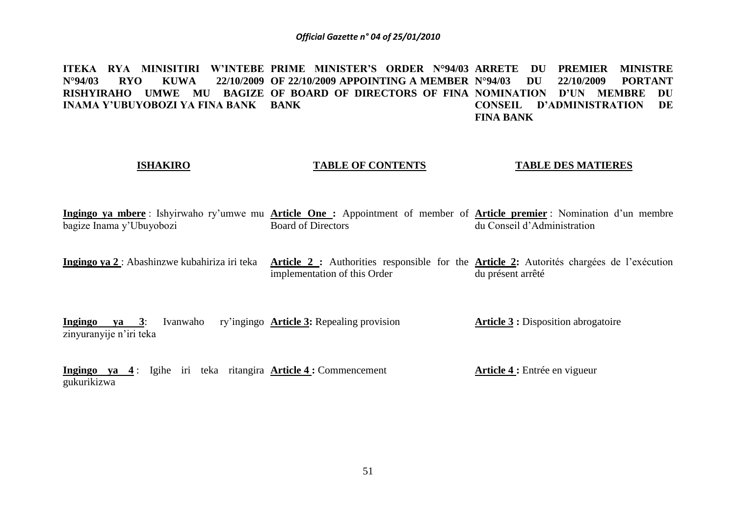ITEKA RYA MINISITIRI W'INTEBE PRIME MINISTER'S ORDER N°94/03 ARRETE DU PREMIER MINISTRE **N°94/03 RYO KUWA 22/10/2009 OF 22/10/2009 APPOINTING A MEMBER RISHYIRAHO UMWE MU BAGIZE OF BOARD OF DIRECTORS OF FINA NOMINATION D'UN MEMBRE DU INAMA Y'UBUYOBOZI YA FINA BANK BANK N°94/03 DU 22/10/2009 PORTANT CONSEIL D'ADMINISTRATION DE FINA BANK**

### **ISHAKIRO**

### **TABLE OF CONTENTS**

### **TABLE DES MATIERES**

**Ingingo ya mbere** : Ishyirwaho ry'umwe mu **Article One :** Appointment of member of **Article premier** : Nomination d'un membre bagize Inama y'Ubuyobozi Board of Directors du Conseil d'Administration

Ingingo ya 2 : Abashinzwe kubahiriza iri teka Article 2 : Authorities responsible for the Article 2: Autorités chargées de l'exécution implementation of this Order du présent arrêté

**Ingingo ya 3**: Ivanwaho zinyuranyije n'iri teka **Article 3:** Repealing provision **Article 3 :** Disposition abrogatoire

**Ingingo ya 4** : Igihe iri teka ritangira **Article 4 :** Commencement gukurikizwa **Article 4 :** Entrée en vigueur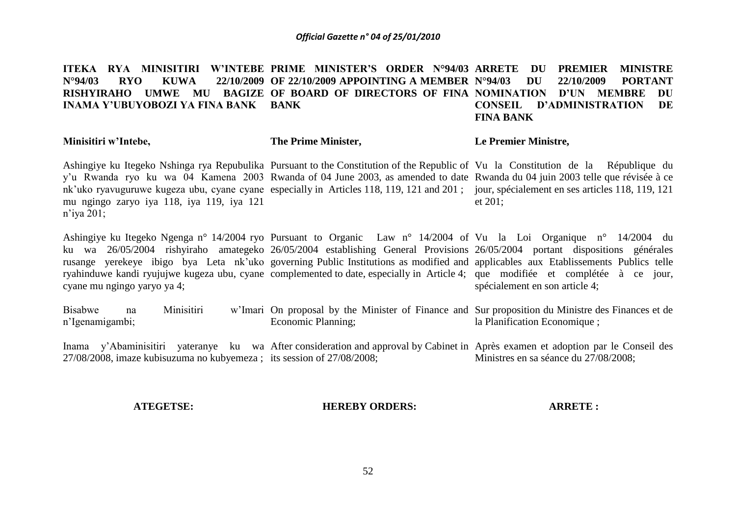### ITEKA RYA MINISITIRI W'INTEBE PRIME MINISTER'S ORDER N°94/03 ARRETE DU PREMIER MINISTRE **N°94/03 RYO KUWA 22/10/2009 OF 22/10/2009 APPOINTING A MEMBER RISHYIRAHO UMWE MU BAGIZE OF BOARD OF DIRECTORS OF FINA NOMINATION D'UN MEMBRE DU INAMA Y'UBUYOBOZI YA FINA BANK BANK N°94/03 DU 22/10/2009 PORTANT CONSEIL D'ADMINISTRATION DE FINA BANK**

### **Minisitiri w'Intebe,**

**The Prime Minister,**

### **Le Premier Ministre,**

Ashingiye ku Itegeko Nshinga rya Repubulika Pursuant to the Constitution of the Republic of Vu la Constitution de la République du y'u Rwanda ryo ku wa 04 Kamena 2003 Rwanda of 04 June 2003, as amended to date Rwanda du 04 juin 2003 telle que révisée à ce nk'uko ryavuguruwe kugeza ubu, cyane cyane especially in Articles 118, 119, 121 and 201; jour, spécialement en ses articles 118, 119, 121 mu ngingo zaryo iya 118, iya 119, iya 121 n'iya 201; et 201;

Ashingiye ku Itegeko Ngenga n° 14/2004 ryo Pursuant to Organic Law n° 14/2004 of Vu la Loi Organique n° 14/2004 du ku wa 26/05/2004 rishyiraho amategeko 26/05/2004 establishing General Provisions 26/05/2004 portant dispositions générales rusange yerekeye ibigo bya Leta nk'uko governing Public Institutions as modified and applicables aux Etablissements Publics telle ryahinduwe kandi ryujujwe kugeza ubu, cyane complemented to date, especially in Article 4; que modifiée et complétée à ce jour, cyane mu ngingo yaryo ya 4; spécialement en son article 4;

Bisabwe na Minisitiri n'Igenamigambi; On proposal by the Minister of Finance and Sur proposition du Ministre des Finances et de Economic Planning; la Planification Economique ;

Inama y'Abaminisitiri yateranye ku wa After consideration and approval by Cabinet in Après examen et adoption par le Conseil des 27/08/2008, imaze kubisuzuma no kubyemeza ; its session of 27/08/2008; Ministres en sa séance du 27/08/2008;

### **ATEGETSE:**

### **HEREBY ORDERS:**

**ARRETE :**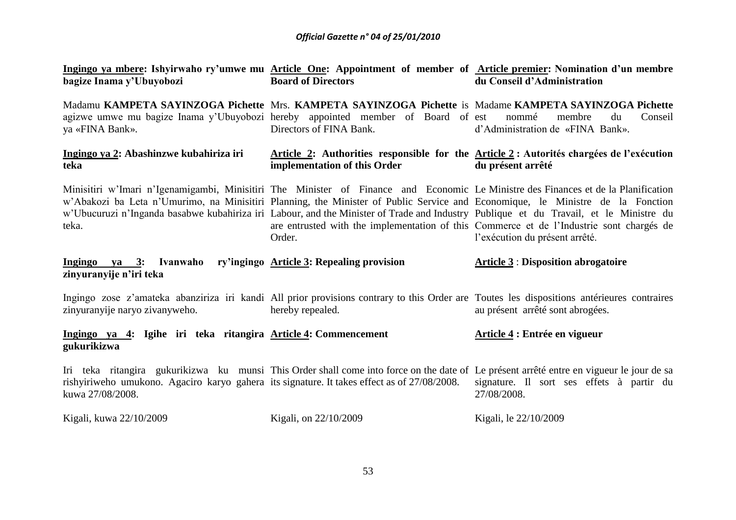| Ingingo ya mbere: Ishyirwaho ry'umwe mu Article One: Appointment of member of Article premier: Nomination d'un membre<br>bagize Inama y'Ubuyobozi                                                                                                                                                                                                                                                                      | <b>Board of Directors</b>                 | du Conseil d'Administration                                                                                                                                                                          |
|------------------------------------------------------------------------------------------------------------------------------------------------------------------------------------------------------------------------------------------------------------------------------------------------------------------------------------------------------------------------------------------------------------------------|-------------------------------------------|------------------------------------------------------------------------------------------------------------------------------------------------------------------------------------------------------|
| Madamu KAMPETA SAYINZOGA Pichette Mrs. KAMPETA SAYINZOGA Pichette is Madame KAMPETA SAYINZOGA Pichette<br>agizwe umwe mu bagize Inama y'Ubuyobozi hereby appointed member of Board of est<br>ya «FINA Bank».                                                                                                                                                                                                           | Directors of FINA Bank.                   | Conseil<br>nommé<br>membre<br>du<br>d'Administration de «FINA Bank».                                                                                                                                 |
| Ingingo ya 2: Abashinzwe kubahiriza iri<br>teka                                                                                                                                                                                                                                                                                                                                                                        | implementation of this Order              | Article 2: Authorities responsible for the Article 2: Autorités chargées de l'exécution<br>du présent arrêté                                                                                         |
| Minisitiri w'Imari n'Igenamigambi, Minisitiri The Minister of Finance and Economic Le Ministre des Finances et de la Planification<br>w'Abakozi ba Leta n'Umurimo, na Minisitiri Planning, the Minister of Public Service and Economique, le Ministre de la Fonction<br>w'Ubucuruzi n'Inganda basabwe kubahiriza iri Labour, and the Minister of Trade and Industry Publique et du Travail, et le Ministre du<br>teka. | Order.                                    | are entrusted with the implementation of this Commerce et de l'Industrie sont chargés de<br>l'exécution du présent arrêté.                                                                           |
| Ingingo ya 3: Ivanwaho<br>zinyuranyije n'iri teka                                                                                                                                                                                                                                                                                                                                                                      | ry'ingingo Article 3: Repealing provision | <b>Article 3: Disposition abrogatoire</b>                                                                                                                                                            |
| Ingingo zose z'amateka abanziriza iri kandi All prior provisions contrary to this Order are Toutes les dispositions antérieures contraires<br>zinyuranyije naryo zivanyweho.                                                                                                                                                                                                                                           | hereby repealed.                          | au présent arrêté sont abrogées.                                                                                                                                                                     |
| Ingingo ya 4: Igihe iri teka ritangira Article 4: Commencement<br>gukurikizwa                                                                                                                                                                                                                                                                                                                                          |                                           | Article 4 : Entrée en vigueur                                                                                                                                                                        |
| rishyiriweho umukono. Agaciro karyo gahera its signature. It takes effect as of 27/08/2008.<br>kuwa 27/08/2008.                                                                                                                                                                                                                                                                                                        |                                           | Iri teka ritangira gukurikizwa ku munsi This Order shall come into force on the date of Le présent arrêté entre en vigueur le jour de sa<br>signature. Il sort ses effets à partir du<br>27/08/2008. |
|                                                                                                                                                                                                                                                                                                                                                                                                                        |                                           |                                                                                                                                                                                                      |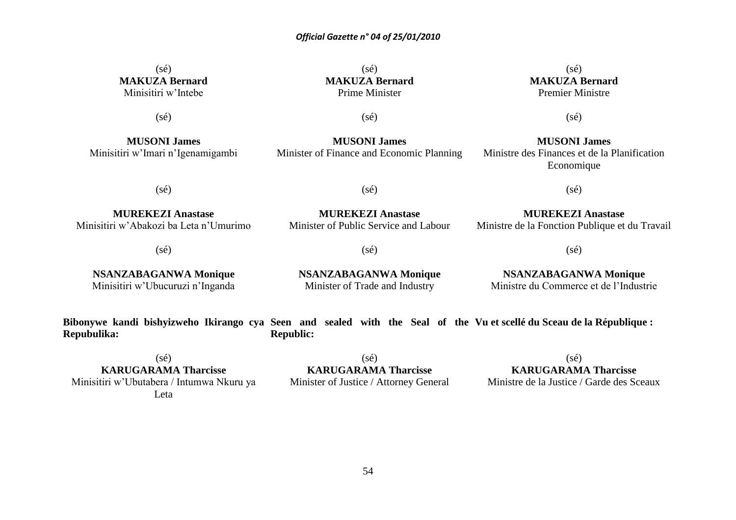### $(sé)$ **MAKUZA Bernard** Minisitiri w'Intebe

 $(s\acute{e})$ 

**MUSONI James** Minisitiri w'Imari n'Igenamigambi

 $(sé)$ **MAKUZA Bernard** Prime Minister

### (sé) **MAKUZA Bernard** Premier Ministre

(sé)

**MUSONI James** Minister of Finance and Economic Planning (sé)

**MUSONI James** Ministre des Finances et de la Planification Economique

(sé)

(sé)

**MUREKEZI Anastase** Minisitiri w'Abakozi ba Leta n'Umurimo

(sé)

**NSANZABAGANWA Monique** Minisitiri w'Ubucuruzi n'Inganda

**MUREKEZI Anastase** Minister of Public Service and Labour

(sé)

(sé)

**NSANZABAGANWA Monique** Minister of Trade and Industry

**MUREKEZI Anastase** Ministre de la Fonction Publique et du Travail

(sé)

**NSANZABAGANWA Monique** Ministre du Commerce et de l'Industrie

**Bibonywe kandi bishyizweho Ikirango cya Seen and sealed with the Seal of the Vu et scellé du Sceau de la République : Repubulika: Republic:**

 $(sé)$ **KARUGARAMA Tharcisse** Minisitiri w'Ubutabera / Intumwa Nkuru ya Leta

(sé) **KARUGARAMA Tharcisse** Minister of Justice / Attorney General

 $(sé)$ **KARUGARAMA Tharcisse**

Ministre de la Justice / Garde des Sceaux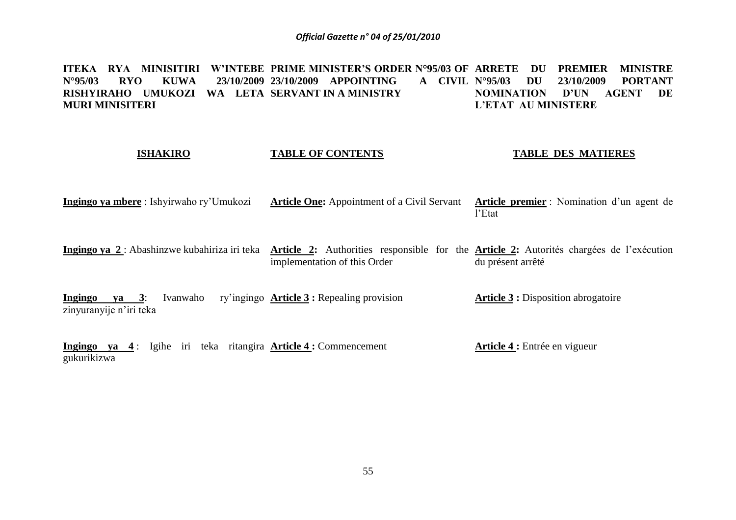ITEKA RYA MINISITIRI W'INTEBE PRIME MINISTER'S ORDER N°95/03 OF ARRETE DU PREMIER MINISTRE **N°95/03 RYO KUWA 23/10/2009 23/10/2009 APPOINTING A CIVIL RISHYIRAHO UMUKOZI WA LETA SERVANT IN A MINISTRY MURI MINISITERI N°95/03 DU 23/10/2009 PORTANT NOMINATION D'UN AGENT DE L'ETAT AU MINISTERE**

### **ISHAKIRO TABLE OF CONTENTS TABLE DES MATIERES**

**Ingingo ya mbere** : Ishyirwaho ry'Umukozi **Article One:** Appointment of a Civil Servant **Article premier** : Nomination d'un agent de l'Etat

Ingingo ya 2: Abashinzwe kubahiriza iri teka Article 2: Authorities responsible for the Article 2: Autorités chargées de l'exécution implementation of this Order du présent arrêté

**Ingingo ya 3**: Ivanwaho zinyuranyije n'iri teka **Article 3 :** Repealing provision **Article 3 :** Disposition abrogatoire

**Ingingo ya 4** : Igihe iri teka ritangira **Article 4 :** Commencement gukurikizwa **Article 4 :** Entrée en vigueur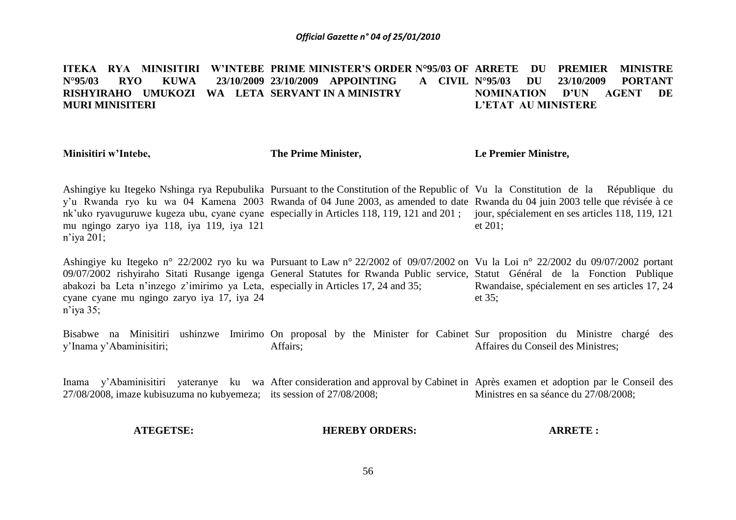ITEKA RYA MINISITIRI W'INTEBE PRIME MINISTER'S ORDER N°95/03 OF ARRETE DU PREMIER MINISTRE **N°95/03 RYO KUWA 23/10/2009 23/10/2009 APPOINTING A CIVIL RISHYIRAHO UMUKOZI WA LETA SERVANT IN A MINISTRY MURI MINISITERI N°95/03 DU 23/10/2009 PORTANT NOMINATION D'UN AGENT DE L'ETAT AU MINISTERE**

**Minisitiri w'Intebe,**

**The Prime Minister,**

**Le Premier Ministre,**

Ashingiye ku Itegeko Nshinga rya Repubulika Pursuant to the Constitution of the Republic of Vu la Constitution de la République du y'u Rwanda ryo ku wa 04 Kamena 2003 Rwanda of 04 June 2003, as amended to date Rwanda du 04 juin 2003 telle que révisée à ce nk'uko ryavuguruwe kugeza ubu, cyane cyane especially in Articles 118, 119, 121 and 201; jour, spécialement en ses articles 118, 119, 121 mu ngingo zaryo iya 118, iya 119, iya 121 n'iya 201; et 201;

Ashingiye ku Itegeko n° 22/2002 ryo ku wa Pursuant to Law n° 22/2002 of 09/07/2002 on Vu la Loi n° 22/2002 du 09/07/2002 portant 09/07/2002 rishyiraho Sitati Rusange igenga General Statutes for Rwanda Public service, Statut Général de la Fonction Publique abakozi ba Leta n'inzego z'imirimo ya Leta, especially in Articles 17, 24 and 35; cyane cyane mu ngingo zaryo iya 17, iya 24 n'iya 35; Rwandaise, spécialement en ses articles 17, 24 et 35;

Bisabwe na Minisitiri ushinzwe Imirimo On proposal by the Minister for Cabinet Sur proposition du Ministre chargé des y'Inama y'Abaminisitiri; Affairs; Affaires du Conseil des Ministres;

Inama y'Abaminisitiri yateranye ku wa After consideration and approval by Cabinet in Après examen et adoption par le Conseil des 27/08/2008, imaze kubisuzuma no kubyemeza; its session of 27/08/2008; Ministres en sa séance du 27/08/2008;

### **ATEGETSE: HEREBY ORDERS: ARRETE :**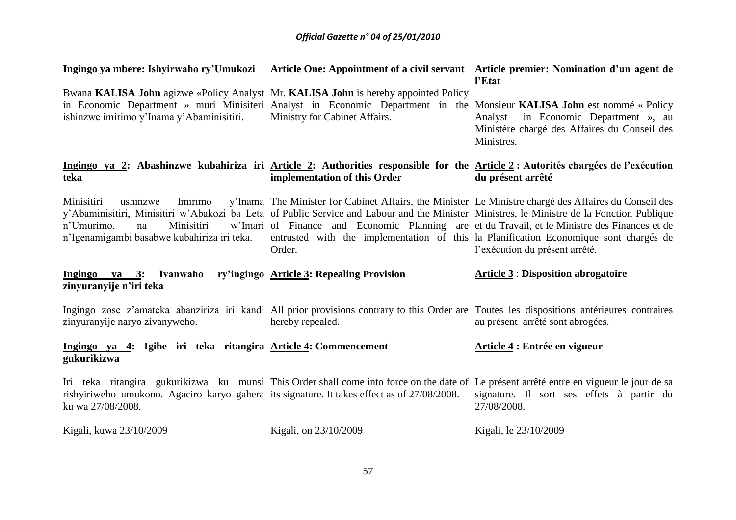| Ingingo ya mbere: Ishyirwaho ry'Umukozi                                                                                                                                                                                                                          | Article One: Appointment of a civil servant Article premier: Nomination d'un agent de                                                                                                                                                                                                                     | l'Etat                                                                                                |
|------------------------------------------------------------------------------------------------------------------------------------------------------------------------------------------------------------------------------------------------------------------|-----------------------------------------------------------------------------------------------------------------------------------------------------------------------------------------------------------------------------------------------------------------------------------------------------------|-------------------------------------------------------------------------------------------------------|
| Bwana KALISA John agizwe «Policy Analyst Mr. KALISA John is hereby appointed Policy<br>in Economic Department » muri Minisiteri Analyst in Economic Department in the Monsieur KALISA John est nommé « Policy<br>ishinzwe imirimo y'Inama y'Abaminisitiri.       | Ministry for Cabinet Affairs.                                                                                                                                                                                                                                                                             | in Economic Department », au<br>Analyst<br>Ministère chargé des Affaires du Conseil des<br>Ministres. |
| Ingingo ya 2: Abashinzwe kubahiriza iri Article 2: Authorities responsible for the Article 2: Autorités chargées de l'exécution<br>teka                                                                                                                          | implementation of this Order                                                                                                                                                                                                                                                                              | du présent arrêté                                                                                     |
| Minisitiri<br>Imirimo<br>ushinzwe<br>y'Abaminisitiri, Minisitiri w'Abakozi ba Leta of Public Service and Labour and the Minister Ministres, le Ministre de la Fonction Publique<br>Minisitiri<br>n'Umurimo,<br>na<br>n'Igenamigambi basabwe kubahiriza iri teka. | y'Inama The Minister for Cabinet Affairs, the Minister Le Ministre chargé des Affaires du Conseil des<br>w'Imari of Finance and Economic Planning are et du Travail, et le Ministre des Finances et de<br>entrusted with the implementation of this la Planification Economique sont chargés de<br>Order. | l'exécution du présent arrêté.                                                                        |
| Ingingo ya 3: Ivanwaho ry'ingingo Article 3: Repealing Provision<br>zinyuranyije n'iri teka                                                                                                                                                                      |                                                                                                                                                                                                                                                                                                           | <b>Article 3: Disposition abrogatoire</b>                                                             |
|                                                                                                                                                                                                                                                                  |                                                                                                                                                                                                                                                                                                           |                                                                                                       |
| Ingingo zose z'amateka abanziriza iri kandi All prior provisions contrary to this Order are Toutes les dispositions antérieures contraires<br>zinyuranyije naryo zivanyweho.                                                                                     | hereby repealed.                                                                                                                                                                                                                                                                                          | au présent arrêté sont abrogées.                                                                      |
| Ingingo ya 4: Igihe iri teka ritangira Article 4: Commencement<br>gukurikizwa                                                                                                                                                                                    |                                                                                                                                                                                                                                                                                                           | Article 4 : Entrée en vigueur                                                                         |
| Iri teka ritangira gukurikizwa ku munsi This Order shall come into force on the date of Le présent arrêté entre en vigueur le jour de sa<br>rishyiriweho umukono. Agaciro karyo gahera its signature. It takes effect as of 27/08/2008.<br>ku wa 27/08/2008.     |                                                                                                                                                                                                                                                                                                           | signature. Il sort ses effets à partir du<br>27/08/2008.                                              |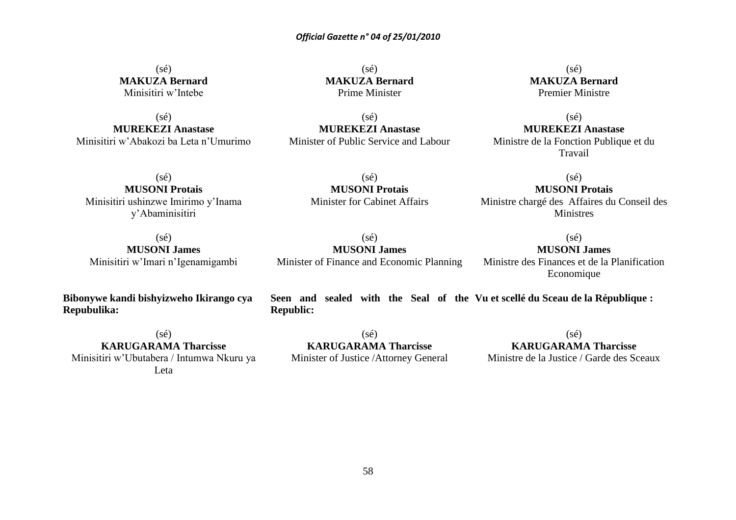### $(sé)$ **MAKUZA Bernard** Minisitiri w'Intebe

 $(s\acute{e})$ **MUREKEZI Anastase** Minisitiri w'Abakozi ba Leta n'Umurimo

 $(sé)$ **MAKUZA Bernard** Prime Minister

(sé) **MUREKEZI Anastase** Minister of Public Service and Labour

(sé) **MAKUZA Bernard** Premier Ministre

(sé) **MUREKEZI Anastase** Ministre de la Fonction Publique et du Travail

(sé) **MUSONI Protais** Minisitiri ushinzwe Imirimo y'Inama y'Abaminisitiri

(sé) **MUSONI Protais** Minister for Cabinet Affairs

### (sé)

**MUSONI Protais** Ministre chargé des Affaires du Conseil des Ministres

(sé)

(sé) **MUSONI James** Minisitiri w'Imari n'Igenamigambi

**Bibonywe kandi bishyizweho Ikirango cya Repubulika:**

(sé) **MUSONI James** Minister of Finance and Economic Planning

**MUSONI James** Ministre des Finances et de la Planification Economique

**Seen and sealed with the Seal of the Vu et scellé du Sceau de la République : Republic:**

 $(sé)$ **KARUGARAMA Tharcisse** Minisitiri w'Ubutabera / Intumwa Nkuru ya Leta

(sé) **KARUGARAMA Tharcisse** Minister of Justice /Attorney General

 $(sé)$ **KARUGARAMA Tharcisse** Ministre de la Justice / Garde des Sceaux

58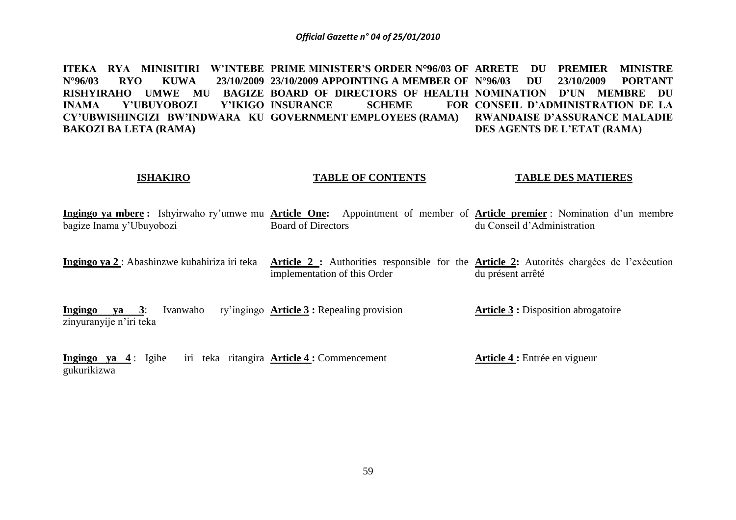ITEKA RYA MINISITIRI W'INTEBE PRIME MINISTER'S ORDER N°96/03 OF ARRETE DU PREMIER MINISTRE **N°96/03 RYO KUWA 23/10/2009 23/10/2009 APPOINTING A MEMBER OF RISHYIRAHO UMWE MU BAGIZE BOARD OF DIRECTORS OF HEALTH NOMINATION D'UN MEMBRE DU INAMA Y'UBUYOBOZI CY'UBWISHINGIZI BW'INDWARA KU GOVERNMENT EMPLOYEES (RAMA) BAKOZI BA LETA (RAMA) INSURANCE SCHEME N°96/03 DU 23/10/2009 PORTANT CONSEIL D'ADMINISTRATION DE LA RWANDAISE D'ASSURANCE MALADIE DES AGENTS DE L'ETAT (RAMA)**

### **ISHAKIRO TABLE OF CONTENTS TABLE DES MATIERES**

**Ingingo ya mbere :** Ishyirwaho ry'umwe mu **Article One:** Appointment of member of **Article premier** : Nomination d'un membre bagize Inama y'Ubuyobozi Board of Directors du Conseil d'Administration

Ingingo ya 2 : Abashinzwe kubahiriza iri teka Article 2 : Authorities responsible for the Article 2: Autorités chargées de l'exécution implementation of this Order du présent arrêté

**Ingingo ya 3**: Ivanwaho zinyuranyije n'iri teka **Article 3 :** Repealing provision **Article 3 :** Disposition abrogatoire

**Ingingo ya 4** : Igihe iri teka ritangira **Article 4 :** Commencement gukurikizwa **Article 4 :** Entrée en vigueur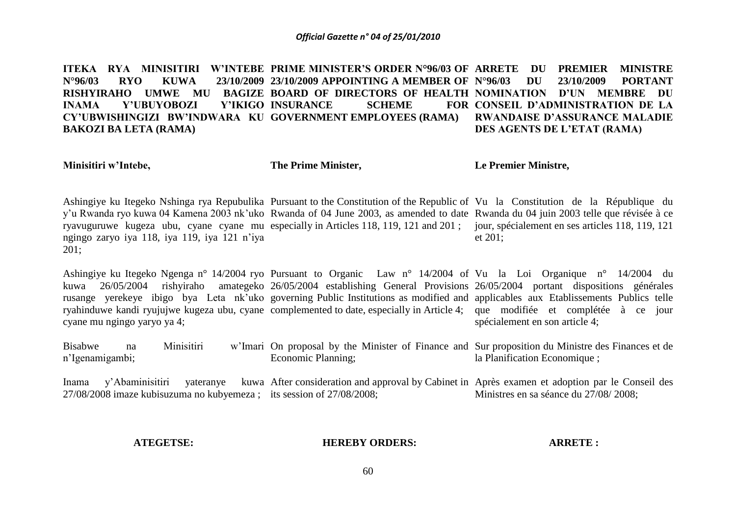ITEKA RYA MINISITIRI W'INTEBE PRIME MINISTER'S ORDER N°96/03 OF ARRETE DU PREMIER MINISTRE **N°96/03 RYO KUWA 23/10/2009 23/10/2009 APPOINTING A MEMBER OF RISHYIRAHO UMWE MU BAGIZE BOARD OF DIRECTORS OF HEALTH NOMINATION D'UN MEMBRE DU INAMA Y'UBUYOBOZI CY'UBWISHINGIZI BW'INDWARA KU GOVERNMENT EMPLOYEES (RAMA) BAKOZI BA LETA (RAMA) INSURANCE SCHEME N°96/03 DU 23/10/2009 PORTANT CONSEIL D'ADMINISTRATION DE LA RWANDAISE D'ASSURANCE MALADIE DES AGENTS DE L'ETAT (RAMA)**

**Minisitiri w'Intebe,**

**The Prime Minister,**

**Le Premier Ministre,**

Ashingiye ku Itegeko Nshinga rya Repubulika Pursuant to the Constitution of the Republic of Vu la Constitution de la République du y'u Rwanda ryo kuwa 04 Kamena 2003 nk'uko Rwanda of 04 June 2003, as amended to date Rwanda du 04 juin 2003 telle que révisée à ce ryavuguruwe kugeza ubu, cyane cyane mu especially in Articles 118, 119, 121 and 201; jour, spécialement en ses articles 118, 119, 121 ngingo zaryo iya 118, iya 119, iya 121 n'iya 201; et 201;

Ashingiye ku Itegeko Ngenga n° 14/2004 ryo Pursuant to Organic Law n° 14/2004 of Vu la Loi Organique n° 14/2004 du kuwa 26/05/2004 rishyiraho amategeko 26/05/2004 establishing General Provisions 26/05/2004 portant dispositions générales rusange yerekeye ibigo bya Leta nk'uko governing Public Institutions as modified and applicables aux Etablissements Publics telle ryahinduwe kandi ryujujwe kugeza ubu, cyane complemented to date, especially in Article 4; que modifiée et complétée à ce jour cyane mu ngingo yaryo ya 4; spécialement en son article 4;

Bisabwe na Minisitiri n'Igenamigambi; On proposal by the Minister of Finance and Sur proposition du Ministre des Finances et de Economic Planning; la Planification Economique ;

Inama y'Abaminisitiri yateranye kuwa After consideration and approval by Cabinet in Après examen et adoption par le Conseil des 27/08/2008 imaze kubisuzuma no kubyemeza ; its session of 27/08/2008; Ministres en sa séance du 27/08/ 2008;

### **ATEGETSE:**

### **HEREBY ORDERS:**

### **ARRETE :**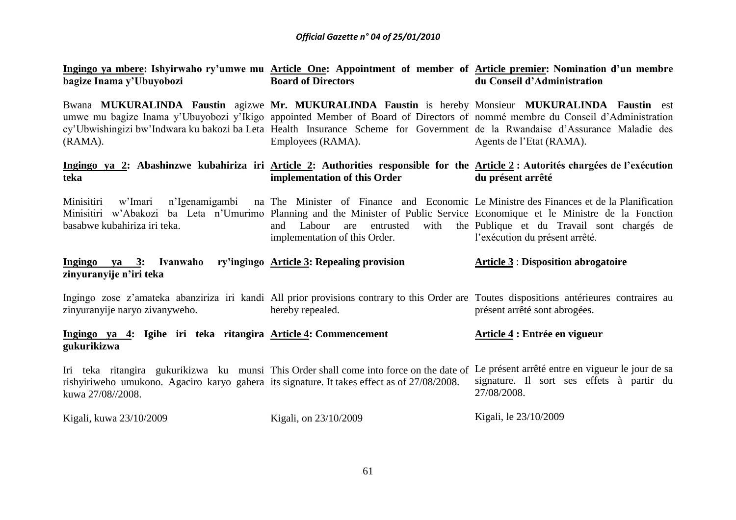| bagize Inama y'Ubuyobozi                                                                                                                                                                                                                                                                                                                                                        | Ingingo ya mbere: Ishyirwaho ry'umwe mu Article One: Appointment of member of Article premier: Nomination d'un membre<br><b>Board of Directors</b>                     | du Conseil d'Administration                                                       |
|---------------------------------------------------------------------------------------------------------------------------------------------------------------------------------------------------------------------------------------------------------------------------------------------------------------------------------------------------------------------------------|------------------------------------------------------------------------------------------------------------------------------------------------------------------------|-----------------------------------------------------------------------------------|
| Bwana MUKURALINDA Faustin agizwe Mr. MUKURALINDA Faustin is hereby Monsieur MUKURALINDA Faustin est<br>umwe mu bagize Inama y'Ubuyobozi y'Ikigo appointed Member of Board of Directors of nommé membre du Conseil d'Administration<br>cy'Ubwishingizi bw'Indwara ku bakozi ba Leta Health Insurance Scheme for Government de la Rwandaise d'Assurance Maladie des<br>$(RAMA)$ . | Employees (RAMA).                                                                                                                                                      | Agents de l'Etat (RAMA).                                                          |
| Ingingo ya 2: Abashinzwe kubahiriza iri Article 2: Authorities responsible for the Article 2: Autorités chargées de l'exécution<br>teka                                                                                                                                                                                                                                         | implementation of this Order                                                                                                                                           | du présent arrêté                                                                 |
| Minisitiri<br>w'Imari<br>Minisitiri w'Abakozi ba Leta n'Umurimo Planning and the Minister of Public Service Economique et le Ministre de la Fonction<br>basabwe kubahiriza iri teka.                                                                                                                                                                                            | n'Igenamigambi na The Minister of Finance and Economic Le Ministre des Finances et de la Planification<br>Labour are entrusted<br>and<br>implementation of this Order. | with the Publique et du Travail sont chargés de<br>l'exécution du présent arrêté. |
| Ingingo ya 3: Ivanwaho ry'ingingo Article 3: Repealing provision                                                                                                                                                                                                                                                                                                                |                                                                                                                                                                        | <b>Article 3: Disposition abrogatoire</b>                                         |
| zinyuranyije n'iri teka                                                                                                                                                                                                                                                                                                                                                         |                                                                                                                                                                        |                                                                                   |
| Ingingo zose z'amateka abanziriza iri kandi All prior provisions contrary to this Order are Toutes dispositions antérieures contraires au<br>zinyuranyije naryo zivanyweho.                                                                                                                                                                                                     | hereby repealed.                                                                                                                                                       | présent arrêté sont abrogées.                                                     |
| Ingingo ya 4: Igihe iri teka ritangira Article 4: Commencement<br>gukurikizwa                                                                                                                                                                                                                                                                                                   |                                                                                                                                                                        | Article 4 : Entrée en vigueur                                                     |
| Iri teka ritangira gukurikizwa ku munsi This Order shall come into force on the date of Le présent arrêté entre en vigueur le jour de sa<br>rishyiriweho umukono. Agaciro karyo gahera its signature. It takes effect as of 27/08/2008.<br>kuwa 27/08//2008.                                                                                                                    |                                                                                                                                                                        | signature. Il sort ses effets à partir du<br>27/08/2008.                          |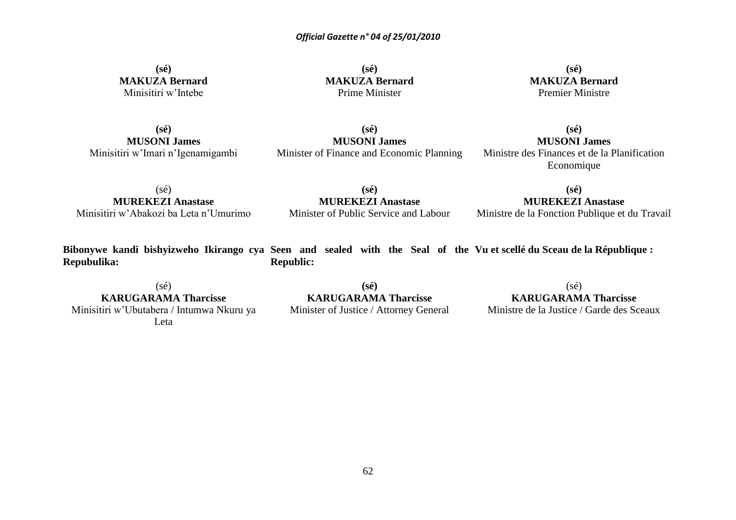**(sé) MAKUZA Bernard** Minisitiri w'Intebe

**(sé) MAKUZA Bernard** Prime Minister

**(sé) MAKUZA Bernard** Premier Ministre

**(sé) MUSONI James** Minisitiri w'Imari n'Igenamigambi

**(sé) MUSONI James** Minister of Finance and Economic Planning

**(sé) MUSONI James** Ministre des Finances et de la Planification Economique

(sé) **MUREKEZI Anastase** Minisitiri w'Abakozi ba Leta n'Umurimo

**(sé) MUREKEZI Anastase** Minister of Public Service and Labour

**(sé) MUREKEZI Anastase**

Ministre de la Fonction Publique et du Travail

**Bibonywe kandi bishyizweho Ikirango cya Seen and sealed with the Seal of the Vu et scellé du Sceau de la République : Repubulika: Republic:**

 $(sé)$ **KARUGARAMA Tharcisse** Minisitiri w'Ubutabera / Intumwa Nkuru ya Leta

**(sé) KARUGARAMA Tharcisse** Minister of Justice / Attorney General  $(s\acute{e})$ 

**KARUGARAMA Tharcisse**

Ministre de la Justice / Garde des Sceaux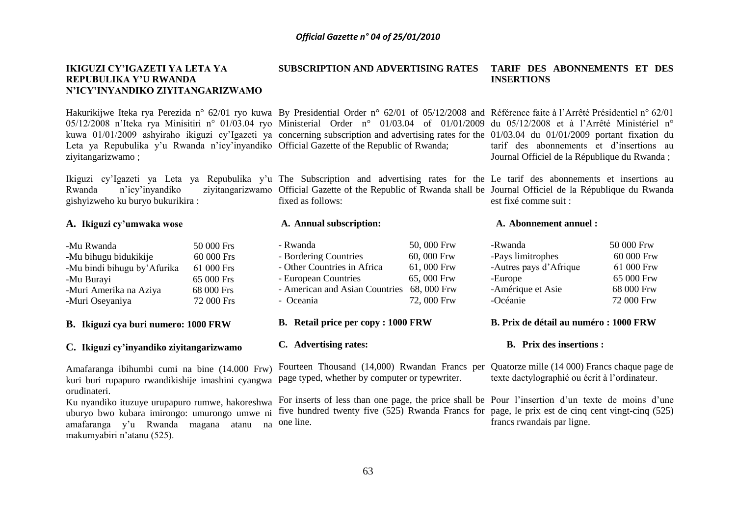### **IKIGUZI CY'IGAZETI YA LETA YA REPUBULIKA Y'U RWANDA N'ICY'INYANDIKO ZIYITANGARIZWAMO SUBSCRIPTION AND ADVERTISING RATES TARIF DES ABONNEMENTS ET DES INSERTIONS**

Hakurikijwe Iteka rya Perezida n° 62/01 ryo kuwa By Presidential Order n° 62/01 of 05/12/2008 and Référence faite à l'Arrêté Présidentiel n° 62/01 05/12/2008 n'Iteka rya Minisitiri n° 01/03.04 ryo Ministerial Order n° 01/03.04 of 01/01/2009 du 05/12/2008 et à l'Arrêté Ministériel n° kuwa 01/01/2009 ashyiraho ikiguzi cy'Igazeti ya concerning subscription and advertising rates for the 01/03.04 du 01/01/2009 portant fixation du Leta ya Repubulika y'u Rwanda n'icy'inyandiko Official Gazette of the Republic of Rwanda; ziyitangarizwamo ;

Ikiguzi cy'Igazeti ya Leta ya Repubulika y'u The Subscription and advertising rates for the Le tarif des abonnements et insertions au Rwanda n'icy'inyandiko ziyitangarizwamo Official Gazette of the Republic of Rwanda shall be Journal Officiel de la République du Rwanda gishyizweho ku buryo bukurikira :

### **A. Ikiguzi cy'umwaka wose**

| -Mu Rwanda                   | 50 000 Frs |
|------------------------------|------------|
| -Mu bihugu bidukikije        | 60 000 Frs |
| -Mu bindi bihugu by' Afurika | 61 000 Frs |
| -Mu Burayi                   | 65 000 Frs |
| -Muri Amerika na Aziya       | 68 000 Frs |
| -Muri Oseyaniya              | 72 000 Frs |

### **B. Ikiguzi cya buri numero: 1000 FRW**

### **C. Ikiguzi cy'inyandiko ziyitangarizwamo**

kuri buri rupapuro rwandikishije imashini cyangwa page typed, whether by computer or typewriter. orudinateri.

uburyo bwo kubara imirongo: umurongo umwe ni amafaranga y'u Rwanda magana atanu na one line. makumyabiri n'atanu (525).

fixed as follows:

### **A. Annual subscription:**

| - Rwanda                                   | 50,000 Frw |
|--------------------------------------------|------------|
| - Bordering Countries                      | 60,000 Frw |
| - Other Countries in Africa                | 61,000 Frw |
| - European Countries                       | 65,000 Frw |
| - American and Asian Countries 68, 000 Frw |            |
| - Oceania                                  | 72,000 Frw |
|                                            |            |

- **B. Retail price per copy : 1000 FRW**
- **C. Advertising rates:**

Ku nyandiko ituzuye urupapuro rumwe, hakoreshwa For inserts of less than one page, the price shall be Pour l'insertion d'un texte de moins d'une five hundred twenty five (525) Rwanda Francs for page, le prix est de cinq cent vingt-cinq (525)

### **A. Abonnement annuel :**

est fixé comme suit :

| -Rwanda                | 50 000 Frw |
|------------------------|------------|
| -Pays limitrophes      | 60 000 Frw |
| -Autres pays d'Afrique | 61 000 Frw |
| -Europe                | 65 000 Frw |
| -Amérique et Asie      | 68 000 Frw |
| -Océanie               | 72 000 Frw |
|                        |            |

tarif des abonnements et d'insertions au Journal Officiel de la République du Rwanda ;

### **B. Prix de détail au numéro : 1000 FRW**

### **B. Prix des insertions :**

Amafaranga ibihumbi cumi na bine (14.000 Frw) Fourteen Thousand (14,000) Rwandan Francs per Quatorze mille (14 000) Francs chaque page de texte dactylographié ou écrit à l'ordinateur.

francs rwandais par ligne.